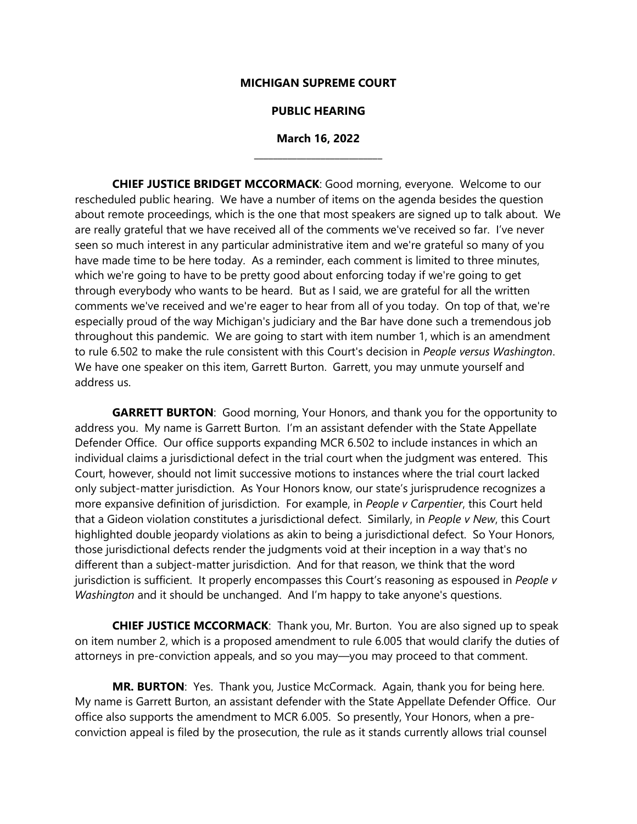#### **MICHIGAN SUPREME COURT**

#### **PUBLIC HEARING**

## **March 16, 2022 \_\_\_\_\_\_\_\_\_\_\_\_\_\_\_\_\_\_\_\_\_\_\_\_\_\_\_**

**CHIEF JUSTICE BRIDGET MCCORMACK**: Good morning, everyone. Welcome to our rescheduled public hearing. We have a number of items on the agenda besides the question about remote proceedings, which is the one that most speakers are signed up to talk about. We are really grateful that we have received all of the comments we've received so far. I've never seen so much interest in any particular administrative item and we're grateful so many of you have made time to be here today. As a reminder, each comment is limited to three minutes, which we're going to have to be pretty good about enforcing today if we're going to get through everybody who wants to be heard. But as I said, we are grateful for all the written comments we've received and we're eager to hear from all of you today. On top of that, we're especially proud of the way Michigan's judiciary and the Bar have done such a tremendous job throughout this pandemic. We are going to start with item number 1, which is an amendment to rule 6.502 to make the rule consistent with this Court's decision in *People versus Washington*. We have one speaker on this item, Garrett Burton. Garrett, you may unmute yourself and address us.

**GARRETT BURTON**: Good morning, Your Honors, and thank you for the opportunity to address you. My name is Garrett Burton. I'm an assistant defender with the State Appellate Defender Office. Our office supports expanding MCR 6.502 to include instances in which an individual claims a jurisdictional defect in the trial court when the judgment was entered. This Court, however, should not limit successive motions to instances where the trial court lacked only subject-matter jurisdiction. As Your Honors know, our state's jurisprudence recognizes a more expansive definition of jurisdiction. For example, in *People v Carpentier*, this Court held that a Gideon violation constitutes a jurisdictional defect. Similarly, in *People v New*, this Court highlighted double jeopardy violations as akin to being a jurisdictional defect. So Your Honors, those jurisdictional defects render the judgments void at their inception in a way that's no different than a subject-matter jurisdiction. And for that reason, we think that the word jurisdiction is sufficient. It properly encompasses this Court's reasoning as espoused in *People v Washington* and it should be unchanged. And I'm happy to take anyone's questions.

**CHIEF JUSTICE MCCORMACK**: Thank you, Mr. Burton. You are also signed up to speak on item number 2, which is a proposed amendment to rule 6.005 that would clarify the duties of attorneys in pre-conviction appeals, and so you may—you may proceed to that comment.

**MR. BURTON**: Yes. Thank you, Justice McCormack. Again, thank you for being here. My name is Garrett Burton, an assistant defender with the State Appellate Defender Office. Our office also supports the amendment to MCR 6.005. So presently, Your Honors, when a preconviction appeal is filed by the prosecution, the rule as it stands currently allows trial counsel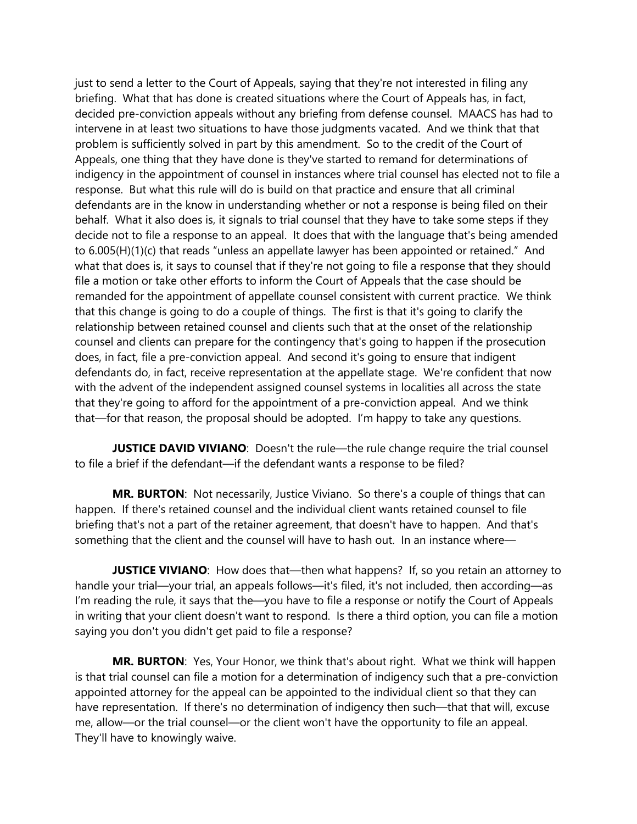just to send a letter to the Court of Appeals, saying that they're not interested in filing any briefing. What that has done is created situations where the Court of Appeals has, in fact, decided pre-conviction appeals without any briefing from defense counsel. MAACS has had to intervene in at least two situations to have those judgments vacated. And we think that that problem is sufficiently solved in part by this amendment. So to the credit of the Court of Appeals, one thing that they have done is they've started to remand for determinations of indigency in the appointment of counsel in instances where trial counsel has elected not to file a response. But what this rule will do is build on that practice and ensure that all criminal defendants are in the know in understanding whether or not a response is being filed on their behalf. What it also does is, it signals to trial counsel that they have to take some steps if they decide not to file a response to an appeal. It does that with the language that's being amended to 6.005(H)(1)(c) that reads "unless an appellate lawyer has been appointed or retained." And what that does is, it says to counsel that if they're not going to file a response that they should file a motion or take other efforts to inform the Court of Appeals that the case should be remanded for the appointment of appellate counsel consistent with current practice. We think that this change is going to do a couple of things. The first is that it's going to clarify the relationship between retained counsel and clients such that at the onset of the relationship counsel and clients can prepare for the contingency that's going to happen if the prosecution does, in fact, file a pre-conviction appeal. And second it's going to ensure that indigent defendants do, in fact, receive representation at the appellate stage. We're confident that now with the advent of the independent assigned counsel systems in localities all across the state that they're going to afford for the appointment of a pre-conviction appeal. And we think that—for that reason, the proposal should be adopted. I'm happy to take any questions.

**JUSTICE DAVID VIVIANO**: Doesn't the rule—the rule change require the trial counsel to file a brief if the defendant—if the defendant wants a response to be filed?

**MR. BURTON**: Not necessarily, Justice Viviano. So there's a couple of things that can happen. If there's retained counsel and the individual client wants retained counsel to file briefing that's not a part of the retainer agreement, that doesn't have to happen. And that's something that the client and the counsel will have to hash out. In an instance where—

**JUSTICE VIVIANO:** How does that—then what happens? If, so you retain an attorney to handle your trial—your trial, an appeals follows—it's filed, it's not included, then according—as I'm reading the rule, it says that the—you have to file a response or notify the Court of Appeals in writing that your client doesn't want to respond. Is there a third option, you can file a motion saying you don't you didn't get paid to file a response?

**MR. BURTON**: Yes, Your Honor, we think that's about right. What we think will happen is that trial counsel can file a motion for a determination of indigency such that a pre-conviction appointed attorney for the appeal can be appointed to the individual client so that they can have representation. If there's no determination of indigency then such—that that will, excuse me, allow—or the trial counsel—or the client won't have the opportunity to file an appeal. They'll have to knowingly waive.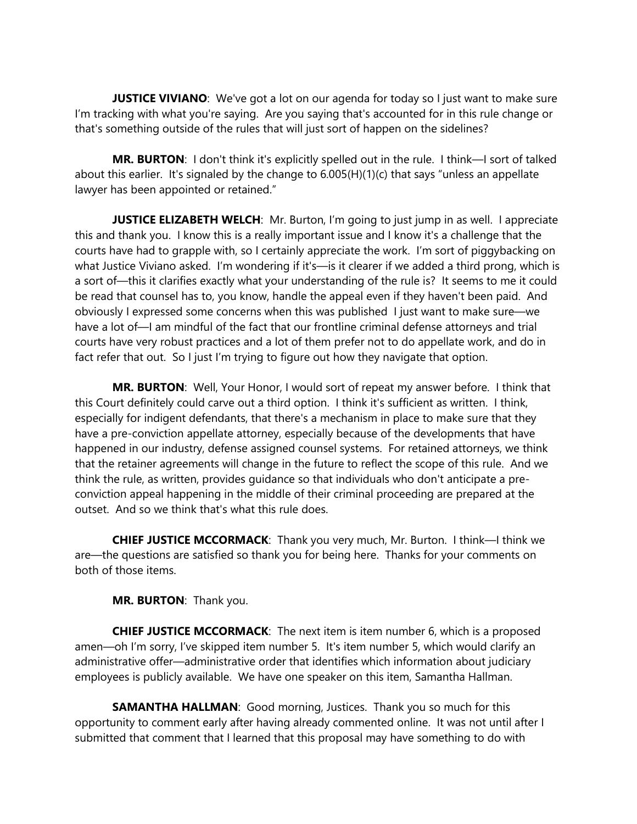**JUSTICE VIVIANO:** We've got a lot on our agenda for today so I just want to make sure I'm tracking with what you're saying. Are you saying that's accounted for in this rule change or that's something outside of the rules that will just sort of happen on the sidelines?

**MR. BURTON**: I don't think it's explicitly spelled out in the rule. I think—I sort of talked about this earlier. It's signaled by the change to 6.005(H)(1)(c) that says "unless an appellate lawyer has been appointed or retained."

**JUSTICE ELIZABETH WELCH:** Mr. Burton, I'm going to just jump in as well. I appreciate this and thank you. I know this is a really important issue and I know it's a challenge that the courts have had to grapple with, so I certainly appreciate the work. I'm sort of piggybacking on what Justice Viviano asked. I'm wondering if it's—is it clearer if we added a third prong, which is a sort of—this it clarifies exactly what your understanding of the rule is? It seems to me it could be read that counsel has to, you know, handle the appeal even if they haven't been paid. And obviously I expressed some concerns when this was published I just want to make sure—we have a lot of—I am mindful of the fact that our frontline criminal defense attorneys and trial courts have very robust practices and a lot of them prefer not to do appellate work, and do in fact refer that out. So I just I'm trying to figure out how they navigate that option.

**MR. BURTON**: Well, Your Honor, I would sort of repeat my answer before. I think that this Court definitely could carve out a third option. I think it's sufficient as written. I think, especially for indigent defendants, that there's a mechanism in place to make sure that they have a pre-conviction appellate attorney, especially because of the developments that have happened in our industry, defense assigned counsel systems. For retained attorneys, we think that the retainer agreements will change in the future to reflect the scope of this rule. And we think the rule, as written, provides guidance so that individuals who don't anticipate a preconviction appeal happening in the middle of their criminal proceeding are prepared at the outset. And so we think that's what this rule does.

**CHIEF JUSTICE MCCORMACK**: Thank you very much, Mr. Burton. I think—I think we are—the questions are satisfied so thank you for being here. Thanks for your comments on both of those items.

**MR. BURTON**: Thank you.

**CHIEF JUSTICE MCCORMACK**: The next item is item number 6, which is a proposed amen—oh I'm sorry, I've skipped item number 5. It's item number 5, which would clarify an administrative offer—administrative order that identifies which information about judiciary employees is publicly available. We have one speaker on this item, Samantha Hallman.

**SAMANTHA HALLMAN**: Good morning, Justices. Thank you so much for this opportunity to comment early after having already commented online. It was not until after I submitted that comment that I learned that this proposal may have something to do with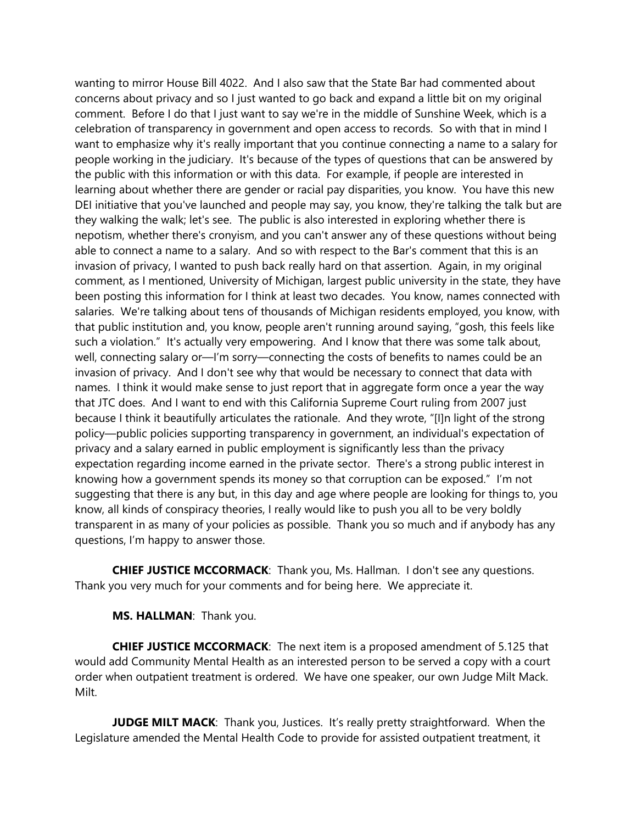wanting to mirror House Bill 4022. And I also saw that the State Bar had commented about concerns about privacy and so I just wanted to go back and expand a little bit on my original comment. Before I do that I just want to say we're in the middle of Sunshine Week, which is a celebration of transparency in government and open access to records. So with that in mind I want to emphasize why it's really important that you continue connecting a name to a salary for people working in the judiciary. It's because of the types of questions that can be answered by the public with this information or with this data. For example, if people are interested in learning about whether there are gender or racial pay disparities, you know. You have this new DEI initiative that you've launched and people may say, you know, they're talking the talk but are they walking the walk; let's see. The public is also interested in exploring whether there is nepotism, whether there's cronyism, and you can't answer any of these questions without being able to connect a name to a salary. And so with respect to the Bar's comment that this is an invasion of privacy, I wanted to push back really hard on that assertion. Again, in my original comment, as I mentioned, University of Michigan, largest public university in the state, they have been posting this information for I think at least two decades. You know, names connected with salaries. We're talking about tens of thousands of Michigan residents employed, you know, with that public institution and, you know, people aren't running around saying, "gosh, this feels like such a violation." It's actually very empowering. And I know that there was some talk about, well, connecting salary or—I'm sorry—connecting the costs of benefits to names could be an invasion of privacy. And I don't see why that would be necessary to connect that data with names. I think it would make sense to just report that in aggregate form once a year the way that JTC does. And I want to end with this California Supreme Court ruling from 2007 just because I think it beautifully articulates the rationale. And they wrote, "[I]n light of the strong policy—public policies supporting transparency in government, an individual's expectation of privacy and a salary earned in public employment is significantly less than the privacy expectation regarding income earned in the private sector. There's a strong public interest in knowing how a government spends its money so that corruption can be exposed." I'm not suggesting that there is any but, in this day and age where people are looking for things to, you know, all kinds of conspiracy theories, I really would like to push you all to be very boldly transparent in as many of your policies as possible. Thank you so much and if anybody has any questions, I'm happy to answer those.

**CHIEF JUSTICE MCCORMACK**: Thank you, Ms. Hallman. I don't see any questions. Thank you very much for your comments and for being here. We appreciate it.

**MS. HALLMAN**: Thank you.

**CHIEF JUSTICE MCCORMACK**: The next item is a proposed amendment of 5.125 that would add Community Mental Health as an interested person to be served a copy with a court order when outpatient treatment is ordered. We have one speaker, our own Judge Milt Mack. Milt.

**JUDGE MILT MACK:** Thank you, Justices. It's really pretty straightforward. When the Legislature amended the Mental Health Code to provide for assisted outpatient treatment, it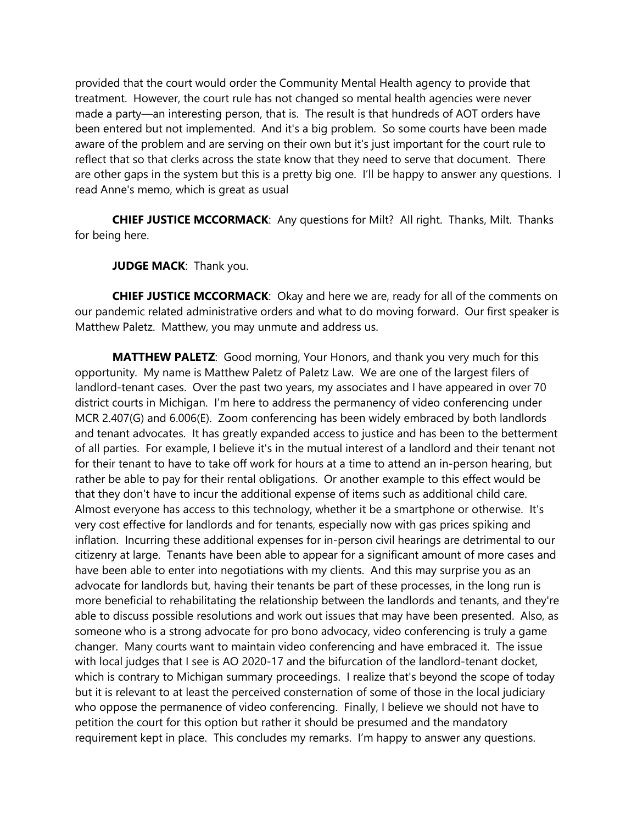provided that the court would order the Community Mental Health agency to provide that treatment. However, the court rule has not changed so mental health agencies were never made a party—an interesting person, that is. The result is that hundreds of AOT orders have been entered but not implemented. And it's a big problem. So some courts have been made aware of the problem and are serving on their own but it's just important for the court rule to reflect that so that clerks across the state know that they need to serve that document. There are other gaps in the system but this is a pretty big one. I'll be happy to answer any questions. I read Anne's memo, which is great as usual

**CHIEF JUSTICE MCCORMACK**: Any questions for Milt? All right. Thanks, Milt. Thanks for being here.

**JUDGE MACK: Thank you.** 

**CHIEF JUSTICE MCCORMACK**: Okay and here we are, ready for all of the comments on our pandemic related administrative orders and what to do moving forward. Our first speaker is Matthew Paletz. Matthew, you may unmute and address us.

**MATTHEW PALETZ**: Good morning, Your Honors, and thank you very much for this opportunity. My name is Matthew Paletz of Paletz Law. We are one of the largest filers of landlord-tenant cases. Over the past two years, my associates and I have appeared in over 70 district courts in Michigan. I'm here to address the permanency of video conferencing under MCR 2.407(G) and 6.006(E). Zoom conferencing has been widely embraced by both landlords and tenant advocates. It has greatly expanded access to justice and has been to the betterment of all parties. For example, I believe it's in the mutual interest of a landlord and their tenant not for their tenant to have to take off work for hours at a time to attend an in-person hearing, but rather be able to pay for their rental obligations. Or another example to this effect would be that they don't have to incur the additional expense of items such as additional child care. Almost everyone has access to this technology, whether it be a smartphone or otherwise. It's very cost effective for landlords and for tenants, especially now with gas prices spiking and inflation. Incurring these additional expenses for in-person civil hearings are detrimental to our citizenry at large. Tenants have been able to appear for a significant amount of more cases and have been able to enter into negotiations with my clients. And this may surprise you as an advocate for landlords but, having their tenants be part of these processes, in the long run is more beneficial to rehabilitating the relationship between the landlords and tenants, and they're able to discuss possible resolutions and work out issues that may have been presented. Also, as someone who is a strong advocate for pro bono advocacy, video conferencing is truly a game changer. Many courts want to maintain video conferencing and have embraced it. The issue with local judges that I see is AO 2020-17 and the bifurcation of the landlord-tenant docket, which is contrary to Michigan summary proceedings. I realize that's beyond the scope of today but it is relevant to at least the perceived consternation of some of those in the local judiciary who oppose the permanence of video conferencing. Finally, I believe we should not have to petition the court for this option but rather it should be presumed and the mandatory requirement kept in place. This concludes my remarks. I'm happy to answer any questions.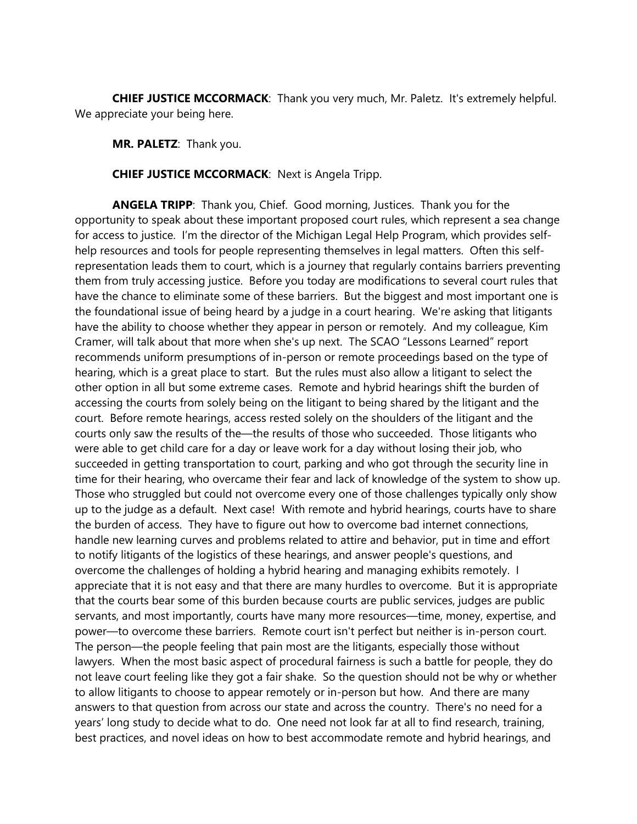**CHIEF JUSTICE MCCORMACK**: Thank you very much, Mr. Paletz. It's extremely helpful. We appreciate your being here.

**MR. PALETZ**: Thank you.

**CHIEF JUSTICE MCCORMACK**: Next is Angela Tripp.

**ANGELA TRIPP**: Thank you, Chief. Good morning, Justices. Thank you for the opportunity to speak about these important proposed court rules, which represent a sea change for access to justice. I'm the director of the Michigan Legal Help Program, which provides selfhelp resources and tools for people representing themselves in legal matters. Often this selfrepresentation leads them to court, which is a journey that regularly contains barriers preventing them from truly accessing justice. Before you today are modifications to several court rules that have the chance to eliminate some of these barriers. But the biggest and most important one is the foundational issue of being heard by a judge in a court hearing. We're asking that litigants have the ability to choose whether they appear in person or remotely. And my colleague, Kim Cramer, will talk about that more when she's up next. The SCAO "Lessons Learned" report recommends uniform presumptions of in-person or remote proceedings based on the type of hearing, which is a great place to start. But the rules must also allow a litigant to select the other option in all but some extreme cases. Remote and hybrid hearings shift the burden of accessing the courts from solely being on the litigant to being shared by the litigant and the court. Before remote hearings, access rested solely on the shoulders of the litigant and the courts only saw the results of the—the results of those who succeeded. Those litigants who were able to get child care for a day or leave work for a day without losing their job, who succeeded in getting transportation to court, parking and who got through the security line in time for their hearing, who overcame their fear and lack of knowledge of the system to show up. Those who struggled but could not overcome every one of those challenges typically only show up to the judge as a default. Next case! With remote and hybrid hearings, courts have to share the burden of access. They have to figure out how to overcome bad internet connections, handle new learning curves and problems related to attire and behavior, put in time and effort to notify litigants of the logistics of these hearings, and answer people's questions, and overcome the challenges of holding a hybrid hearing and managing exhibits remotely. I appreciate that it is not easy and that there are many hurdles to overcome. But it is appropriate that the courts bear some of this burden because courts are public services, judges are public servants, and most importantly, courts have many more resources—time, money, expertise, and power—to overcome these barriers. Remote court isn't perfect but neither is in-person court. The person—the people feeling that pain most are the litigants, especially those without lawyers. When the most basic aspect of procedural fairness is such a battle for people, they do not leave court feeling like they got a fair shake. So the question should not be why or whether to allow litigants to choose to appear remotely or in-person but how. And there are many answers to that question from across our state and across the country. There's no need for a years' long study to decide what to do. One need not look far at all to find research, training, best practices, and novel ideas on how to best accommodate remote and hybrid hearings, and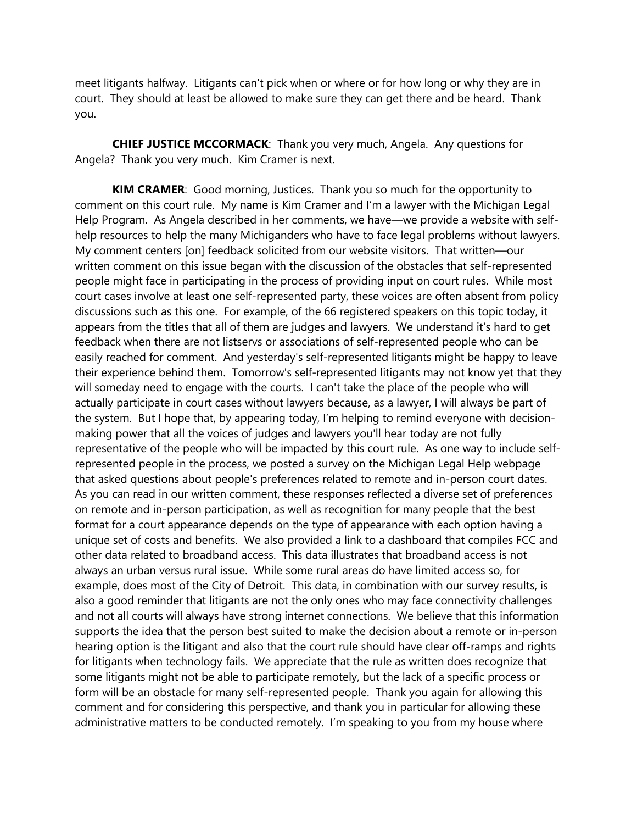meet litigants halfway. Litigants can't pick when or where or for how long or why they are in court. They should at least be allowed to make sure they can get there and be heard. Thank you.

**CHIEF JUSTICE MCCORMACK**: Thank you very much, Angela. Any questions for Angela? Thank you very much. Kim Cramer is next.

**KIM CRAMER**: Good morning, Justices. Thank you so much for the opportunity to comment on this court rule. My name is Kim Cramer and I'm a lawyer with the Michigan Legal Help Program. As Angela described in her comments, we have—we provide a website with selfhelp resources to help the many Michiganders who have to face legal problems without lawyers. My comment centers [on] feedback solicited from our website visitors. That written—our written comment on this issue began with the discussion of the obstacles that self-represented people might face in participating in the process of providing input on court rules. While most court cases involve at least one self-represented party, these voices are often absent from policy discussions such as this one. For example, of the 66 registered speakers on this topic today, it appears from the titles that all of them are judges and lawyers. We understand it's hard to get feedback when there are not listservs or associations of self-represented people who can be easily reached for comment. And yesterday's self-represented litigants might be happy to leave their experience behind them. Tomorrow's self-represented litigants may not know yet that they will someday need to engage with the courts. I can't take the place of the people who will actually participate in court cases without lawyers because, as a lawyer, I will always be part of the system. But I hope that, by appearing today, I'm helping to remind everyone with decisionmaking power that all the voices of judges and lawyers you'll hear today are not fully representative of the people who will be impacted by this court rule. As one way to include selfrepresented people in the process, we posted a survey on the Michigan Legal Help webpage that asked questions about people's preferences related to remote and in-person court dates. As you can read in our written comment, these responses reflected a diverse set of preferences on remote and in-person participation, as well as recognition for many people that the best format for a court appearance depends on the type of appearance with each option having a unique set of costs and benefits. We also provided a link to a dashboard that compiles FCC and other data related to broadband access. This data illustrates that broadband access is not always an urban versus rural issue. While some rural areas do have limited access so, for example, does most of the City of Detroit. This data, in combination with our survey results, is also a good reminder that litigants are not the only ones who may face connectivity challenges and not all courts will always have strong internet connections. We believe that this information supports the idea that the person best suited to make the decision about a remote or in-person hearing option is the litigant and also that the court rule should have clear off-ramps and rights for litigants when technology fails. We appreciate that the rule as written does recognize that some litigants might not be able to participate remotely, but the lack of a specific process or form will be an obstacle for many self-represented people. Thank you again for allowing this comment and for considering this perspective, and thank you in particular for allowing these administrative matters to be conducted remotely. I'm speaking to you from my house where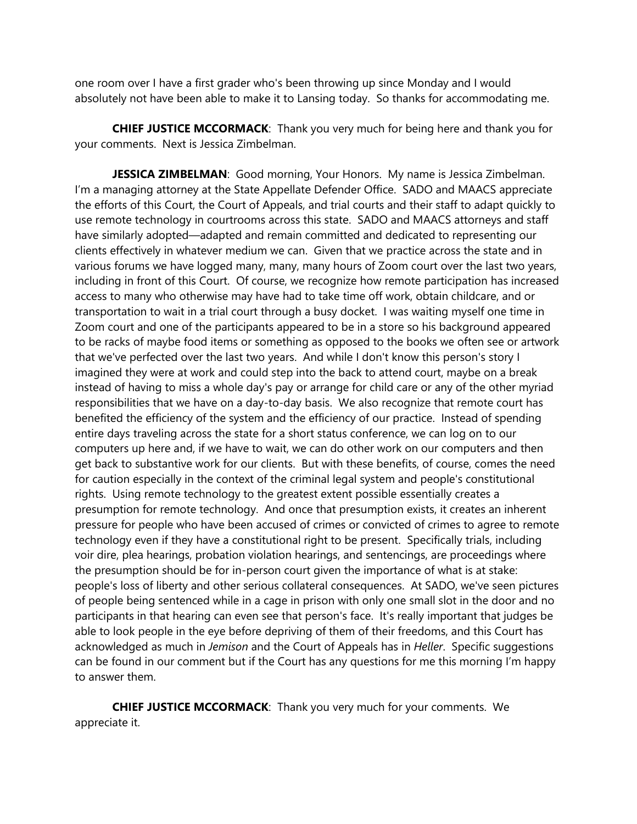one room over I have a first grader who's been throwing up since Monday and I would absolutely not have been able to make it to Lansing today. So thanks for accommodating me.

**CHIEF JUSTICE MCCORMACK**: Thank you very much for being here and thank you for your comments. Next is Jessica Zimbelman.

**JESSICA ZIMBELMAN:** Good morning, Your Honors. My name is Jessica Zimbelman. I'm a managing attorney at the State Appellate Defender Office. SADO and MAACS appreciate the efforts of this Court, the Court of Appeals, and trial courts and their staff to adapt quickly to use remote technology in courtrooms across this state. SADO and MAACS attorneys and staff have similarly adopted—adapted and remain committed and dedicated to representing our clients effectively in whatever medium we can. Given that we practice across the state and in various forums we have logged many, many, many hours of Zoom court over the last two years, including in front of this Court. Of course, we recognize how remote participation has increased access to many who otherwise may have had to take time off work, obtain childcare, and or transportation to wait in a trial court through a busy docket. I was waiting myself one time in Zoom court and one of the participants appeared to be in a store so his background appeared to be racks of maybe food items or something as opposed to the books we often see or artwork that we've perfected over the last two years. And while I don't know this person's story I imagined they were at work and could step into the back to attend court, maybe on a break instead of having to miss a whole day's pay or arrange for child care or any of the other myriad responsibilities that we have on a day-to-day basis. We also recognize that remote court has benefited the efficiency of the system and the efficiency of our practice. Instead of spending entire days traveling across the state for a short status conference, we can log on to our computers up here and, if we have to wait, we can do other work on our computers and then get back to substantive work for our clients. But with these benefits, of course, comes the need for caution especially in the context of the criminal legal system and people's constitutional rights. Using remote technology to the greatest extent possible essentially creates a presumption for remote technology. And once that presumption exists, it creates an inherent pressure for people who have been accused of crimes or convicted of crimes to agree to remote technology even if they have a constitutional right to be present. Specifically trials, including voir dire, plea hearings, probation violation hearings, and sentencings, are proceedings where the presumption should be for in-person court given the importance of what is at stake: people's loss of liberty and other serious collateral consequences. At SADO, we've seen pictures of people being sentenced while in a cage in prison with only one small slot in the door and no participants in that hearing can even see that person's face. It's really important that judges be able to look people in the eye before depriving of them of their freedoms, and this Court has acknowledged as much in *Jemison* and the Court of Appeals has in *Heller*. Specific suggestions can be found in our comment but if the Court has any questions for me this morning I'm happy to answer them.

**CHIEF JUSTICE MCCORMACK**: Thank you very much for your comments. We appreciate it.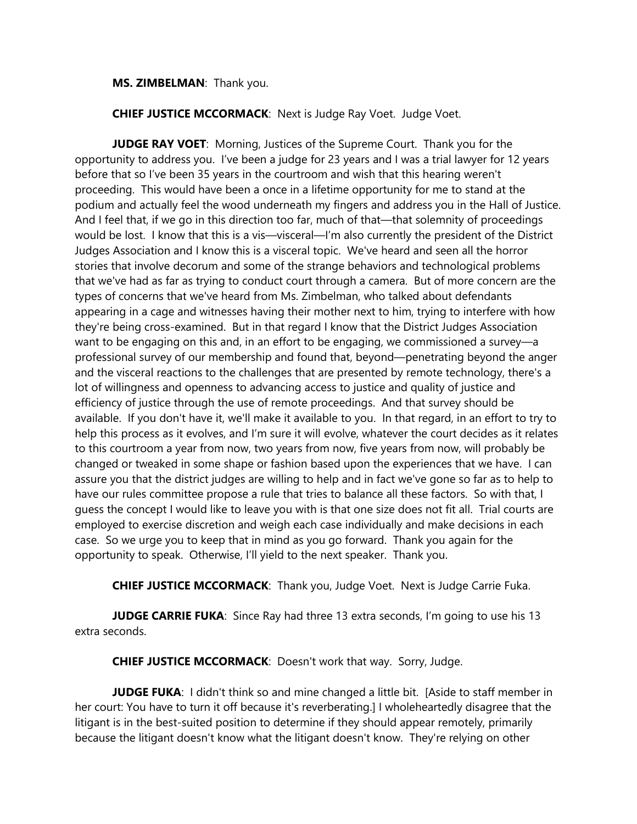### **MS. ZIMBELMAN**: Thank you.

**CHIEF JUSTICE MCCORMACK**: Next is Judge Ray Voet. Judge Voet.

**JUDGE RAY VOET**: Morning, Justices of the Supreme Court. Thank you for the opportunity to address you. I've been a judge for 23 years and I was a trial lawyer for 12 years before that so I've been 35 years in the courtroom and wish that this hearing weren't proceeding. This would have been a once in a lifetime opportunity for me to stand at the podium and actually feel the wood underneath my fingers and address you in the Hall of Justice. And I feel that, if we go in this direction too far, much of that—that solemnity of proceedings would be lost. I know that this is a vis—visceral—I'm also currently the president of the District Judges Association and I know this is a visceral topic. We've heard and seen all the horror stories that involve decorum and some of the strange behaviors and technological problems that we've had as far as trying to conduct court through a camera. But of more concern are the types of concerns that we've heard from Ms. Zimbelman, who talked about defendants appearing in a cage and witnesses having their mother next to him, trying to interfere with how they're being cross-examined. But in that regard I know that the District Judges Association want to be engaging on this and, in an effort to be engaging, we commissioned a survey—a professional survey of our membership and found that, beyond—penetrating beyond the anger and the visceral reactions to the challenges that are presented by remote technology, there's a lot of willingness and openness to advancing access to justice and quality of justice and efficiency of justice through the use of remote proceedings. And that survey should be available. If you don't have it, we'll make it available to you. In that regard, in an effort to try to help this process as it evolves, and I'm sure it will evolve, whatever the court decides as it relates to this courtroom a year from now, two years from now, five years from now, will probably be changed or tweaked in some shape or fashion based upon the experiences that we have. I can assure you that the district judges are willing to help and in fact we've gone so far as to help to have our rules committee propose a rule that tries to balance all these factors. So with that, I guess the concept I would like to leave you with is that one size does not fit all. Trial courts are employed to exercise discretion and weigh each case individually and make decisions in each case. So we urge you to keep that in mind as you go forward. Thank you again for the opportunity to speak. Otherwise, I'll yield to the next speaker. Thank you.

**CHIEF JUSTICE MCCORMACK**: Thank you, Judge Voet. Next is Judge Carrie Fuka.

**JUDGE CARRIE FUKA**: Since Ray had three 13 extra seconds, I'm going to use his 13 extra seconds.

**CHIEF JUSTICE MCCORMACK**: Doesn't work that way. Sorry, Judge.

**JUDGE FUKA:** I didn't think so and mine changed a little bit. [Aside to staff member in her court: You have to turn it off because it's reverberating.] I wholeheartedly disagree that the litigant is in the best-suited position to determine if they should appear remotely, primarily because the litigant doesn't know what the litigant doesn't know. They're relying on other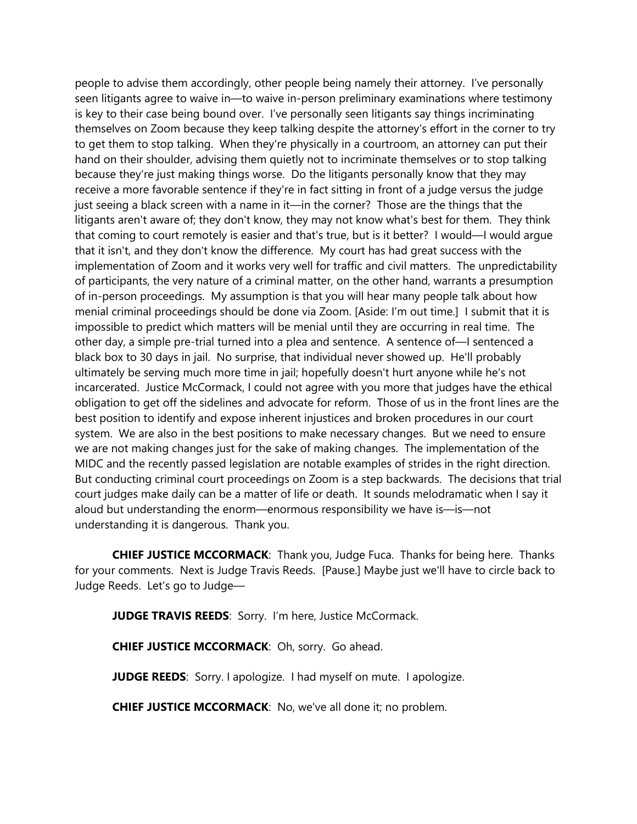people to advise them accordingly, other people being namely their attorney. I've personally seen litigants agree to waive in—to waive in-person preliminary examinations where testimony is key to their case being bound over. I've personally seen litigants say things incriminating themselves on Zoom because they keep talking despite the attorney's effort in the corner to try to get them to stop talking. When they're physically in a courtroom, an attorney can put their hand on their shoulder, advising them quietly not to incriminate themselves or to stop talking because they're just making things worse. Do the litigants personally know that they may receive a more favorable sentence if they're in fact sitting in front of a judge versus the judge just seeing a black screen with a name in it—in the corner? Those are the things that the litigants aren't aware of; they don't know, they may not know what's best for them. They think that coming to court remotely is easier and that's true, but is it better? I would—I would argue that it isn't, and they don't know the difference. My court has had great success with the implementation of Zoom and it works very well for traffic and civil matters. The unpredictability of participants, the very nature of a criminal matter, on the other hand, warrants a presumption of in-person proceedings. My assumption is that you will hear many people talk about how menial criminal proceedings should be done via Zoom. [Aside: I'm out time.] I submit that it is impossible to predict which matters will be menial until they are occurring in real time. The other day, a simple pre-trial turned into a plea and sentence. A sentence of—I sentenced a black box to 30 days in jail. No surprise, that individual never showed up. He'll probably ultimately be serving much more time in jail; hopefully doesn't hurt anyone while he's not incarcerated. Justice McCormack, I could not agree with you more that judges have the ethical obligation to get off the sidelines and advocate for reform. Those of us in the front lines are the best position to identify and expose inherent injustices and broken procedures in our court system. We are also in the best positions to make necessary changes. But we need to ensure we are not making changes just for the sake of making changes. The implementation of the MIDC and the recently passed legislation are notable examples of strides in the right direction. But conducting criminal court proceedings on Zoom is a step backwards. The decisions that trial court judges make daily can be a matter of life or death. It sounds melodramatic when I say it aloud but understanding the enorm—enormous responsibility we have is—is—not understanding it is dangerous. Thank you.

**CHIEF JUSTICE MCCORMACK**: Thank you, Judge Fuca. Thanks for being here. Thanks for your comments. Next is Judge Travis Reeds. [Pause.] Maybe just we'll have to circle back to Judge Reeds. Let's go to Judge—

**JUDGE TRAVIS REEDS**: Sorry. I'm here, Justice McCormack.

**CHIEF JUSTICE MCCORMACK**: Oh, sorry. Go ahead.

**JUDGE REEDS**: Sorry. I apologize. I had myself on mute. I apologize.

**CHIEF JUSTICE MCCORMACK**: No, we've all done it; no problem.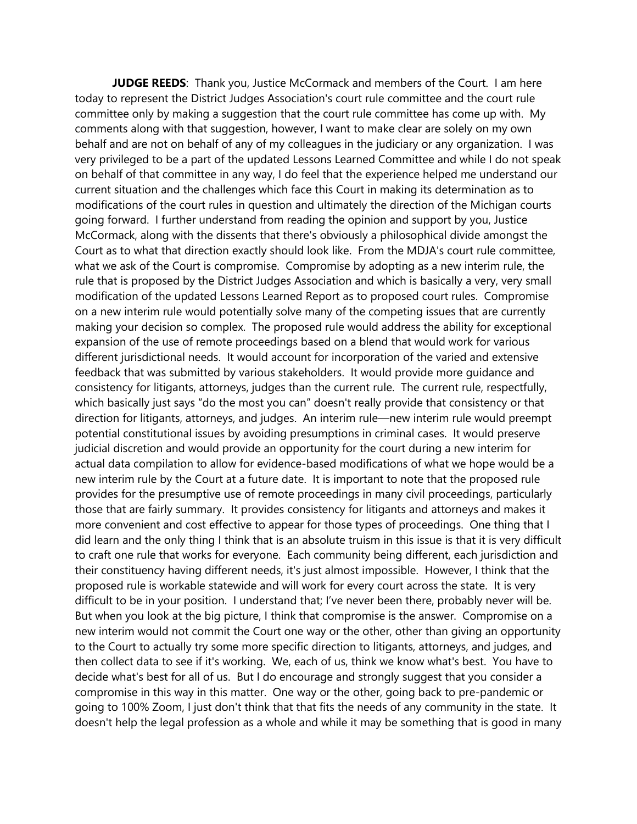**JUDGE REEDS**: Thank you, Justice McCormack and members of the Court. I am here today to represent the District Judges Association's court rule committee and the court rule committee only by making a suggestion that the court rule committee has come up with. My comments along with that suggestion, however, I want to make clear are solely on my own behalf and are not on behalf of any of my colleagues in the judiciary or any organization. I was very privileged to be a part of the updated Lessons Learned Committee and while I do not speak on behalf of that committee in any way, I do feel that the experience helped me understand our current situation and the challenges which face this Court in making its determination as to modifications of the court rules in question and ultimately the direction of the Michigan courts going forward. I further understand from reading the opinion and support by you, Justice McCormack, along with the dissents that there's obviously a philosophical divide amongst the Court as to what that direction exactly should look like. From the MDJA's court rule committee, what we ask of the Court is compromise. Compromise by adopting as a new interim rule, the rule that is proposed by the District Judges Association and which is basically a very, very small modification of the updated Lessons Learned Report as to proposed court rules. Compromise on a new interim rule would potentially solve many of the competing issues that are currently making your decision so complex. The proposed rule would address the ability for exceptional expansion of the use of remote proceedings based on a blend that would work for various different jurisdictional needs. It would account for incorporation of the varied and extensive feedback that was submitted by various stakeholders. It would provide more guidance and consistency for litigants, attorneys, judges than the current rule. The current rule, respectfully, which basically just says "do the most you can" doesn't really provide that consistency or that direction for litigants, attorneys, and judges. An interim rule—new interim rule would preempt potential constitutional issues by avoiding presumptions in criminal cases. It would preserve judicial discretion and would provide an opportunity for the court during a new interim for actual data compilation to allow for evidence-based modifications of what we hope would be a new interim rule by the Court at a future date. It is important to note that the proposed rule provides for the presumptive use of remote proceedings in many civil proceedings, particularly those that are fairly summary. It provides consistency for litigants and attorneys and makes it more convenient and cost effective to appear for those types of proceedings. One thing that I did learn and the only thing I think that is an absolute truism in this issue is that it is very difficult to craft one rule that works for everyone. Each community being different, each jurisdiction and their constituency having different needs, it's just almost impossible. However, I think that the proposed rule is workable statewide and will work for every court across the state. It is very difficult to be in your position. I understand that; I've never been there, probably never will be. But when you look at the big picture, I think that compromise is the answer. Compromise on a new interim would not commit the Court one way or the other, other than giving an opportunity to the Court to actually try some more specific direction to litigants, attorneys, and judges, and then collect data to see if it's working. We, each of us, think we know what's best. You have to decide what's best for all of us. But I do encourage and strongly suggest that you consider a compromise in this way in this matter. One way or the other, going back to pre-pandemic or going to 100% Zoom, I just don't think that that fits the needs of any community in the state. It doesn't help the legal profession as a whole and while it may be something that is good in many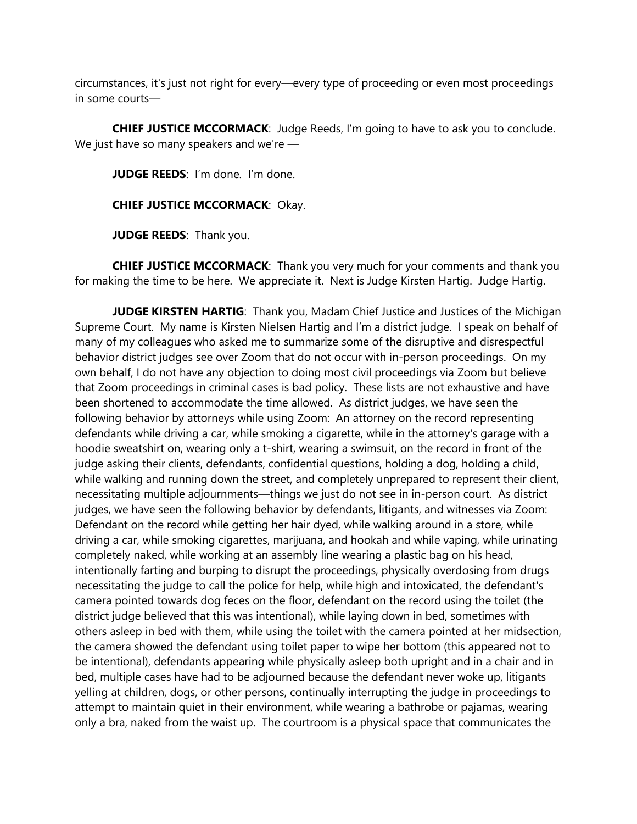circumstances, it's just not right for every—every type of proceeding or even most proceedings in some courts—

**CHIEF JUSTICE MCCORMACK**: Judge Reeds, I'm going to have to ask you to conclude. We just have so many speakers and we're —

**JUDGE REEDS:** I'm done. I'm done.

**CHIEF JUSTICE MCCORMACK**: Okay.

**JUDGE REEDS**: Thank you.

**CHIEF JUSTICE MCCORMACK**: Thank you very much for your comments and thank you for making the time to be here. We appreciate it. Next is Judge Kirsten Hartig. Judge Hartig.

**JUDGE KIRSTEN HARTIG**: Thank you, Madam Chief Justice and Justices of the Michigan Supreme Court. My name is Kirsten Nielsen Hartig and I'm a district judge. I speak on behalf of many of my colleagues who asked me to summarize some of the disruptive and disrespectful behavior district judges see over Zoom that do not occur with in-person proceedings. On my own behalf, I do not have any objection to doing most civil proceedings via Zoom but believe that Zoom proceedings in criminal cases is bad policy. These lists are not exhaustive and have been shortened to accommodate the time allowed. As district judges, we have seen the following behavior by attorneys while using Zoom: An attorney on the record representing defendants while driving a car, while smoking a cigarette, while in the attorney's garage with a hoodie sweatshirt on, wearing only a t-shirt, wearing a swimsuit, on the record in front of the judge asking their clients, defendants, confidential questions, holding a dog, holding a child, while walking and running down the street, and completely unprepared to represent their client, necessitating multiple adjournments—things we just do not see in in-person court. As district judges, we have seen the following behavior by defendants, litigants, and witnesses via Zoom: Defendant on the record while getting her hair dyed, while walking around in a store, while driving a car, while smoking cigarettes, marijuana, and hookah and while vaping, while urinating completely naked, while working at an assembly line wearing a plastic bag on his head, intentionally farting and burping to disrupt the proceedings, physically overdosing from drugs necessitating the judge to call the police for help, while high and intoxicated, the defendant's camera pointed towards dog feces on the floor, defendant on the record using the toilet (the district judge believed that this was intentional), while laying down in bed, sometimes with others asleep in bed with them, while using the toilet with the camera pointed at her midsection, the camera showed the defendant using toilet paper to wipe her bottom (this appeared not to be intentional), defendants appearing while physically asleep both upright and in a chair and in bed, multiple cases have had to be adjourned because the defendant never woke up, litigants yelling at children, dogs, or other persons, continually interrupting the judge in proceedings to attempt to maintain quiet in their environment, while wearing a bathrobe or pajamas, wearing only a bra, naked from the waist up. The courtroom is a physical space that communicates the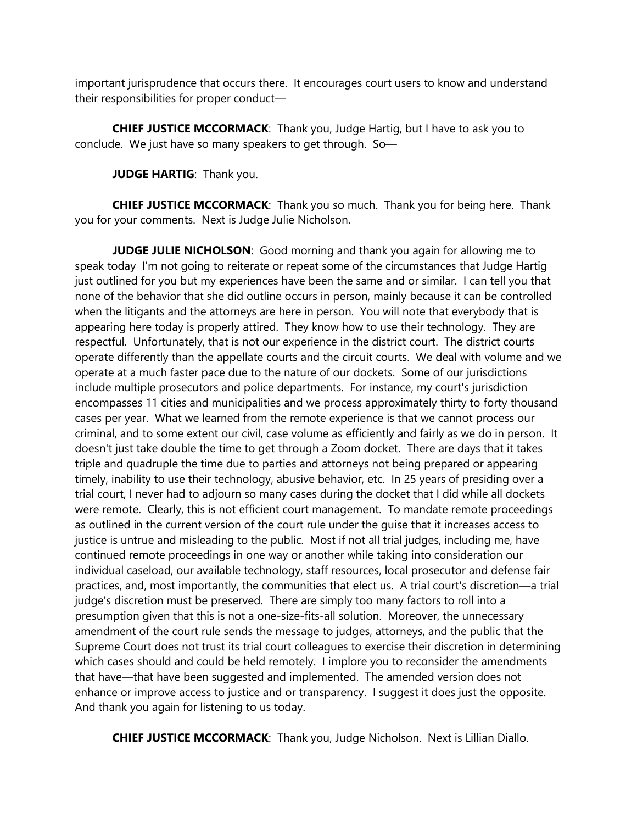important jurisprudence that occurs there. It encourages court users to know and understand their responsibilities for proper conduct—

**CHIEF JUSTICE MCCORMACK**: Thank you, Judge Hartig, but I have to ask you to conclude. We just have so many speakers to get through. So—

**JUDGE HARTIG**: Thank you.

**CHIEF JUSTICE MCCORMACK**: Thank you so much. Thank you for being here. Thank you for your comments. Next is Judge Julie Nicholson.

**JUDGE JULIE NICHOLSON**: Good morning and thank you again for allowing me to speak today I'm not going to reiterate or repeat some of the circumstances that Judge Hartig just outlined for you but my experiences have been the same and or similar. I can tell you that none of the behavior that she did outline occurs in person, mainly because it can be controlled when the litigants and the attorneys are here in person. You will note that everybody that is appearing here today is properly attired. They know how to use their technology. They are respectful. Unfortunately, that is not our experience in the district court. The district courts operate differently than the appellate courts and the circuit courts. We deal with volume and we operate at a much faster pace due to the nature of our dockets. Some of our jurisdictions include multiple prosecutors and police departments. For instance, my court's jurisdiction encompasses 11 cities and municipalities and we process approximately thirty to forty thousand cases per year. What we learned from the remote experience is that we cannot process our criminal, and to some extent our civil, case volume as efficiently and fairly as we do in person. It doesn't just take double the time to get through a Zoom docket. There are days that it takes triple and quadruple the time due to parties and attorneys not being prepared or appearing timely, inability to use their technology, abusive behavior, etc. In 25 years of presiding over a trial court, I never had to adjourn so many cases during the docket that I did while all dockets were remote. Clearly, this is not efficient court management. To mandate remote proceedings as outlined in the current version of the court rule under the guise that it increases access to justice is untrue and misleading to the public. Most if not all trial judges, including me, have continued remote proceedings in one way or another while taking into consideration our individual caseload, our available technology, staff resources, local prosecutor and defense fair practices, and, most importantly, the communities that elect us. A trial court's discretion—a trial judge's discretion must be preserved. There are simply too many factors to roll into a presumption given that this is not a one-size-fits-all solution. Moreover, the unnecessary amendment of the court rule sends the message to judges, attorneys, and the public that the Supreme Court does not trust its trial court colleagues to exercise their discretion in determining which cases should and could be held remotely. I implore you to reconsider the amendments that have—that have been suggested and implemented. The amended version does not enhance or improve access to justice and or transparency. I suggest it does just the opposite. And thank you again for listening to us today.

**CHIEF JUSTICE MCCORMACK**: Thank you, Judge Nicholson. Next is Lillian Diallo.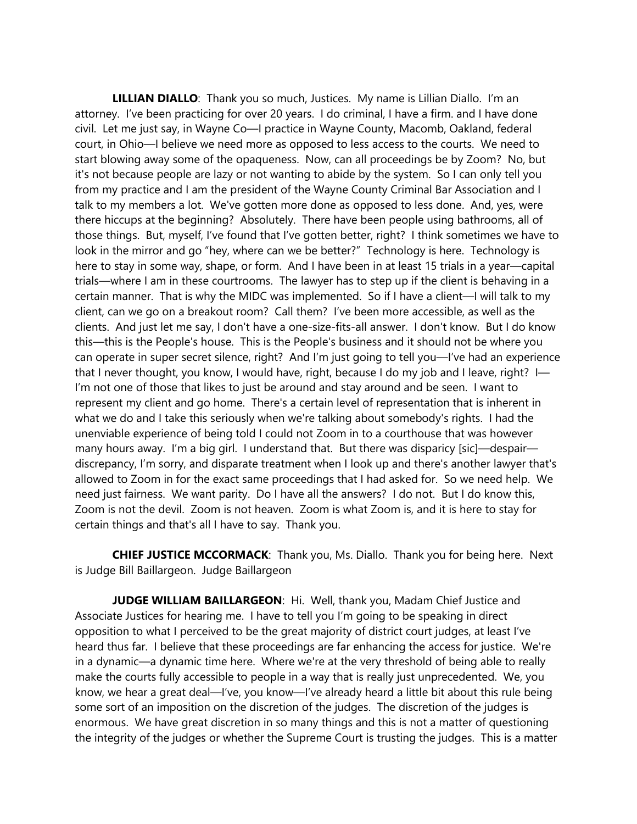**LILLIAN DIALLO**: Thank you so much, Justices. My name is Lillian Diallo. I'm an attorney. I've been practicing for over 20 years. I do criminal, I have a firm. and I have done civil. Let me just say, in Wayne Co—I practice in Wayne County, Macomb, Oakland, federal court, in Ohio—I believe we need more as opposed to less access to the courts. We need to start blowing away some of the opaqueness. Now, can all proceedings be by Zoom? No, but it's not because people are lazy or not wanting to abide by the system. So I can only tell you from my practice and I am the president of the Wayne County Criminal Bar Association and I talk to my members a lot. We've gotten more done as opposed to less done. And, yes, were there hiccups at the beginning? Absolutely. There have been people using bathrooms, all of those things. But, myself, I've found that I've gotten better, right? I think sometimes we have to look in the mirror and go "hey, where can we be better?" Technology is here. Technology is here to stay in some way, shape, or form. And I have been in at least 15 trials in a year—capital trials—where I am in these courtrooms. The lawyer has to step up if the client is behaving in a certain manner. That is why the MIDC was implemented. So if I have a client—I will talk to my client, can we go on a breakout room? Call them? I've been more accessible, as well as the clients. And just let me say, I don't have a one-size-fits-all answer. I don't know. But I do know this—this is the People's house. This is the People's business and it should not be where you can operate in super secret silence, right? And I'm just going to tell you—I've had an experience that I never thought, you know, I would have, right, because I do my job and I leave, right? I— I'm not one of those that likes to just be around and stay around and be seen. I want to represent my client and go home. There's a certain level of representation that is inherent in what we do and I take this seriously when we're talking about somebody's rights. I had the unenviable experience of being told I could not Zoom in to a courthouse that was however many hours away. I'm a big girl. I understand that. But there was disparicy [sic]—despair discrepancy, I'm sorry, and disparate treatment when I look up and there's another lawyer that's allowed to Zoom in for the exact same proceedings that I had asked for. So we need help. We need just fairness. We want parity. Do I have all the answers? I do not. But I do know this, Zoom is not the devil. Zoom is not heaven. Zoom is what Zoom is, and it is here to stay for certain things and that's all I have to say. Thank you.

**CHIEF JUSTICE MCCORMACK**: Thank you, Ms. Diallo. Thank you for being here. Next is Judge Bill Baillargeon. Judge Baillargeon

**JUDGE WILLIAM BAILLARGEON**: Hi. Well, thank you, Madam Chief Justice and Associate Justices for hearing me. I have to tell you I'm going to be speaking in direct opposition to what I perceived to be the great majority of district court judges, at least I've heard thus far. I believe that these proceedings are far enhancing the access for justice. We're in a dynamic—a dynamic time here. Where we're at the very threshold of being able to really make the courts fully accessible to people in a way that is really just unprecedented. We, you know, we hear a great deal—I've, you know—I've already heard a little bit about this rule being some sort of an imposition on the discretion of the judges. The discretion of the judges is enormous. We have great discretion in so many things and this is not a matter of questioning the integrity of the judges or whether the Supreme Court is trusting the judges. This is a matter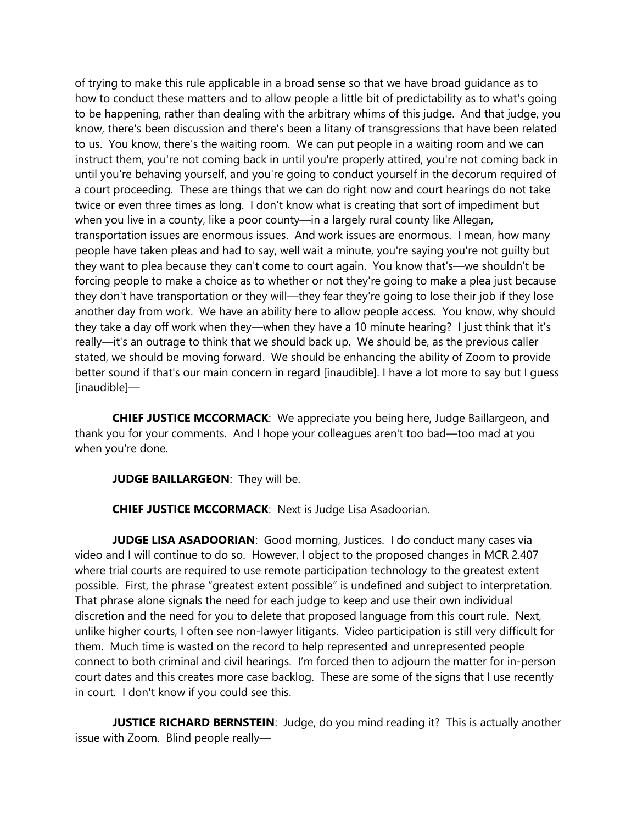of trying to make this rule applicable in a broad sense so that we have broad guidance as to how to conduct these matters and to allow people a little bit of predictability as to what's going to be happening, rather than dealing with the arbitrary whims of this judge. And that judge, you know, there's been discussion and there's been a litany of transgressions that have been related to us. You know, there's the waiting room. We can put people in a waiting room and we can instruct them, you're not coming back in until you're properly attired, you're not coming back in until you're behaving yourself, and you're going to conduct yourself in the decorum required of a court proceeding. These are things that we can do right now and court hearings do not take twice or even three times as long. I don't know what is creating that sort of impediment but when you live in a county, like a poor county—in a largely rural county like Allegan, transportation issues are enormous issues. And work issues are enormous. I mean, how many people have taken pleas and had to say, well wait a minute, you're saying you're not guilty but they want to plea because they can't come to court again. You know that's—we shouldn't be forcing people to make a choice as to whether or not they're going to make a plea just because they don't have transportation or they will—they fear they're going to lose their job if they lose another day from work. We have an ability here to allow people access. You know, why should they take a day off work when they—when they have a 10 minute hearing? I just think that it's really—it's an outrage to think that we should back up. We should be, as the previous caller stated, we should be moving forward. We should be enhancing the ability of Zoom to provide better sound if that's our main concern in regard [inaudible]. I have a lot more to say but I guess [inaudible]—

**CHIEF JUSTICE MCCORMACK**: We appreciate you being here, Judge Baillargeon, and thank you for your comments. And I hope your colleagues aren't too bad—too mad at you when you're done.

**JUDGE BAILLARGEON**: They will be.

**CHIEF JUSTICE MCCORMACK**: Next is Judge Lisa Asadoorian.

**JUDGE LISA ASADOORIAN**: Good morning, Justices. I do conduct many cases via video and I will continue to do so. However, I object to the proposed changes in MCR 2.407 where trial courts are required to use remote participation technology to the greatest extent possible. First, the phrase "greatest extent possible" is undefined and subject to interpretation. That phrase alone signals the need for each judge to keep and use their own individual discretion and the need for you to delete that proposed language from this court rule. Next, unlike higher courts, I often see non-lawyer litigants. Video participation is still very difficult for them. Much time is wasted on the record to help represented and unrepresented people connect to both criminal and civil hearings. I'm forced then to adjourn the matter for in-person court dates and this creates more case backlog. These are some of the signs that I use recently in court. I don't know if you could see this.

**JUSTICE RICHARD BERNSTEIN:** Judge, do you mind reading it? This is actually another issue with Zoom. Blind people really—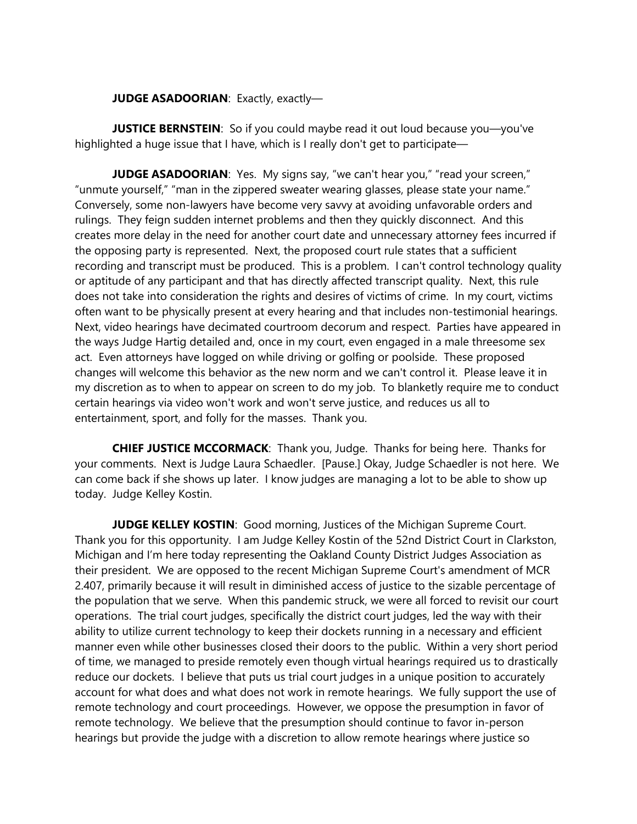### **JUDGE ASADOORIAN: Exactly, exactly-**

**JUSTICE BERNSTEIN**: So if you could maybe read it out loud because you-you've highlighted a huge issue that I have, which is I really don't get to participate—

**JUDGE ASADOORIAN:** Yes. My signs say, "we can't hear you," "read your screen," "unmute yourself," "man in the zippered sweater wearing glasses, please state your name." Conversely, some non-lawyers have become very savvy at avoiding unfavorable orders and rulings. They feign sudden internet problems and then they quickly disconnect. And this creates more delay in the need for another court date and unnecessary attorney fees incurred if the opposing party is represented. Next, the proposed court rule states that a sufficient recording and transcript must be produced. This is a problem. I can't control technology quality or aptitude of any participant and that has directly affected transcript quality. Next, this rule does not take into consideration the rights and desires of victims of crime. In my court, victims often want to be physically present at every hearing and that includes non-testimonial hearings. Next, video hearings have decimated courtroom decorum and respect. Parties have appeared in the ways Judge Hartig detailed and, once in my court, even engaged in a male threesome sex act. Even attorneys have logged on while driving or golfing or poolside. These proposed changes will welcome this behavior as the new norm and we can't control it. Please leave it in my discretion as to when to appear on screen to do my job. To blanketly require me to conduct certain hearings via video won't work and won't serve justice, and reduces us all to entertainment, sport, and folly for the masses. Thank you.

**CHIEF JUSTICE MCCORMACK**: Thank you, Judge. Thanks for being here. Thanks for your comments. Next is Judge Laura Schaedler. [Pause.] Okay, Judge Schaedler is not here. We can come back if she shows up later. I know judges are managing a lot to be able to show up today. Judge Kelley Kostin.

**JUDGE KELLEY KOSTIN:** Good morning, Justices of the Michigan Supreme Court. Thank you for this opportunity. I am Judge Kelley Kostin of the 52nd District Court in Clarkston, Michigan and I'm here today representing the Oakland County District Judges Association as their president. We are opposed to the recent Michigan Supreme Court's amendment of MCR 2.407, primarily because it will result in diminished access of justice to the sizable percentage of the population that we serve. When this pandemic struck, we were all forced to revisit our court operations. The trial court judges, specifically the district court judges, led the way with their ability to utilize current technology to keep their dockets running in a necessary and efficient manner even while other businesses closed their doors to the public. Within a very short period of time, we managed to preside remotely even though virtual hearings required us to drastically reduce our dockets. I believe that puts us trial court judges in a unique position to accurately account for what does and what does not work in remote hearings. We fully support the use of remote technology and court proceedings. However, we oppose the presumption in favor of remote technology. We believe that the presumption should continue to favor in-person hearings but provide the judge with a discretion to allow remote hearings where justice so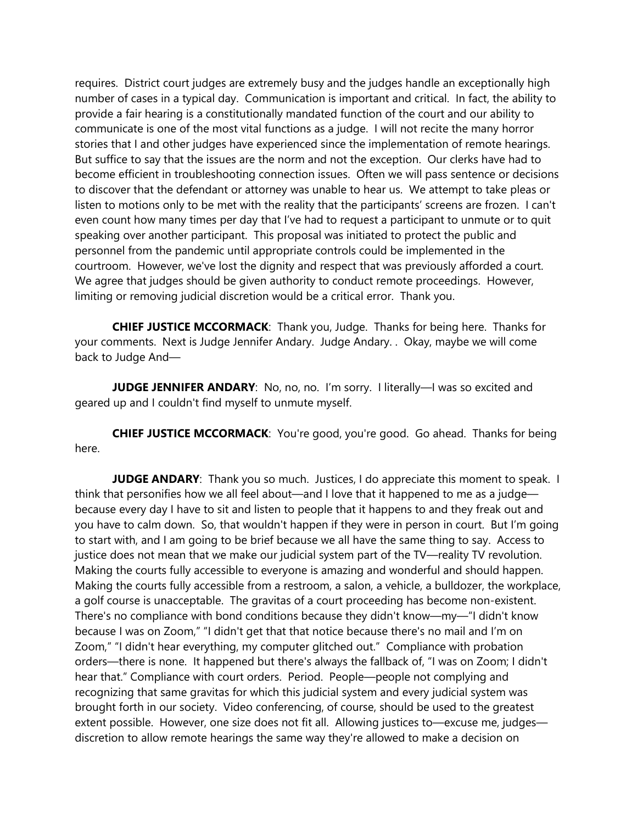requires. District court judges are extremely busy and the judges handle an exceptionally high number of cases in a typical day. Communication is important and critical. In fact, the ability to provide a fair hearing is a constitutionally mandated function of the court and our ability to communicate is one of the most vital functions as a judge. I will not recite the many horror stories that I and other judges have experienced since the implementation of remote hearings. But suffice to say that the issues are the norm and not the exception. Our clerks have had to become efficient in troubleshooting connection issues. Often we will pass sentence or decisions to discover that the defendant or attorney was unable to hear us. We attempt to take pleas or listen to motions only to be met with the reality that the participants' screens are frozen. I can't even count how many times per day that I've had to request a participant to unmute or to quit speaking over another participant. This proposal was initiated to protect the public and personnel from the pandemic until appropriate controls could be implemented in the courtroom. However, we've lost the dignity and respect that was previously afforded a court. We agree that judges should be given authority to conduct remote proceedings. However, limiting or removing judicial discretion would be a critical error. Thank you.

**CHIEF JUSTICE MCCORMACK**: Thank you, Judge. Thanks for being here. Thanks for your comments. Next is Judge Jennifer Andary. Judge Andary. . Okay, maybe we will come back to Judge And—

**JUDGE JENNIFER ANDARY**: No, no, no. I'm sorry. I literally—I was so excited and geared up and I couldn't find myself to unmute myself.

**CHIEF JUSTICE MCCORMACK**: You're good, you're good. Go ahead. Thanks for being here.

**JUDGE ANDARY:** Thank you so much. Justices, I do appreciate this moment to speak. I think that personifies how we all feel about—and I love that it happened to me as a judge because every day I have to sit and listen to people that it happens to and they freak out and you have to calm down. So, that wouldn't happen if they were in person in court. But I'm going to start with, and I am going to be brief because we all have the same thing to say. Access to justice does not mean that we make our judicial system part of the TV—reality TV revolution. Making the courts fully accessible to everyone is amazing and wonderful and should happen. Making the courts fully accessible from a restroom, a salon, a vehicle, a bulldozer, the workplace, a golf course is unacceptable. The gravitas of a court proceeding has become non-existent. There's no compliance with bond conditions because they didn't know—my—"I didn't know because I was on Zoom," "I didn't get that that notice because there's no mail and I'm on Zoom," "I didn't hear everything, my computer glitched out." Compliance with probation orders—there is none. It happened but there's always the fallback of, "I was on Zoom; I didn't hear that." Compliance with court orders. Period. People—people not complying and recognizing that same gravitas for which this judicial system and every judicial system was brought forth in our society. Video conferencing, of course, should be used to the greatest extent possible. However, one size does not fit all. Allowing justices to—excuse me, judges discretion to allow remote hearings the same way they're allowed to make a decision on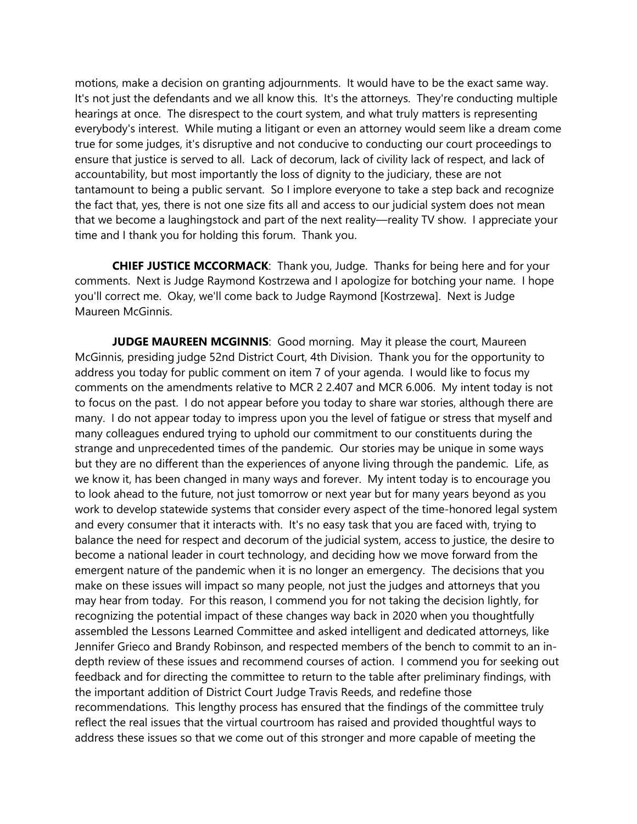motions, make a decision on granting adjournments. It would have to be the exact same way. It's not just the defendants and we all know this. It's the attorneys. They're conducting multiple hearings at once. The disrespect to the court system, and what truly matters is representing everybody's interest. While muting a litigant or even an attorney would seem like a dream come true for some judges, it's disruptive and not conducive to conducting our court proceedings to ensure that justice is served to all. Lack of decorum, lack of civility lack of respect, and lack of accountability, but most importantly the loss of dignity to the judiciary, these are not tantamount to being a public servant. So I implore everyone to take a step back and recognize the fact that, yes, there is not one size fits all and access to our judicial system does not mean that we become a laughingstock and part of the next reality—reality TV show. I appreciate your time and I thank you for holding this forum. Thank you.

**CHIEF JUSTICE MCCORMACK**: Thank you, Judge. Thanks for being here and for your comments. Next is Judge Raymond Kostrzewa and I apologize for botching your name. I hope you'll correct me. Okay, we'll come back to Judge Raymond [Kostrzewa]. Next is Judge Maureen McGinnis.

**JUDGE MAUREEN MCGINNIS:** Good morning. May it please the court, Maureen McGinnis, presiding judge 52nd District Court, 4th Division. Thank you for the opportunity to address you today for public comment on item 7 of your agenda. I would like to focus my comments on the amendments relative to MCR 2 2.407 and MCR 6.006. My intent today is not to focus on the past. I do not appear before you today to share war stories, although there are many. I do not appear today to impress upon you the level of fatigue or stress that myself and many colleagues endured trying to uphold our commitment to our constituents during the strange and unprecedented times of the pandemic. Our stories may be unique in some ways but they are no different than the experiences of anyone living through the pandemic. Life, as we know it, has been changed in many ways and forever. My intent today is to encourage you to look ahead to the future, not just tomorrow or next year but for many years beyond as you work to develop statewide systems that consider every aspect of the time-honored legal system and every consumer that it interacts with. It's no easy task that you are faced with, trying to balance the need for respect and decorum of the judicial system, access to justice, the desire to become a national leader in court technology, and deciding how we move forward from the emergent nature of the pandemic when it is no longer an emergency. The decisions that you make on these issues will impact so many people, not just the judges and attorneys that you may hear from today. For this reason, I commend you for not taking the decision lightly, for recognizing the potential impact of these changes way back in 2020 when you thoughtfully assembled the Lessons Learned Committee and asked intelligent and dedicated attorneys, like Jennifer Grieco and Brandy Robinson, and respected members of the bench to commit to an indepth review of these issues and recommend courses of action. I commend you for seeking out feedback and for directing the committee to return to the table after preliminary findings, with the important addition of District Court Judge Travis Reeds, and redefine those recommendations. This lengthy process has ensured that the findings of the committee truly reflect the real issues that the virtual courtroom has raised and provided thoughtful ways to address these issues so that we come out of this stronger and more capable of meeting the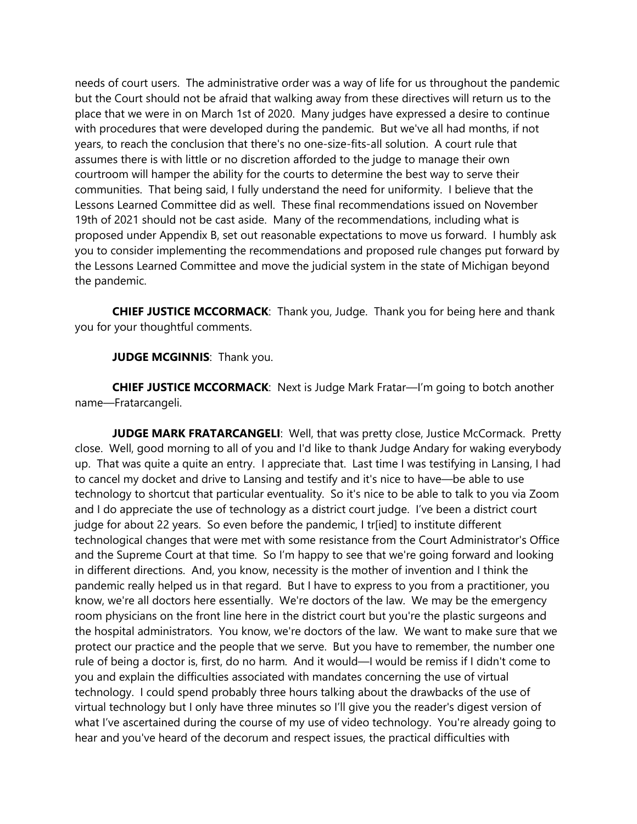needs of court users. The administrative order was a way of life for us throughout the pandemic but the Court should not be afraid that walking away from these directives will return us to the place that we were in on March 1st of 2020. Many judges have expressed a desire to continue with procedures that were developed during the pandemic. But we've all had months, if not years, to reach the conclusion that there's no one-size-fits-all solution. A court rule that assumes there is with little or no discretion afforded to the judge to manage their own courtroom will hamper the ability for the courts to determine the best way to serve their communities. That being said, I fully understand the need for uniformity. I believe that the Lessons Learned Committee did as well. These final recommendations issued on November 19th of 2021 should not be cast aside. Many of the recommendations, including what is proposed under Appendix B, set out reasonable expectations to move us forward. I humbly ask you to consider implementing the recommendations and proposed rule changes put forward by the Lessons Learned Committee and move the judicial system in the state of Michigan beyond the pandemic.

**CHIEF JUSTICE MCCORMACK**: Thank you, Judge. Thank you for being here and thank you for your thoughtful comments.

**JUDGE MCGINNIS: Thank you.** 

**CHIEF JUSTICE MCCORMACK**: Next is Judge Mark Fratar—I'm going to botch another name—Fratarcangeli.

**JUDGE MARK FRATARCANGELI:** Well, that was pretty close, Justice McCormack. Pretty close. Well, good morning to all of you and I'd like to thank Judge Andary for waking everybody up. That was quite a quite an entry. I appreciate that. Last time I was testifying in Lansing, I had to cancel my docket and drive to Lansing and testify and it's nice to have—be able to use technology to shortcut that particular eventuality. So it's nice to be able to talk to you via Zoom and I do appreciate the use of technology as a district court judge. I've been a district court judge for about 22 years. So even before the pandemic, I tr[ied] to institute different technological changes that were met with some resistance from the Court Administrator's Office and the Supreme Court at that time. So I'm happy to see that we're going forward and looking in different directions. And, you know, necessity is the mother of invention and I think the pandemic really helped us in that regard. But I have to express to you from a practitioner, you know, we're all doctors here essentially. We're doctors of the law. We may be the emergency room physicians on the front line here in the district court but you're the plastic surgeons and the hospital administrators. You know, we're doctors of the law. We want to make sure that we protect our practice and the people that we serve. But you have to remember, the number one rule of being a doctor is, first, do no harm. And it would—I would be remiss if I didn't come to you and explain the difficulties associated with mandates concerning the use of virtual technology. I could spend probably three hours talking about the drawbacks of the use of virtual technology but I only have three minutes so I'll give you the reader's digest version of what I've ascertained during the course of my use of video technology. You're already going to hear and you've heard of the decorum and respect issues, the practical difficulties with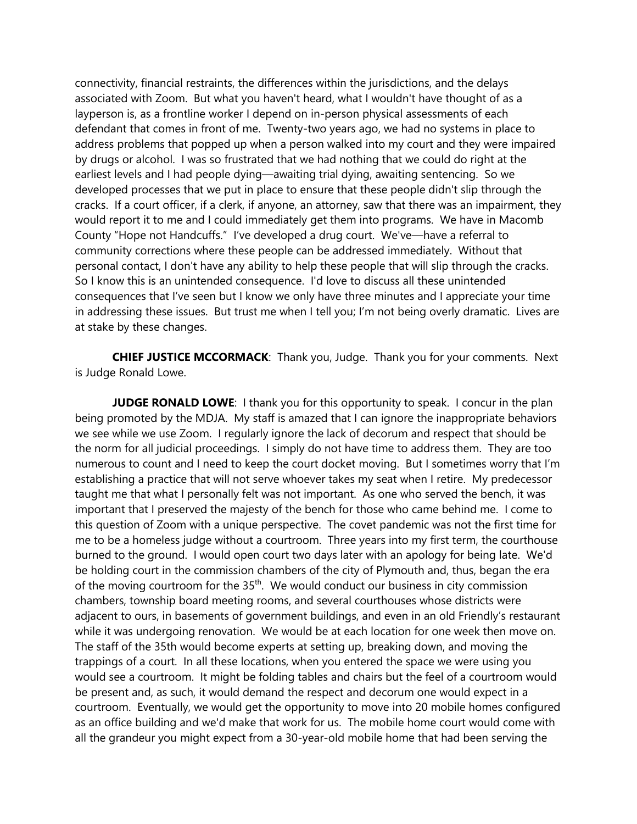connectivity, financial restraints, the differences within the jurisdictions, and the delays associated with Zoom. But what you haven't heard, what I wouldn't have thought of as a layperson is, as a frontline worker I depend on in-person physical assessments of each defendant that comes in front of me. Twenty-two years ago, we had no systems in place to address problems that popped up when a person walked into my court and they were impaired by drugs or alcohol. I was so frustrated that we had nothing that we could do right at the earliest levels and I had people dying—awaiting trial dying, awaiting sentencing. So we developed processes that we put in place to ensure that these people didn't slip through the cracks. If a court officer, if a clerk, if anyone, an attorney, saw that there was an impairment, they would report it to me and I could immediately get them into programs. We have in Macomb County "Hope not Handcuffs." I've developed a drug court. We've—have a referral to community corrections where these people can be addressed immediately. Without that personal contact, I don't have any ability to help these people that will slip through the cracks. So I know this is an unintended consequence. I'd love to discuss all these unintended consequences that I've seen but I know we only have three minutes and I appreciate your time in addressing these issues. But trust me when I tell you; I'm not being overly dramatic. Lives are at stake by these changes.

**CHIEF JUSTICE MCCORMACK**: Thank you, Judge. Thank you for your comments. Next is Judge Ronald Lowe.

**JUDGE RONALD LOWE:** I thank you for this opportunity to speak. I concur in the plan being promoted by the MDJA. My staff is amazed that I can ignore the inappropriate behaviors we see while we use Zoom. I regularly ignore the lack of decorum and respect that should be the norm for all judicial proceedings. I simply do not have time to address them. They are too numerous to count and I need to keep the court docket moving. But I sometimes worry that I'm establishing a practice that will not serve whoever takes my seat when I retire. My predecessor taught me that what I personally felt was not important. As one who served the bench, it was important that I preserved the majesty of the bench for those who came behind me. I come to this question of Zoom with a unique perspective. The covet pandemic was not the first time for me to be a homeless judge without a courtroom. Three years into my first term, the courthouse burned to the ground. I would open court two days later with an apology for being late. We'd be holding court in the commission chambers of the city of Plymouth and, thus, began the era of the moving courtroom for the  $35<sup>th</sup>$ . We would conduct our business in city commission chambers, township board meeting rooms, and several courthouses whose districts were adjacent to ours, in basements of government buildings, and even in an old Friendly's restaurant while it was undergoing renovation. We would be at each location for one week then move on. The staff of the 35th would become experts at setting up, breaking down, and moving the trappings of a court. In all these locations, when you entered the space we were using you would see a courtroom. It might be folding tables and chairs but the feel of a courtroom would be present and, as such, it would demand the respect and decorum one would expect in a courtroom. Eventually, we would get the opportunity to move into 20 mobile homes configured as an office building and we'd make that work for us. The mobile home court would come with all the grandeur you might expect from a 30-year-old mobile home that had been serving the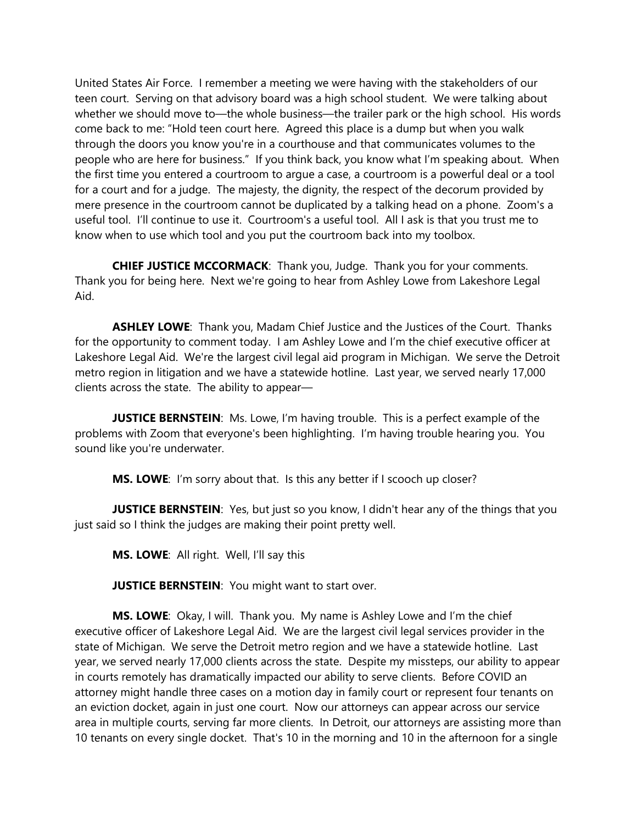United States Air Force. I remember a meeting we were having with the stakeholders of our teen court. Serving on that advisory board was a high school student. We were talking about whether we should move to—the whole business—the trailer park or the high school. His words come back to me: "Hold teen court here. Agreed this place is a dump but when you walk through the doors you know you're in a courthouse and that communicates volumes to the people who are here for business." If you think back, you know what I'm speaking about. When the first time you entered a courtroom to argue a case, a courtroom is a powerful deal or a tool for a court and for a judge. The majesty, the dignity, the respect of the decorum provided by mere presence in the courtroom cannot be duplicated by a talking head on a phone. Zoom's a useful tool. I'll continue to use it. Courtroom's a useful tool. All I ask is that you trust me to know when to use which tool and you put the courtroom back into my toolbox.

**CHIEF JUSTICE MCCORMACK**: Thank you, Judge. Thank you for your comments. Thank you for being here. Next we're going to hear from Ashley Lowe from Lakeshore Legal Aid.

**ASHLEY LOWE**: Thank you, Madam Chief Justice and the Justices of the Court. Thanks for the opportunity to comment today. I am Ashley Lowe and I'm the chief executive officer at Lakeshore Legal Aid. We're the largest civil legal aid program in Michigan. We serve the Detroit metro region in litigation and we have a statewide hotline. Last year, we served nearly 17,000 clients across the state. The ability to appear—

**JUSTICE BERNSTEIN:** Ms. Lowe, I'm having trouble. This is a perfect example of the problems with Zoom that everyone's been highlighting. I'm having trouble hearing you. You sound like you're underwater.

**MS. LOWE**: I'm sorry about that. Is this any better if I scooch up closer?

**JUSTICE BERNSTEIN:** Yes, but just so you know, I didn't hear any of the things that you just said so I think the judges are making their point pretty well.

**MS. LOWE**: All right. Well, I'll say this

**JUSTICE BERNSTEIN:** You might want to start over.

**MS. LOWE**: Okay, I will. Thank you. My name is Ashley Lowe and I'm the chief executive officer of Lakeshore Legal Aid. We are the largest civil legal services provider in the state of Michigan. We serve the Detroit metro region and we have a statewide hotline. Last year, we served nearly 17,000 clients across the state. Despite my missteps, our ability to appear in courts remotely has dramatically impacted our ability to serve clients. Before COVID an attorney might handle three cases on a motion day in family court or represent four tenants on an eviction docket, again in just one court. Now our attorneys can appear across our service area in multiple courts, serving far more clients. In Detroit, our attorneys are assisting more than 10 tenants on every single docket. That's 10 in the morning and 10 in the afternoon for a single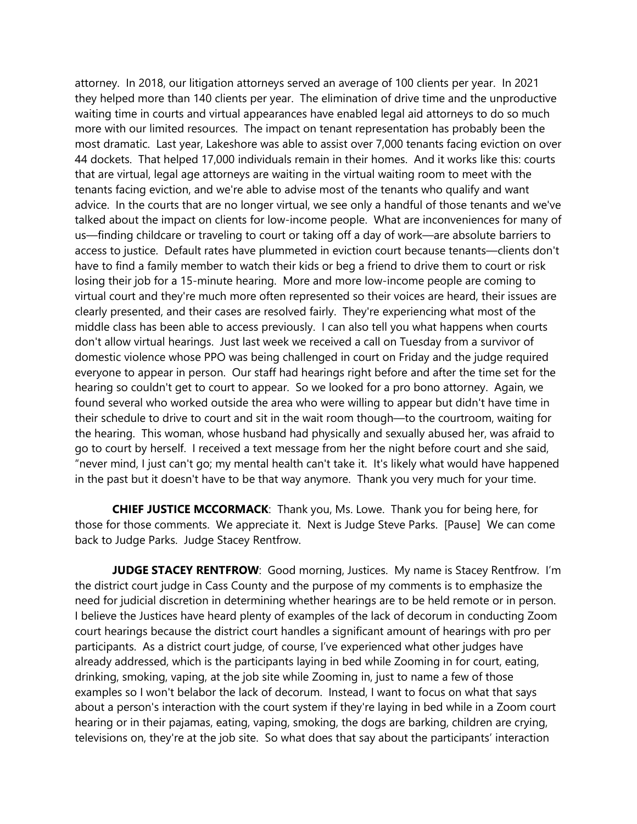attorney. In 2018, our litigation attorneys served an average of 100 clients per year. In 2021 they helped more than 140 clients per year. The elimination of drive time and the unproductive waiting time in courts and virtual appearances have enabled legal aid attorneys to do so much more with our limited resources. The impact on tenant representation has probably been the most dramatic. Last year, Lakeshore was able to assist over 7,000 tenants facing eviction on over 44 dockets. That helped 17,000 individuals remain in their homes. And it works like this: courts that are virtual, legal age attorneys are waiting in the virtual waiting room to meet with the tenants facing eviction, and we're able to advise most of the tenants who qualify and want advice. In the courts that are no longer virtual, we see only a handful of those tenants and we've talked about the impact on clients for low-income people. What are inconveniences for many of us—finding childcare or traveling to court or taking off a day of work—are absolute barriers to access to justice. Default rates have plummeted in eviction court because tenants—clients don't have to find a family member to watch their kids or beg a friend to drive them to court or risk losing their job for a 15-minute hearing. More and more low-income people are coming to virtual court and they're much more often represented so their voices are heard, their issues are clearly presented, and their cases are resolved fairly. They're experiencing what most of the middle class has been able to access previously. I can also tell you what happens when courts don't allow virtual hearings. Just last week we received a call on Tuesday from a survivor of domestic violence whose PPO was being challenged in court on Friday and the judge required everyone to appear in person. Our staff had hearings right before and after the time set for the hearing so couldn't get to court to appear. So we looked for a pro bono attorney. Again, we found several who worked outside the area who were willing to appear but didn't have time in their schedule to drive to court and sit in the wait room though—to the courtroom, waiting for the hearing. This woman, whose husband had physically and sexually abused her, was afraid to go to court by herself. I received a text message from her the night before court and she said, "never mind, I just can't go; my mental health can't take it. It's likely what would have happened in the past but it doesn't have to be that way anymore. Thank you very much for your time.

**CHIEF JUSTICE MCCORMACK**: Thank you, Ms. Lowe. Thank you for being here, for those for those comments. We appreciate it. Next is Judge Steve Parks. [Pause] We can come back to Judge Parks. Judge Stacey Rentfrow.

**JUDGE STACEY RENTFROW**: Good morning, Justices. My name is Stacey Rentfrow. I'm the district court judge in Cass County and the purpose of my comments is to emphasize the need for judicial discretion in determining whether hearings are to be held remote or in person. I believe the Justices have heard plenty of examples of the lack of decorum in conducting Zoom court hearings because the district court handles a significant amount of hearings with pro per participants. As a district court judge, of course, I've experienced what other judges have already addressed, which is the participants laying in bed while Zooming in for court, eating, drinking, smoking, vaping, at the job site while Zooming in, just to name a few of those examples so I won't belabor the lack of decorum. Instead, I want to focus on what that says about a person's interaction with the court system if they're laying in bed while in a Zoom court hearing or in their pajamas, eating, vaping, smoking, the dogs are barking, children are crying, televisions on, they're at the job site. So what does that say about the participants' interaction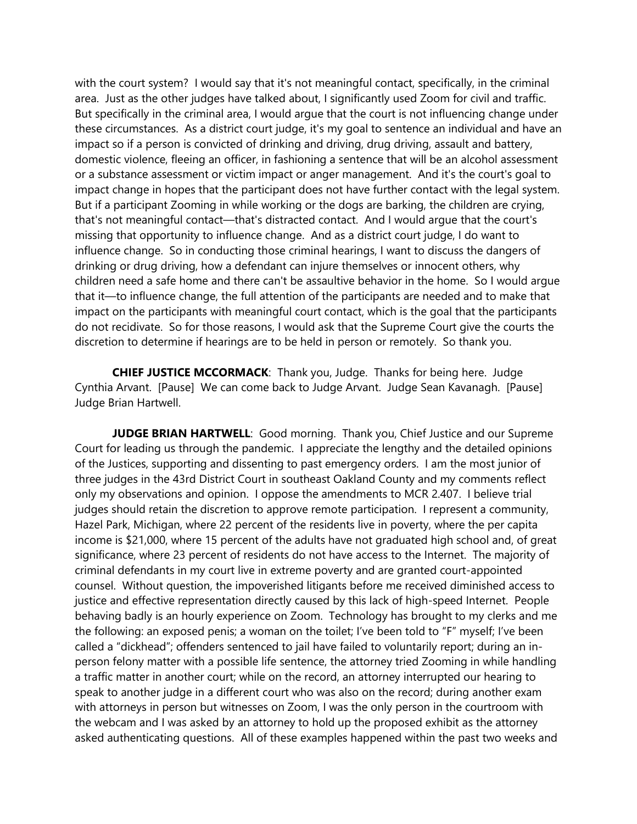with the court system? I would say that it's not meaningful contact, specifically, in the criminal area. Just as the other judges have talked about, I significantly used Zoom for civil and traffic. But specifically in the criminal area, I would argue that the court is not influencing change under these circumstances. As a district court judge, it's my goal to sentence an individual and have an impact so if a person is convicted of drinking and driving, drug driving, assault and battery, domestic violence, fleeing an officer, in fashioning a sentence that will be an alcohol assessment or a substance assessment or victim impact or anger management. And it's the court's goal to impact change in hopes that the participant does not have further contact with the legal system. But if a participant Zooming in while working or the dogs are barking, the children are crying, that's not meaningful contact—that's distracted contact. And I would argue that the court's missing that opportunity to influence change. And as a district court judge, I do want to influence change. So in conducting those criminal hearings, I want to discuss the dangers of drinking or drug driving, how a defendant can injure themselves or innocent others, why children need a safe home and there can't be assaultive behavior in the home. So I would argue that it—to influence change, the full attention of the participants are needed and to make that impact on the participants with meaningful court contact, which is the goal that the participants do not recidivate. So for those reasons, I would ask that the Supreme Court give the courts the discretion to determine if hearings are to be held in person or remotely. So thank you.

**CHIEF JUSTICE MCCORMACK**: Thank you, Judge. Thanks for being here. Judge Cynthia Arvant. [Pause] We can come back to Judge Arvant. Judge Sean Kavanagh. [Pause] Judge Brian Hartwell.

**JUDGE BRIAN HARTWELL**: Good morning. Thank you, Chief Justice and our Supreme Court for leading us through the pandemic. I appreciate the lengthy and the detailed opinions of the Justices, supporting and dissenting to past emergency orders. I am the most junior of three judges in the 43rd District Court in southeast Oakland County and my comments reflect only my observations and opinion. I oppose the amendments to MCR 2.407. I believe trial judges should retain the discretion to approve remote participation. I represent a community, Hazel Park, Michigan, where 22 percent of the residents live in poverty, where the per capita income is \$21,000, where 15 percent of the adults have not graduated high school and, of great significance, where 23 percent of residents do not have access to the Internet. The majority of criminal defendants in my court live in extreme poverty and are granted court-appointed counsel. Without question, the impoverished litigants before me received diminished access to justice and effective representation directly caused by this lack of high-speed Internet. People behaving badly is an hourly experience on Zoom. Technology has brought to my clerks and me the following: an exposed penis; a woman on the toilet; I've been told to "F" myself; I've been called a "dickhead"; offenders sentenced to jail have failed to voluntarily report; during an inperson felony matter with a possible life sentence, the attorney tried Zooming in while handling a traffic matter in another court; while on the record, an attorney interrupted our hearing to speak to another judge in a different court who was also on the record; during another exam with attorneys in person but witnesses on Zoom, I was the only person in the courtroom with the webcam and I was asked by an attorney to hold up the proposed exhibit as the attorney asked authenticating questions. All of these examples happened within the past two weeks and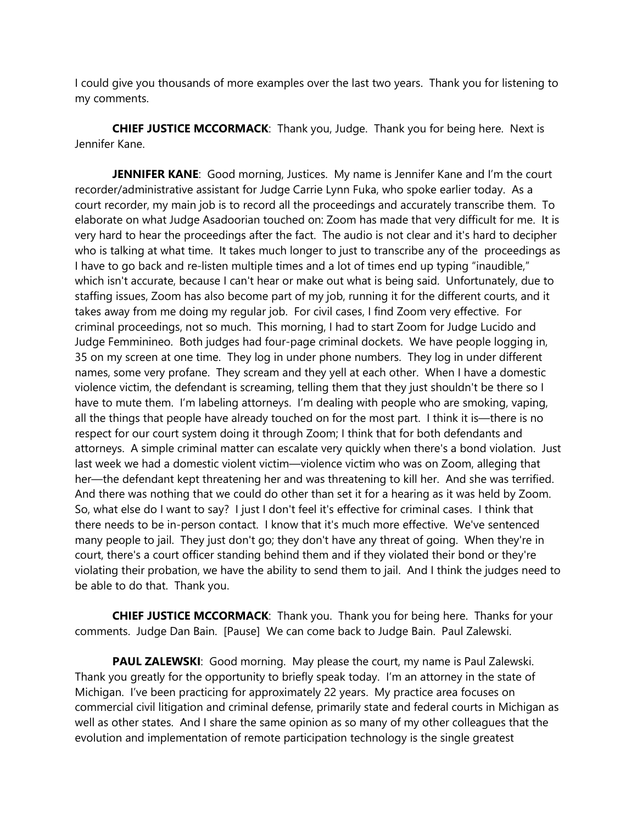I could give you thousands of more examples over the last two years. Thank you for listening to my comments.

**CHIEF JUSTICE MCCORMACK**: Thank you, Judge. Thank you for being here. Next is Jennifer Kane.

**JENNIFER KANE:** Good morning, Justices. My name is Jennifer Kane and I'm the court recorder/administrative assistant for Judge Carrie Lynn Fuka, who spoke earlier today. As a court recorder, my main job is to record all the proceedings and accurately transcribe them. To elaborate on what Judge Asadoorian touched on: Zoom has made that very difficult for me. It is very hard to hear the proceedings after the fact. The audio is not clear and it's hard to decipher who is talking at what time. It takes much longer to just to transcribe any of the proceedings as I have to go back and re-listen multiple times and a lot of times end up typing "inaudible," which isn't accurate, because I can't hear or make out what is being said. Unfortunately, due to staffing issues, Zoom has also become part of my job, running it for the different courts, and it takes away from me doing my regular job. For civil cases, I find Zoom very effective. For criminal proceedings, not so much. This morning, I had to start Zoom for Judge Lucido and Judge Femminineo. Both judges had four-page criminal dockets. We have people logging in, 35 on my screen at one time. They log in under phone numbers. They log in under different names, some very profane. They scream and they yell at each other. When I have a domestic violence victim, the defendant is screaming, telling them that they just shouldn't be there so I have to mute them. I'm labeling attorneys. I'm dealing with people who are smoking, vaping, all the things that people have already touched on for the most part. I think it is—there is no respect for our court system doing it through Zoom; I think that for both defendants and attorneys. A simple criminal matter can escalate very quickly when there's a bond violation. Just last week we had a domestic violent victim—violence victim who was on Zoom, alleging that her—the defendant kept threatening her and was threatening to kill her. And she was terrified. And there was nothing that we could do other than set it for a hearing as it was held by Zoom. So, what else do I want to say? I just I don't feel it's effective for criminal cases. I think that there needs to be in-person contact. I know that it's much more effective. We've sentenced many people to jail. They just don't go; they don't have any threat of going. When they're in court, there's a court officer standing behind them and if they violated their bond or they're violating their probation, we have the ability to send them to jail. And I think the judges need to be able to do that. Thank you.

**CHIEF JUSTICE MCCORMACK**: Thank you. Thank you for being here. Thanks for your comments. Judge Dan Bain. [Pause] We can come back to Judge Bain. Paul Zalewski.

**PAUL ZALEWSKI**: Good morning. May please the court, my name is Paul Zalewski. Thank you greatly for the opportunity to briefly speak today. I'm an attorney in the state of Michigan. I've been practicing for approximately 22 years. My practice area focuses on commercial civil litigation and criminal defense, primarily state and federal courts in Michigan as well as other states. And I share the same opinion as so many of my other colleagues that the evolution and implementation of remote participation technology is the single greatest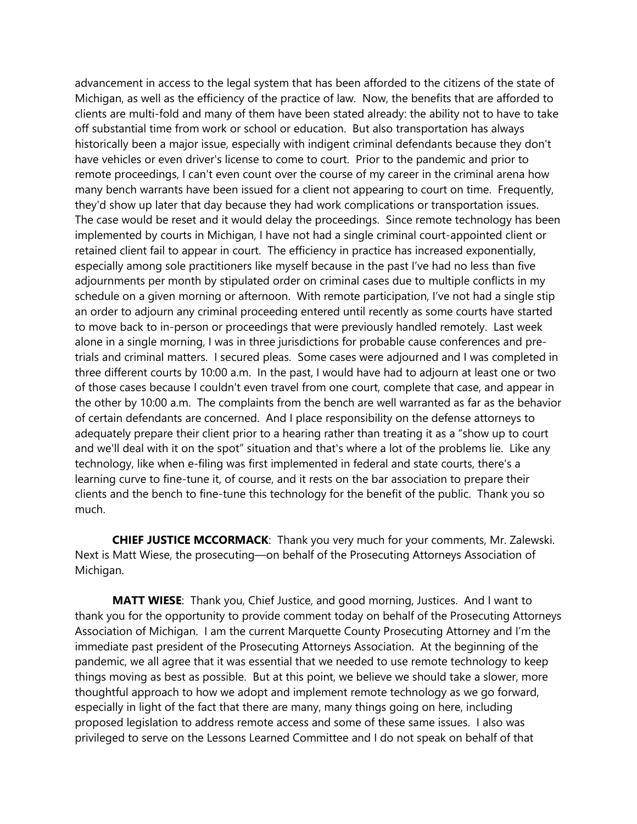advancement in access to the legal system that has been afforded to the citizens of the state of Michigan, as well as the efficiency of the practice of law. Now, the benefits that are afforded to clients are multi-fold and many of them have been stated already: the ability not to have to take off substantial time from work or school or education. But also transportation has always historically been a major issue, especially with indigent criminal defendants because they don't have vehicles or even driver's license to come to court. Prior to the pandemic and prior to remote proceedings, I can't even count over the course of my career in the criminal arena how many bench warrants have been issued for a client not appearing to court on time. Frequently, they'd show up later that day because they had work complications or transportation issues. The case would be reset and it would delay the proceedings. Since remote technology has been implemented by courts in Michigan, I have not had a single criminal court-appointed client or retained client fail to appear in court. The efficiency in practice has increased exponentially, especially among sole practitioners like myself because in the past I've had no less than five adjournments per month by stipulated order on criminal cases due to multiple conflicts in my schedule on a given morning or afternoon. With remote participation, I've not had a single stip an order to adjourn any criminal proceeding entered until recently as some courts have started to move back to in-person or proceedings that were previously handled remotely. Last week alone in a single morning, I was in three jurisdictions for probable cause conferences and pretrials and criminal matters. I secured pleas. Some cases were adjourned and I was completed in three different courts by 10:00 a.m. In the past, I would have had to adjourn at least one or two of those cases because I couldn't even travel from one court, complete that case, and appear in the other by 10:00 a.m. The complaints from the bench are well warranted as far as the behavior of certain defendants are concerned. And I place responsibility on the defense attorneys to adequately prepare their client prior to a hearing rather than treating it as a "show up to court and we'll deal with it on the spot" situation and that's where a lot of the problems lie. Like any technology, like when e-filing was first implemented in federal and state courts, there's a learning curve to fine-tune it, of course, and it rests on the bar association to prepare their clients and the bench to fine-tune this technology for the benefit of the public. Thank you so much.

**CHIEF JUSTICE MCCORMACK**: Thank you very much for your comments, Mr. Zalewski. Next is Matt Wiese, the prosecuting—on behalf of the Prosecuting Attorneys Association of Michigan.

**MATT WIESE**: Thank you, Chief Justice, and good morning, Justices. And I want to thank you for the opportunity to provide comment today on behalf of the Prosecuting Attorneys Association of Michigan. I am the current Marquette County Prosecuting Attorney and I'm the immediate past president of the Prosecuting Attorneys Association. At the beginning of the pandemic, we all agree that it was essential that we needed to use remote technology to keep things moving as best as possible. But at this point, we believe we should take a slower, more thoughtful approach to how we adopt and implement remote technology as we go forward, especially in light of the fact that there are many, many things going on here, including proposed legislation to address remote access and some of these same issues. I also was privileged to serve on the Lessons Learned Committee and I do not speak on behalf of that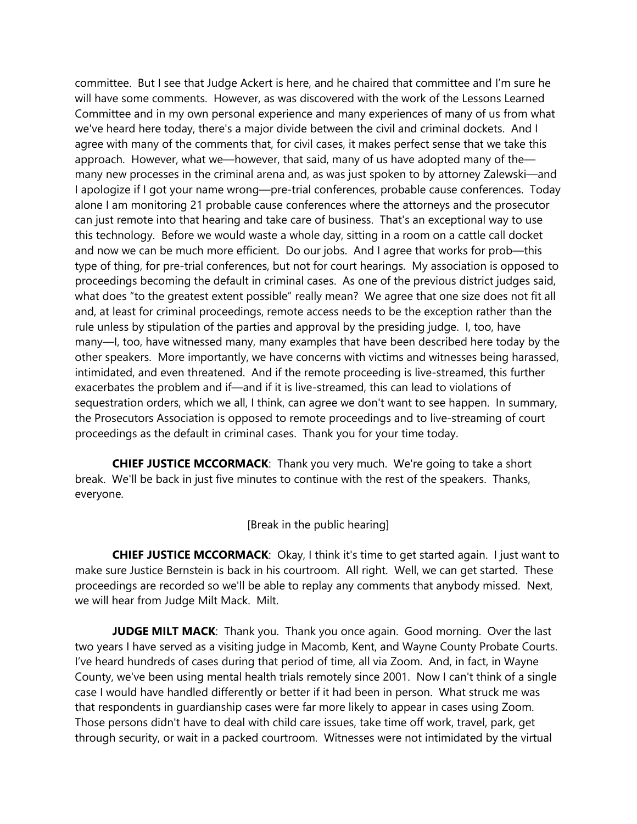committee. But I see that Judge Ackert is here, and he chaired that committee and I'm sure he will have some comments. However, as was discovered with the work of the Lessons Learned Committee and in my own personal experience and many experiences of many of us from what we've heard here today, there's a major divide between the civil and criminal dockets. And I agree with many of the comments that, for civil cases, it makes perfect sense that we take this approach. However, what we—however, that said, many of us have adopted many of the many new processes in the criminal arena and, as was just spoken to by attorney Zalewski—and I apologize if I got your name wrong—pre-trial conferences, probable cause conferences. Today alone I am monitoring 21 probable cause conferences where the attorneys and the prosecutor can just remote into that hearing and take care of business. That's an exceptional way to use this technology. Before we would waste a whole day, sitting in a room on a cattle call docket and now we can be much more efficient. Do our jobs. And I agree that works for prob—this type of thing, for pre-trial conferences, but not for court hearings. My association is opposed to proceedings becoming the default in criminal cases. As one of the previous district judges said, what does "to the greatest extent possible" really mean? We agree that one size does not fit all and, at least for criminal proceedings, remote access needs to be the exception rather than the rule unless by stipulation of the parties and approval by the presiding judge. I, too, have many—I, too, have witnessed many, many examples that have been described here today by the other speakers. More importantly, we have concerns with victims and witnesses being harassed, intimidated, and even threatened. And if the remote proceeding is live-streamed, this further exacerbates the problem and if—and if it is live-streamed, this can lead to violations of sequestration orders, which we all, I think, can agree we don't want to see happen. In summary, the Prosecutors Association is opposed to remote proceedings and to live-streaming of court proceedings as the default in criminal cases. Thank you for your time today.

**CHIEF JUSTICE MCCORMACK**: Thank you very much. We're going to take a short break. We'll be back in just five minutes to continue with the rest of the speakers. Thanks, everyone.

[Break in the public hearing]

**CHIEF JUSTICE MCCORMACK**: Okay, I think it's time to get started again. I just want to make sure Justice Bernstein is back in his courtroom. All right. Well, we can get started. These proceedings are recorded so we'll be able to replay any comments that anybody missed. Next, we will hear from Judge Milt Mack. Milt.

**JUDGE MILT MACK:** Thank you. Thank you once again. Good morning. Over the last two years I have served as a visiting judge in Macomb, Kent, and Wayne County Probate Courts. I've heard hundreds of cases during that period of time, all via Zoom. And, in fact, in Wayne County, we've been using mental health trials remotely since 2001. Now I can't think of a single case I would have handled differently or better if it had been in person. What struck me was that respondents in guardianship cases were far more likely to appear in cases using Zoom. Those persons didn't have to deal with child care issues, take time off work, travel, park, get through security, or wait in a packed courtroom. Witnesses were not intimidated by the virtual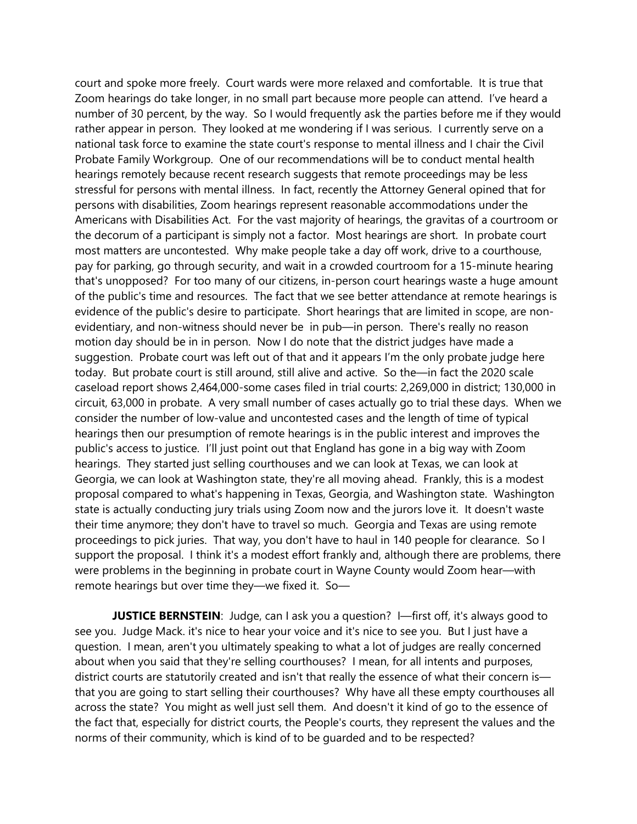court and spoke more freely. Court wards were more relaxed and comfortable. It is true that Zoom hearings do take longer, in no small part because more people can attend. I've heard a number of 30 percent, by the way. So I would frequently ask the parties before me if they would rather appear in person. They looked at me wondering if I was serious. I currently serve on a national task force to examine the state court's response to mental illness and I chair the Civil Probate Family Workgroup. One of our recommendations will be to conduct mental health hearings remotely because recent research suggests that remote proceedings may be less stressful for persons with mental illness. In fact, recently the Attorney General opined that for persons with disabilities, Zoom hearings represent reasonable accommodations under the Americans with Disabilities Act. For the vast majority of hearings, the gravitas of a courtroom or the decorum of a participant is simply not a factor. Most hearings are short. In probate court most matters are uncontested. Why make people take a day off work, drive to a courthouse, pay for parking, go through security, and wait in a crowded courtroom for a 15-minute hearing that's unopposed? For too many of our citizens, in-person court hearings waste a huge amount of the public's time and resources. The fact that we see better attendance at remote hearings is evidence of the public's desire to participate. Short hearings that are limited in scope, are nonevidentiary, and non-witness should never be in pub—in person. There's really no reason motion day should be in in person. Now I do note that the district judges have made a suggestion. Probate court was left out of that and it appears I'm the only probate judge here today. But probate court is still around, still alive and active. So the—in fact the 2020 scale caseload report shows 2,464,000-some cases filed in trial courts: 2,269,000 in district; 130,000 in circuit, 63,000 in probate. A very small number of cases actually go to trial these days. When we consider the number of low-value and uncontested cases and the length of time of typical hearings then our presumption of remote hearings is in the public interest and improves the public's access to justice. I'll just point out that England has gone in a big way with Zoom hearings. They started just selling courthouses and we can look at Texas, we can look at Georgia, we can look at Washington state, they're all moving ahead. Frankly, this is a modest proposal compared to what's happening in Texas, Georgia, and Washington state. Washington state is actually conducting jury trials using Zoom now and the jurors love it. It doesn't waste their time anymore; they don't have to travel so much. Georgia and Texas are using remote proceedings to pick juries. That way, you don't have to haul in 140 people for clearance. So I support the proposal. I think it's a modest effort frankly and, although there are problems, there were problems in the beginning in probate court in Wayne County would Zoom hear—with remote hearings but over time they—we fixed it. So—

**JUSTICE BERNSTEIN**: Judge, can I ask you a question? I—first off, it's always good to see you. Judge Mack. it's nice to hear your voice and it's nice to see you. But I just have a question. I mean, aren't you ultimately speaking to what a lot of judges are really concerned about when you said that they're selling courthouses? I mean, for all intents and purposes, district courts are statutorily created and isn't that really the essence of what their concern is that you are going to start selling their courthouses? Why have all these empty courthouses all across the state? You might as well just sell them. And doesn't it kind of go to the essence of the fact that, especially for district courts, the People's courts, they represent the values and the norms of their community, which is kind of to be guarded and to be respected?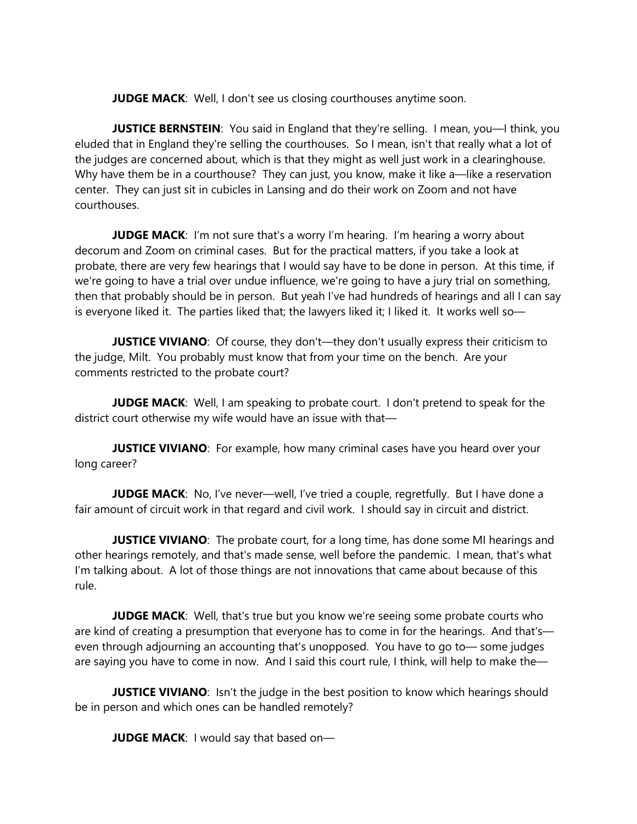**JUDGE MACK:** Well, I don't see us closing courthouses anytime soon.

**JUSTICE BERNSTEIN**: You said in England that they're selling. I mean, you—I think, you eluded that in England they're selling the courthouses. So I mean, isn't that really what a lot of the judges are concerned about, which is that they might as well just work in a clearinghouse. Why have them be in a courthouse? They can just, you know, make it like a—like a reservation center. They can just sit in cubicles in Lansing and do their work on Zoom and not have courthouses.

**JUDGE MACK:** I'm not sure that's a worry I'm hearing. I'm hearing a worry about decorum and Zoom on criminal cases. But for the practical matters, if you take a look at probate, there are very few hearings that I would say have to be done in person. At this time, if we're going to have a trial over undue influence, we're going to have a jury trial on something, then that probably should be in person. But yeah I've had hundreds of hearings and all I can say is everyone liked it. The parties liked that; the lawyers liked it; I liked it. It works well so—

**JUSTICE VIVIANO:** Of course, they don't—they don't usually express their criticism to the judge, Milt. You probably must know that from your time on the bench. Are your comments restricted to the probate court?

**JUDGE MACK**: Well, I am speaking to probate court. I don't pretend to speak for the district court otherwise my wife would have an issue with that—

**JUSTICE VIVIANO:** For example, how many criminal cases have you heard over your long career?

**JUDGE MACK**: No, I've never—well, I've tried a couple, regretfully. But I have done a fair amount of circuit work in that regard and civil work. I should say in circuit and district.

**JUSTICE VIVIANO**: The probate court, for a long time, has done some MI hearings and other hearings remotely, and that's made sense, well before the pandemic. I mean, that's what I'm talking about. A lot of those things are not innovations that came about because of this rule.

**JUDGE MACK:** Well, that's true but you know we're seeing some probate courts who are kind of creating a presumption that everyone has to come in for the hearings. And that's even through adjourning an accounting that's unopposed. You have to go to— some judges are saying you have to come in now. And I said this court rule, I think, will help to make the—

**JUSTICE VIVIANO:** Isn't the judge in the best position to know which hearings should be in person and which ones can be handled remotely?

**JUDGE MACK:** I would say that based on-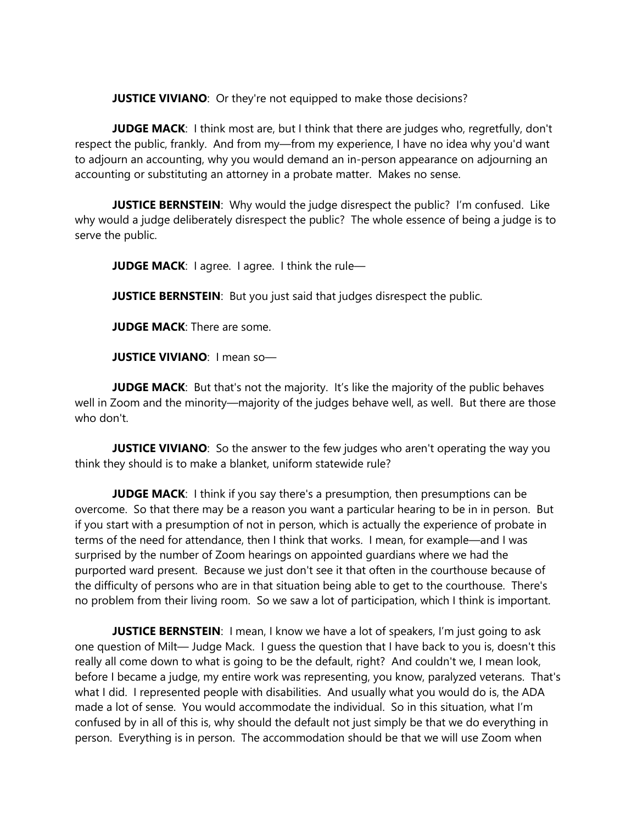**JUSTICE VIVIANO:** Or they're not equipped to make those decisions?

**JUDGE MACK:** I think most are, but I think that there are judges who, regretfully, don't respect the public, frankly. And from my—from my experience, I have no idea why you'd want to adjourn an accounting, why you would demand an in-person appearance on adjourning an accounting or substituting an attorney in a probate matter. Makes no sense.

**JUSTICE BERNSTEIN**: Why would the judge disrespect the public? I'm confused. Like why would a judge deliberately disrespect the public? The whole essence of being a judge is to serve the public.

**JUDGE MACK:** I agree. I agree. I think the rule-

**JUSTICE BERNSTEIN:** But you just said that judges disrespect the public.

**JUDGE MACK**: There are some.

**JUSTICE VIVIANO**: I mean so—

**JUDGE MACK:** But that's not the majority. It's like the majority of the public behaves well in Zoom and the minority—majority of the judges behave well, as well. But there are those who don't.

**JUSTICE VIVIANO:** So the answer to the few judges who aren't operating the way you think they should is to make a blanket, uniform statewide rule?

**JUDGE MACK:** I think if you say there's a presumption, then presumptions can be overcome. So that there may be a reason you want a particular hearing to be in in person. But if you start with a presumption of not in person, which is actually the experience of probate in terms of the need for attendance, then I think that works. I mean, for example—and I was surprised by the number of Zoom hearings on appointed guardians where we had the purported ward present. Because we just don't see it that often in the courthouse because of the difficulty of persons who are in that situation being able to get to the courthouse. There's no problem from their living room. So we saw a lot of participation, which I think is important.

**JUSTICE BERNSTEIN:** I mean, I know we have a lot of speakers, I'm just going to ask one question of Milt— Judge Mack. I guess the question that I have back to you is, doesn't this really all come down to what is going to be the default, right? And couldn't we, I mean look, before I became a judge, my entire work was representing, you know, paralyzed veterans. That's what I did. I represented people with disabilities. And usually what you would do is, the ADA made a lot of sense. You would accommodate the individual. So in this situation, what I'm confused by in all of this is, why should the default not just simply be that we do everything in person. Everything is in person. The accommodation should be that we will use Zoom when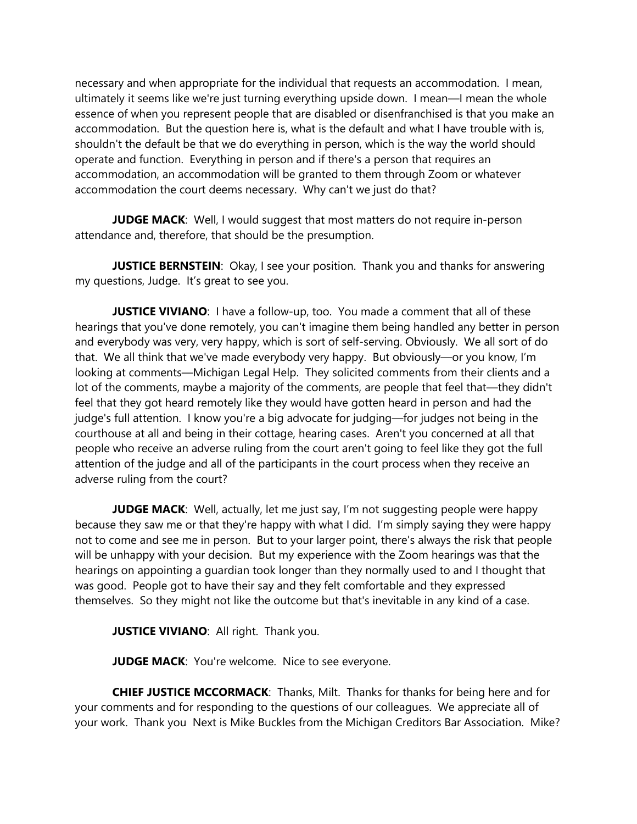necessary and when appropriate for the individual that requests an accommodation. I mean, ultimately it seems like we're just turning everything upside down. I mean—I mean the whole essence of when you represent people that are disabled or disenfranchised is that you make an accommodation. But the question here is, what is the default and what I have trouble with is, shouldn't the default be that we do everything in person, which is the way the world should operate and function. Everything in person and if there's a person that requires an accommodation, an accommodation will be granted to them through Zoom or whatever accommodation the court deems necessary. Why can't we just do that?

**JUDGE MACK:** Well, I would suggest that most matters do not require in-person attendance and, therefore, that should be the presumption.

**JUSTICE BERNSTEIN**: Okay, I see your position. Thank you and thanks for answering my questions, Judge. It's great to see you.

**JUSTICE VIVIANO:** I have a follow-up, too. You made a comment that all of these hearings that you've done remotely, you can't imagine them being handled any better in person and everybody was very, very happy, which is sort of self-serving. Obviously. We all sort of do that. We all think that we've made everybody very happy. But obviously—or you know, I'm looking at comments—Michigan Legal Help. They solicited comments from their clients and a lot of the comments, maybe a majority of the comments, are people that feel that—they didn't feel that they got heard remotely like they would have gotten heard in person and had the judge's full attention. I know you're a big advocate for judging—for judges not being in the courthouse at all and being in their cottage, hearing cases. Aren't you concerned at all that people who receive an adverse ruling from the court aren't going to feel like they got the full attention of the judge and all of the participants in the court process when they receive an adverse ruling from the court?

**JUDGE MACK:** Well, actually, let me just say, I'm not suggesting people were happy because they saw me or that they're happy with what I did. I'm simply saying they were happy not to come and see me in person. But to your larger point, there's always the risk that people will be unhappy with your decision. But my experience with the Zoom hearings was that the hearings on appointing a guardian took longer than they normally used to and I thought that was good. People got to have their say and they felt comfortable and they expressed themselves. So they might not like the outcome but that's inevitable in any kind of a case.

**JUSTICE VIVIANO: All right. Thank you.** 

**JUDGE MACK:** You're welcome. Nice to see everyone.

**CHIEF JUSTICE MCCORMACK**: Thanks, Milt. Thanks for thanks for being here and for your comments and for responding to the questions of our colleagues. We appreciate all of your work. Thank you Next is Mike Buckles from the Michigan Creditors Bar Association. Mike?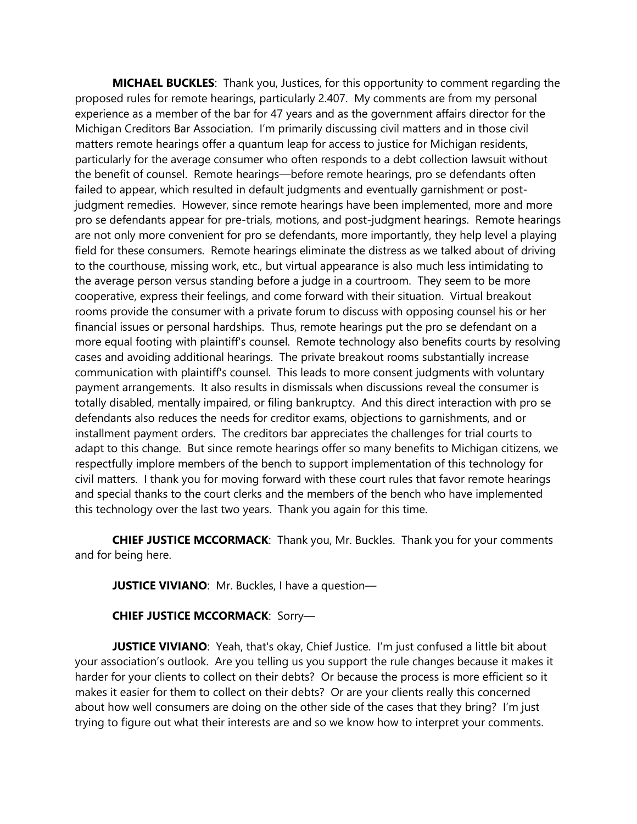**MICHAEL BUCKLES**: Thank you, Justices, for this opportunity to comment regarding the proposed rules for remote hearings, particularly 2.407. My comments are from my personal experience as a member of the bar for 47 years and as the government affairs director for the Michigan Creditors Bar Association. I'm primarily discussing civil matters and in those civil matters remote hearings offer a quantum leap for access to justice for Michigan residents, particularly for the average consumer who often responds to a debt collection lawsuit without the benefit of counsel. Remote hearings—before remote hearings, pro se defendants often failed to appear, which resulted in default judgments and eventually garnishment or postjudgment remedies. However, since remote hearings have been implemented, more and more pro se defendants appear for pre-trials, motions, and post-judgment hearings. Remote hearings are not only more convenient for pro se defendants, more importantly, they help level a playing field for these consumers. Remote hearings eliminate the distress as we talked about of driving to the courthouse, missing work, etc., but virtual appearance is also much less intimidating to the average person versus standing before a judge in a courtroom. They seem to be more cooperative, express their feelings, and come forward with their situation. Virtual breakout rooms provide the consumer with a private forum to discuss with opposing counsel his or her financial issues or personal hardships. Thus, remote hearings put the pro se defendant on a more equal footing with plaintiff's counsel. Remote technology also benefits courts by resolving cases and avoiding additional hearings. The private breakout rooms substantially increase communication with plaintiff's counsel. This leads to more consent judgments with voluntary payment arrangements. It also results in dismissals when discussions reveal the consumer is totally disabled, mentally impaired, or filing bankruptcy. And this direct interaction with pro se defendants also reduces the needs for creditor exams, objections to garnishments, and or installment payment orders. The creditors bar appreciates the challenges for trial courts to adapt to this change. But since remote hearings offer so many benefits to Michigan citizens, we respectfully implore members of the bench to support implementation of this technology for civil matters. I thank you for moving forward with these court rules that favor remote hearings and special thanks to the court clerks and the members of the bench who have implemented this technology over the last two years. Thank you again for this time.

**CHIEF JUSTICE MCCORMACK**: Thank you, Mr. Buckles. Thank you for your comments and for being here.

**JUSTICE VIVIANO**: Mr. Buckles, I have a question—

**CHIEF JUSTICE MCCORMACK**: Sorry—

**JUSTICE VIVIANO**: Yeah, that's okay, Chief Justice. I'm just confused a little bit about your association's outlook. Are you telling us you support the rule changes because it makes it harder for your clients to collect on their debts? Or because the process is more efficient so it makes it easier for them to collect on their debts? Or are your clients really this concerned about how well consumers are doing on the other side of the cases that they bring? I'm just trying to figure out what their interests are and so we know how to interpret your comments.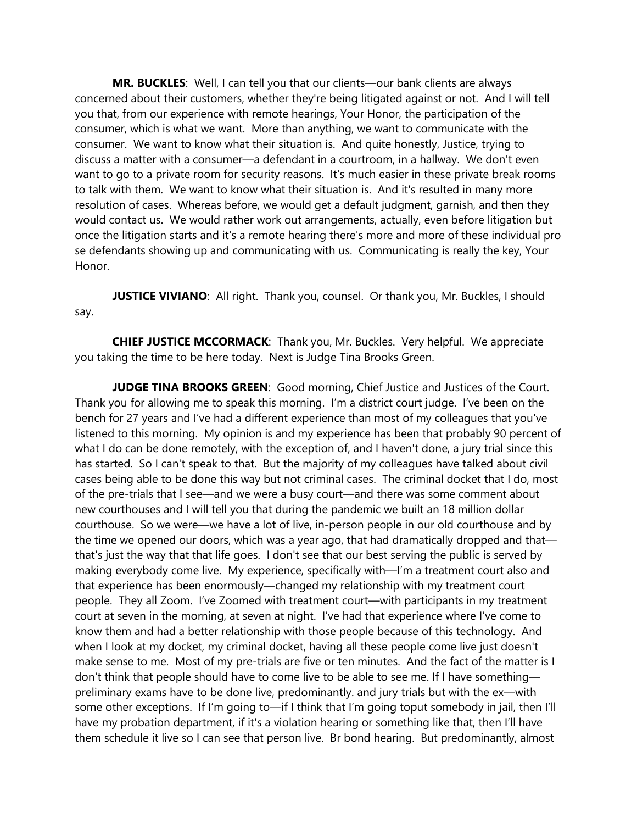**MR. BUCKLES**: Well, I can tell you that our clients—our bank clients are always concerned about their customers, whether they're being litigated against or not. And I will tell you that, from our experience with remote hearings, Your Honor, the participation of the consumer, which is what we want. More than anything, we want to communicate with the consumer. We want to know what their situation is. And quite honestly, Justice, trying to discuss a matter with a consumer—a defendant in a courtroom, in a hallway. We don't even want to go to a private room for security reasons. It's much easier in these private break rooms to talk with them. We want to know what their situation is. And it's resulted in many more resolution of cases. Whereas before, we would get a default judgment, garnish, and then they would contact us. We would rather work out arrangements, actually, even before litigation but once the litigation starts and it's a remote hearing there's more and more of these individual pro se defendants showing up and communicating with us. Communicating is really the key, Your Honor.

**JUSTICE VIVIANO:** All right. Thank you, counsel. Or thank you, Mr. Buckles, I should say.

**CHIEF JUSTICE MCCORMACK**: Thank you, Mr. Buckles. Very helpful. We appreciate you taking the time to be here today. Next is Judge Tina Brooks Green.

**JUDGE TINA BROOKS GREEN**: Good morning, Chief Justice and Justices of the Court. Thank you for allowing me to speak this morning. I'm a district court judge. I've been on the bench for 27 years and I've had a different experience than most of my colleagues that you've listened to this morning. My opinion is and my experience has been that probably 90 percent of what I do can be done remotely, with the exception of, and I haven't done, a jury trial since this has started. So I can't speak to that. But the majority of my colleagues have talked about civil cases being able to be done this way but not criminal cases. The criminal docket that I do, most of the pre-trials that I see—and we were a busy court—and there was some comment about new courthouses and I will tell you that during the pandemic we built an 18 million dollar courthouse. So we were—we have a lot of live, in-person people in our old courthouse and by the time we opened our doors, which was a year ago, that had dramatically dropped and that that's just the way that that life goes. I don't see that our best serving the public is served by making everybody come live. My experience, specifically with—I'm a treatment court also and that experience has been enormously—changed my relationship with my treatment court people. They all Zoom. I've Zoomed with treatment court—with participants in my treatment court at seven in the morning, at seven at night. I've had that experience where I've come to know them and had a better relationship with those people because of this technology. And when I look at my docket, my criminal docket, having all these people come live just doesn't make sense to me. Most of my pre-trials are five or ten minutes. And the fact of the matter is I don't think that people should have to come live to be able to see me. If I have something preliminary exams have to be done live, predominantly. and jury trials but with the ex—with some other exceptions. If I'm going to—if I think that I'm going toput somebody in jail, then I'll have my probation department, if it's a violation hearing or something like that, then I'll have them schedule it live so I can see that person live. Br bond hearing. But predominantly, almost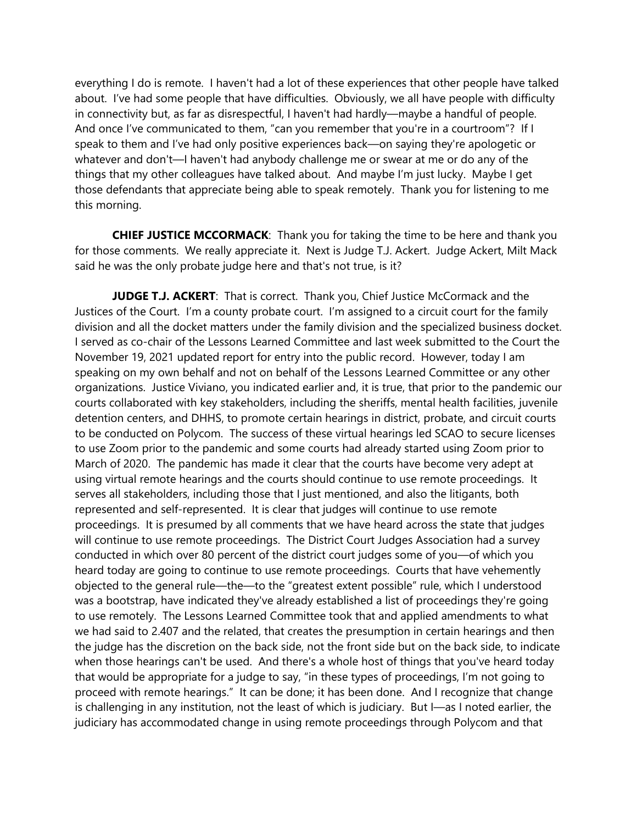everything I do is remote. I haven't had a lot of these experiences that other people have talked about. I've had some people that have difficulties. Obviously, we all have people with difficulty in connectivity but, as far as disrespectful, I haven't had hardly—maybe a handful of people. And once I've communicated to them, "can you remember that you're in a courtroom"? If I speak to them and I've had only positive experiences back—on saying they're apologetic or whatever and don't—I haven't had anybody challenge me or swear at me or do any of the things that my other colleagues have talked about. And maybe I'm just lucky. Maybe I get those defendants that appreciate being able to speak remotely. Thank you for listening to me this morning.

**CHIEF JUSTICE MCCORMACK**: Thank you for taking the time to be here and thank you for those comments. We really appreciate it. Next is Judge T.J. Ackert. Judge Ackert, Milt Mack said he was the only probate judge here and that's not true, is it?

**JUDGE T.J. ACKERT**: That is correct. Thank you, Chief Justice McCormack and the Justices of the Court. I'm a county probate court. I'm assigned to a circuit court for the family division and all the docket matters under the family division and the specialized business docket. I served as co-chair of the Lessons Learned Committee and last week submitted to the Court the November 19, 2021 updated report for entry into the public record. However, today I am speaking on my own behalf and not on behalf of the Lessons Learned Committee or any other organizations. Justice Viviano, you indicated earlier and, it is true, that prior to the pandemic our courts collaborated with key stakeholders, including the sheriffs, mental health facilities, juvenile detention centers, and DHHS, to promote certain hearings in district, probate, and circuit courts to be conducted on Polycom. The success of these virtual hearings led SCAO to secure licenses to use Zoom prior to the pandemic and some courts had already started using Zoom prior to March of 2020. The pandemic has made it clear that the courts have become very adept at using virtual remote hearings and the courts should continue to use remote proceedings. It serves all stakeholders, including those that I just mentioned, and also the litigants, both represented and self-represented. It is clear that judges will continue to use remote proceedings. It is presumed by all comments that we have heard across the state that judges will continue to use remote proceedings. The District Court Judges Association had a survey conducted in which over 80 percent of the district court judges some of you—of which you heard today are going to continue to use remote proceedings. Courts that have vehemently objected to the general rule—the—to the "greatest extent possible" rule, which I understood was a bootstrap, have indicated they've already established a list of proceedings they're going to use remotely. The Lessons Learned Committee took that and applied amendments to what we had said to 2.407 and the related, that creates the presumption in certain hearings and then the judge has the discretion on the back side, not the front side but on the back side, to indicate when those hearings can't be used. And there's a whole host of things that you've heard today that would be appropriate for a judge to say, "in these types of proceedings, I'm not going to proceed with remote hearings." It can be done; it has been done. And I recognize that change is challenging in any institution, not the least of which is judiciary. But I—as I noted earlier, the judiciary has accommodated change in using remote proceedings through Polycom and that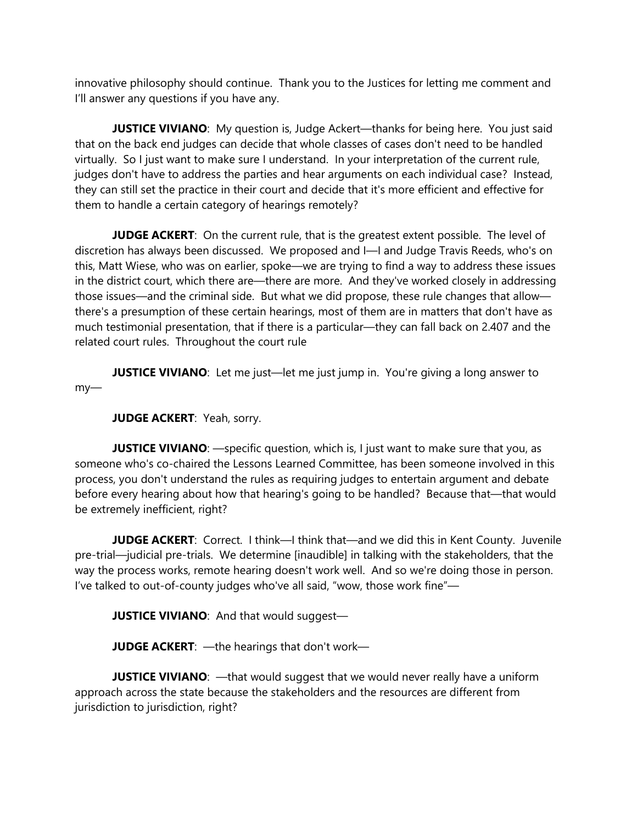innovative philosophy should continue. Thank you to the Justices for letting me comment and I'll answer any questions if you have any.

**JUSTICE VIVIANO:** My question is, Judge Ackert—thanks for being here. You just said that on the back end judges can decide that whole classes of cases don't need to be handled virtually. So I just want to make sure I understand. In your interpretation of the current rule, judges don't have to address the parties and hear arguments on each individual case? Instead, they can still set the practice in their court and decide that it's more efficient and effective for them to handle a certain category of hearings remotely?

**JUDGE ACKERT:** On the current rule, that is the greatest extent possible. The level of discretion has always been discussed. We proposed and I—I and Judge Travis Reeds, who's on this, Matt Wiese, who was on earlier, spoke—we are trying to find a way to address these issues in the district court, which there are—there are more. And they've worked closely in addressing those issues—and the criminal side. But what we did propose, these rule changes that allow there's a presumption of these certain hearings, most of them are in matters that don't have as much testimonial presentation, that if there is a particular—they can fall back on 2.407 and the related court rules. Throughout the court rule

**JUSTICE VIVIANO:** Let me just—let me just jump in. You're giving a long answer to my—

**JUDGE ACKERT**: Yeah, sorry.

**JUSTICE VIVIANO:** —specific question, which is, I just want to make sure that you, as someone who's co-chaired the Lessons Learned Committee, has been someone involved in this process, you don't understand the rules as requiring judges to entertain argument and debate before every hearing about how that hearing's going to be handled? Because that—that would be extremely inefficient, right?

**JUDGE ACKERT:** Correct. I think—I think that—and we did this in Kent County. Juvenile pre-trial—judicial pre-trials. We determine [inaudible] in talking with the stakeholders, that the way the process works, remote hearing doesn't work well. And so we're doing those in person. I've talked to out-of-county judges who've all said, "wow, those work fine"—

**JUSTICE VIVIANO**: And that would suggest—

**JUDGE ACKERT**: —the hearings that don't work—

**JUSTICE VIVIANO:** - that would suggest that we would never really have a uniform approach across the state because the stakeholders and the resources are different from jurisdiction to jurisdiction, right?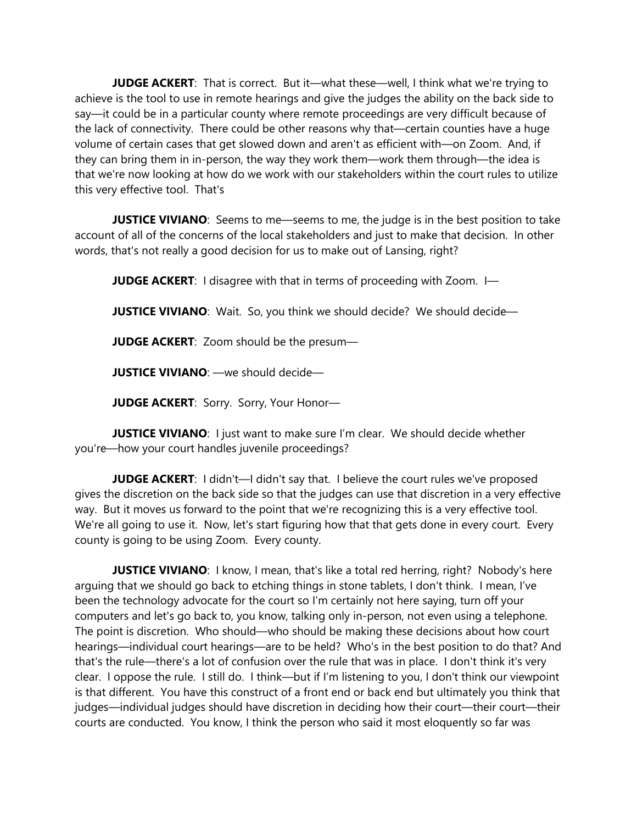**JUDGE ACKERT**: That is correct. But it—what these—well, I think what we're trying to achieve is the tool to use in remote hearings and give the judges the ability on the back side to say—it could be in a particular county where remote proceedings are very difficult because of the lack of connectivity. There could be other reasons why that—certain counties have a huge volume of certain cases that get slowed down and aren't as efficient with—on Zoom. And, if they can bring them in in-person, the way they work them—work them through—the idea is that we're now looking at how do we work with our stakeholders within the court rules to utilize this very effective tool. That's

**JUSTICE VIVIANO:** Seems to me—seems to me, the judge is in the best position to take account of all of the concerns of the local stakeholders and just to make that decision. In other words, that's not really a good decision for us to make out of Lansing, right?

**JUDGE ACKERT:** I disagree with that in terms of proceeding with Zoom. I-

**JUSTICE VIVIANO:** Wait. So, you think we should decide? We should decide—

**JUDGE ACKERT**: Zoom should be the presum—

**JUSTICE VIVIANO**: —we should decide—

**JUDGE ACKERT**: Sorry. Sorry, Your Honor—

**JUSTICE VIVIANO:** I just want to make sure I'm clear. We should decide whether you're—how your court handles juvenile proceedings?

**JUDGE ACKERT:** I didn't—I didn't say that. I believe the court rules we've proposed gives the discretion on the back side so that the judges can use that discretion in a very effective way. But it moves us forward to the point that we're recognizing this is a very effective tool. We're all going to use it. Now, let's start figuring how that that gets done in every court. Every county is going to be using Zoom. Every county.

**JUSTICE VIVIANO:** I know, I mean, that's like a total red herring, right? Nobody's here arguing that we should go back to etching things in stone tablets, I don't think. I mean, I've been the technology advocate for the court so I'm certainly not here saying, turn off your computers and let's go back to, you know, talking only in-person, not even using a telephone. The point is discretion. Who should—who should be making these decisions about how court hearings—individual court hearings—are to be held? Who's in the best position to do that? And that's the rule—there's a lot of confusion over the rule that was in place. I don't think it's very clear. I oppose the rule. I still do. I think—but if I'm listening to you, I don't think our viewpoint is that different. You have this construct of a front end or back end but ultimately you think that judges—individual judges should have discretion in deciding how their court—their court—their courts are conducted. You know, I think the person who said it most eloquently so far was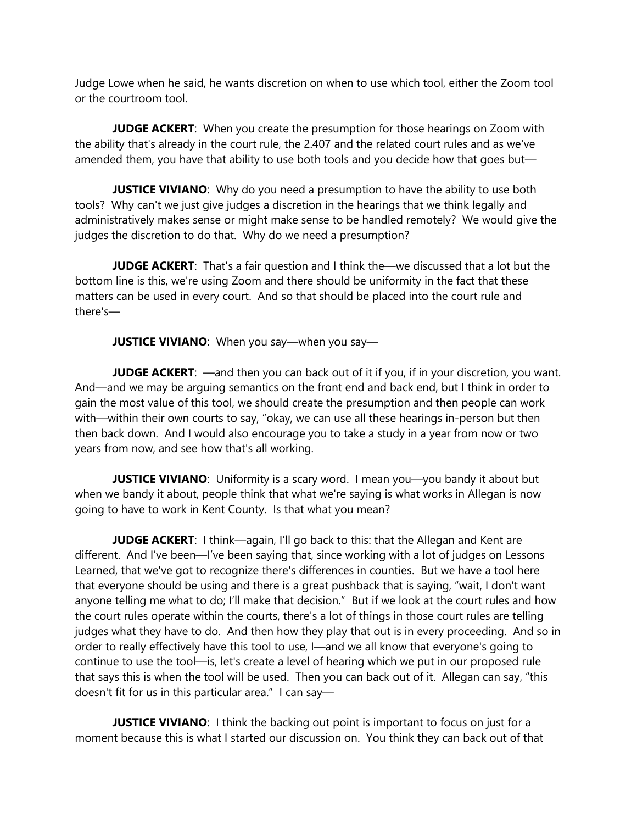Judge Lowe when he said, he wants discretion on when to use which tool, either the Zoom tool or the courtroom tool.

**JUDGE ACKERT**: When you create the presumption for those hearings on Zoom with the ability that's already in the court rule, the 2.407 and the related court rules and as we've amended them, you have that ability to use both tools and you decide how that goes but—

**JUSTICE VIVIANO:** Why do you need a presumption to have the ability to use both tools? Why can't we just give judges a discretion in the hearings that we think legally and administratively makes sense or might make sense to be handled remotely? We would give the judges the discretion to do that. Why do we need a presumption?

**JUDGE ACKERT**: That's a fair question and I think the—we discussed that a lot but the bottom line is this, we're using Zoom and there should be uniformity in the fact that these matters can be used in every court. And so that should be placed into the court rule and there's—

**JUSTICE VIVIANO:** When you say—when you say—

**JUDGE ACKERT:** —and then you can back out of it if you, if in your discretion, you want. And—and we may be arguing semantics on the front end and back end, but I think in order to gain the most value of this tool, we should create the presumption and then people can work with—within their own courts to say, "okay, we can use all these hearings in-person but then then back down. And I would also encourage you to take a study in a year from now or two years from now, and see how that's all working.

**JUSTICE VIVIANO:** Uniformity is a scary word. I mean you—you bandy it about but when we bandy it about, people think that what we're saying is what works in Allegan is now going to have to work in Kent County. Is that what you mean?

**JUDGE ACKERT:** I think—again, I'll go back to this: that the Allegan and Kent are different. And I've been—I've been saying that, since working with a lot of judges on Lessons Learned, that we've got to recognize there's differences in counties. But we have a tool here that everyone should be using and there is a great pushback that is saying, "wait, I don't want anyone telling me what to do; I'll make that decision." But if we look at the court rules and how the court rules operate within the courts, there's a lot of things in those court rules are telling judges what they have to do. And then how they play that out is in every proceeding. And so in order to really effectively have this tool to use, I—and we all know that everyone's going to continue to use the tool—is, let's create a level of hearing which we put in our proposed rule that says this is when the tool will be used. Then you can back out of it. Allegan can say, "this doesn't fit for us in this particular area." I can say—

**JUSTICE VIVIANO:** I think the backing out point is important to focus on just for a moment because this is what I started our discussion on. You think they can back out of that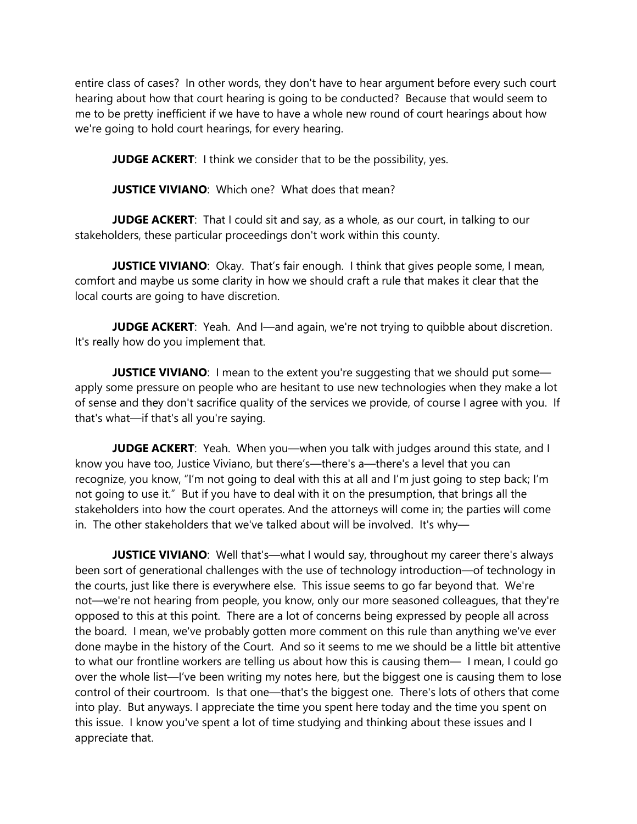entire class of cases? In other words, they don't have to hear argument before every such court hearing about how that court hearing is going to be conducted? Because that would seem to me to be pretty inefficient if we have to have a whole new round of court hearings about how we're going to hold court hearings, for every hearing.

**JUDGE ACKERT:** I think we consider that to be the possibility, yes.

**JUSTICE VIVIANO:** Which one? What does that mean?

**JUDGE ACKERT:** That I could sit and say, as a whole, as our court, in talking to our stakeholders, these particular proceedings don't work within this county.

**JUSTICE VIVIANO**: Okay. That's fair enough. I think that gives people some, I mean, comfort and maybe us some clarity in how we should craft a rule that makes it clear that the local courts are going to have discretion.

**JUDGE ACKERT:** Yeah. And I—and again, we're not trying to quibble about discretion. It's really how do you implement that.

**JUSTICE VIVIANO:** I mean to the extent you're suggesting that we should put some apply some pressure on people who are hesitant to use new technologies when they make a lot of sense and they don't sacrifice quality of the services we provide, of course I agree with you. If that's what—if that's all you're saying.

**JUDGE ACKERT:** Yeah. When you—when you talk with judges around this state, and I know you have too, Justice Viviano, but there's—there's a—there's a level that you can recognize, you know, "I'm not going to deal with this at all and I'm just going to step back; I'm not going to use it." But if you have to deal with it on the presumption, that brings all the stakeholders into how the court operates. And the attorneys will come in; the parties will come in. The other stakeholders that we've talked about will be involved. It's why—

**JUSTICE VIVIANO**: Well that's—what I would say, throughout my career there's always been sort of generational challenges with the use of technology introduction—of technology in the courts, just like there is everywhere else. This issue seems to go far beyond that. We're not—we're not hearing from people, you know, only our more seasoned colleagues, that they're opposed to this at this point. There are a lot of concerns being expressed by people all across the board. I mean, we've probably gotten more comment on this rule than anything we've ever done maybe in the history of the Court. And so it seems to me we should be a little bit attentive to what our frontline workers are telling us about how this is causing them— I mean, I could go over the whole list—I've been writing my notes here, but the biggest one is causing them to lose control of their courtroom. Is that one—that's the biggest one. There's lots of others that come into play. But anyways. I appreciate the time you spent here today and the time you spent on this issue. I know you've spent a lot of time studying and thinking about these issues and I appreciate that.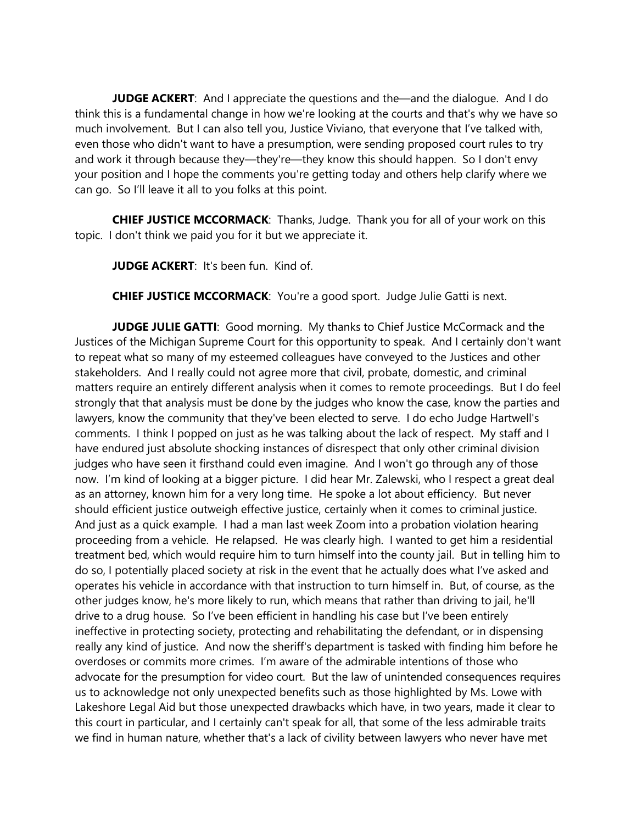**JUDGE ACKERT:** And I appreciate the questions and the—and the dialogue. And I do think this is a fundamental change in how we're looking at the courts and that's why we have so much involvement. But I can also tell you, Justice Viviano, that everyone that I've talked with, even those who didn't want to have a presumption, were sending proposed court rules to try and work it through because they—they're—they know this should happen. So I don't envy your position and I hope the comments you're getting today and others help clarify where we can go. So I'll leave it all to you folks at this point.

**CHIEF JUSTICE MCCORMACK**: Thanks, Judge. Thank you for all of your work on this topic. I don't think we paid you for it but we appreciate it.

**JUDGE ACKERT**: It's been fun. Kind of.

**CHIEF JUSTICE MCCORMACK:** You're a good sport. Judge Julie Gatti is next.

**JUDGE JULIE GATTI:** Good morning. My thanks to Chief Justice McCormack and the Justices of the Michigan Supreme Court for this opportunity to speak. And I certainly don't want to repeat what so many of my esteemed colleagues have conveyed to the Justices and other stakeholders. And I really could not agree more that civil, probate, domestic, and criminal matters require an entirely different analysis when it comes to remote proceedings. But I do feel strongly that that analysis must be done by the judges who know the case, know the parties and lawyers, know the community that they've been elected to serve. I do echo Judge Hartwell's comments. I think I popped on just as he was talking about the lack of respect. My staff and I have endured just absolute shocking instances of disrespect that only other criminal division judges who have seen it firsthand could even imagine. And I won't go through any of those now. I'm kind of looking at a bigger picture. I did hear Mr. Zalewski, who I respect a great deal as an attorney, known him for a very long time. He spoke a lot about efficiency. But never should efficient justice outweigh effective justice, certainly when it comes to criminal justice. And just as a quick example. I had a man last week Zoom into a probation violation hearing proceeding from a vehicle. He relapsed. He was clearly high. I wanted to get him a residential treatment bed, which would require him to turn himself into the county jail. But in telling him to do so, I potentially placed society at risk in the event that he actually does what I've asked and operates his vehicle in accordance with that instruction to turn himself in. But, of course, as the other judges know, he's more likely to run, which means that rather than driving to jail, he'll drive to a drug house. So I've been efficient in handling his case but I've been entirely ineffective in protecting society, protecting and rehabilitating the defendant, or in dispensing really any kind of justice. And now the sheriff's department is tasked with finding him before he overdoses or commits more crimes. I'm aware of the admirable intentions of those who advocate for the presumption for video court. But the law of unintended consequences requires us to acknowledge not only unexpected benefits such as those highlighted by Ms. Lowe with Lakeshore Legal Aid but those unexpected drawbacks which have, in two years, made it clear to this court in particular, and I certainly can't speak for all, that some of the less admirable traits we find in human nature, whether that's a lack of civility between lawyers who never have met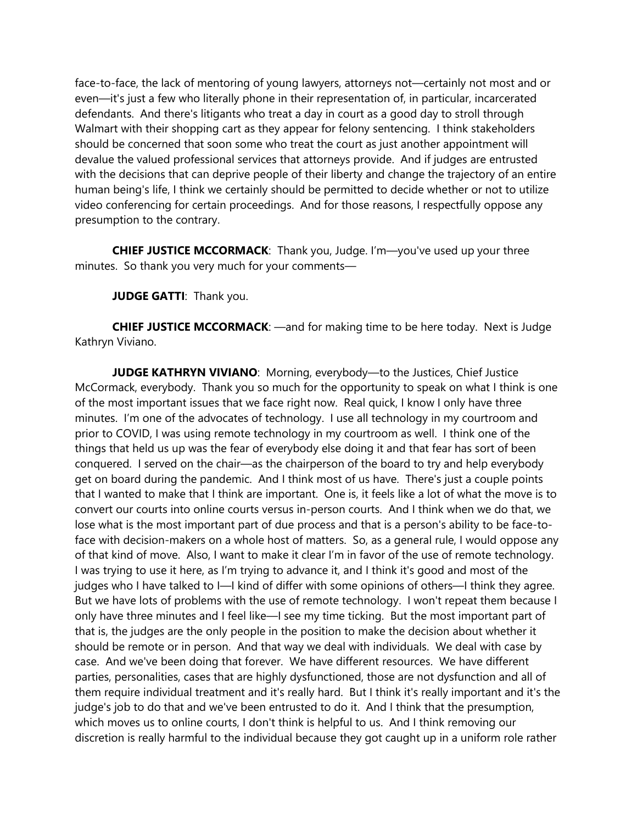face-to-face, the lack of mentoring of young lawyers, attorneys not—certainly not most and or even—it's just a few who literally phone in their representation of, in particular, incarcerated defendants. And there's litigants who treat a day in court as a good day to stroll through Walmart with their shopping cart as they appear for felony sentencing. I think stakeholders should be concerned that soon some who treat the court as just another appointment will devalue the valued professional services that attorneys provide. And if judges are entrusted with the decisions that can deprive people of their liberty and change the trajectory of an entire human being's life, I think we certainly should be permitted to decide whether or not to utilize video conferencing for certain proceedings. And for those reasons, I respectfully oppose any presumption to the contrary.

**CHIEF JUSTICE MCCORMACK**: Thank you, Judge. I'm—you've used up your three minutes. So thank you very much for your comments—

**JUDGE GATTI: Thank you.** 

**CHIEF JUSTICE MCCORMACK**: —and for making time to be here today. Next is Judge Kathryn Viviano.

**JUDGE KATHRYN VIVIANO:** Morning, everybody—to the Justices, Chief Justice McCormack, everybody. Thank you so much for the opportunity to speak on what I think is one of the most important issues that we face right now. Real quick, I know I only have three minutes. I'm one of the advocates of technology. I use all technology in my courtroom and prior to COVID, I was using remote technology in my courtroom as well. I think one of the things that held us up was the fear of everybody else doing it and that fear has sort of been conquered. I served on the chair—as the chairperson of the board to try and help everybody get on board during the pandemic. And I think most of us have. There's just a couple points that I wanted to make that I think are important. One is, it feels like a lot of what the move is to convert our courts into online courts versus in-person courts. And I think when we do that, we lose what is the most important part of due process and that is a person's ability to be face-toface with decision-makers on a whole host of matters. So, as a general rule, I would oppose any of that kind of move. Also, I want to make it clear I'm in favor of the use of remote technology. I was trying to use it here, as I'm trying to advance it, and I think it's good and most of the judges who I have talked to I—I kind of differ with some opinions of others—I think they agree. But we have lots of problems with the use of remote technology. I won't repeat them because I only have three minutes and I feel like—I see my time ticking. But the most important part of that is, the judges are the only people in the position to make the decision about whether it should be remote or in person. And that way we deal with individuals. We deal with case by case. And we've been doing that forever. We have different resources. We have different parties, personalities, cases that are highly dysfunctioned, those are not dysfunction and all of them require individual treatment and it's really hard. But I think it's really important and it's the judge's job to do that and we've been entrusted to do it. And I think that the presumption, which moves us to online courts, I don't think is helpful to us. And I think removing our discretion is really harmful to the individual because they got caught up in a uniform role rather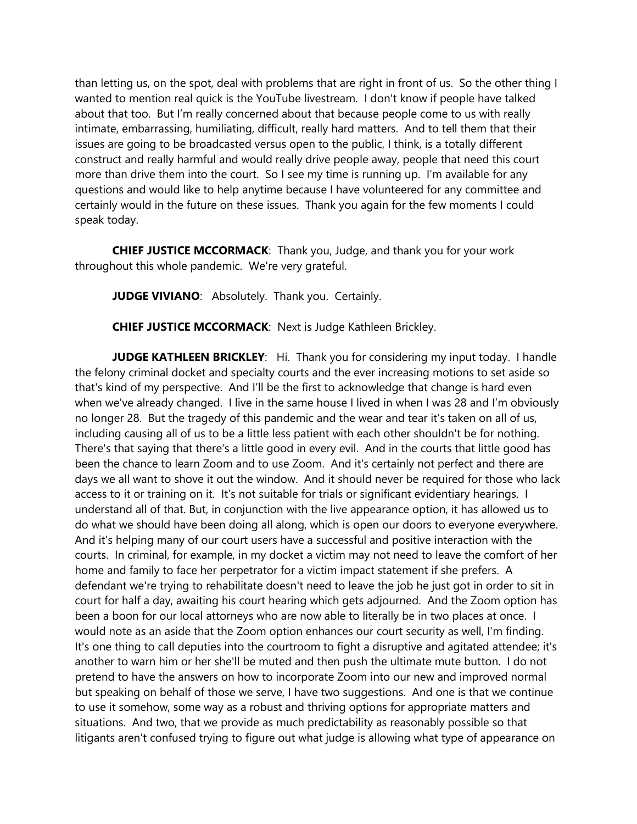than letting us, on the spot, deal with problems that are right in front of us. So the other thing I wanted to mention real quick is the YouTube livestream. I don't know if people have talked about that too. But I'm really concerned about that because people come to us with really intimate, embarrassing, humiliating, difficult, really hard matters. And to tell them that their issues are going to be broadcasted versus open to the public, I think, is a totally different construct and really harmful and would really drive people away, people that need this court more than drive them into the court. So I see my time is running up. I'm available for any questions and would like to help anytime because I have volunteered for any committee and certainly would in the future on these issues. Thank you again for the few moments I could speak today.

**CHIEF JUSTICE MCCORMACK**: Thank you, Judge, and thank you for your work throughout this whole pandemic. We're very grateful.

**JUDGE VIVIANO:** Absolutely. Thank you. Certainly.

**CHIEF JUSTICE MCCORMACK**: Next is Judge Kathleen Brickley.

**JUDGE KATHLEEN BRICKLEY**: Hi. Thank you for considering my input today. I handle the felony criminal docket and specialty courts and the ever increasing motions to set aside so that's kind of my perspective. And I'll be the first to acknowledge that change is hard even when we've already changed. I live in the same house I lived in when I was 28 and I'm obviously no longer 28. But the tragedy of this pandemic and the wear and tear it's taken on all of us, including causing all of us to be a little less patient with each other shouldn't be for nothing. There's that saying that there's a little good in every evil. And in the courts that little good has been the chance to learn Zoom and to use Zoom. And it's certainly not perfect and there are days we all want to shove it out the window. And it should never be required for those who lack access to it or training on it. It's not suitable for trials or significant evidentiary hearings. I understand all of that. But, in conjunction with the live appearance option, it has allowed us to do what we should have been doing all along, which is open our doors to everyone everywhere. And it's helping many of our court users have a successful and positive interaction with the courts. In criminal, for example, in my docket a victim may not need to leave the comfort of her home and family to face her perpetrator for a victim impact statement if she prefers. A defendant we're trying to rehabilitate doesn't need to leave the job he just got in order to sit in court for half a day, awaiting his court hearing which gets adjourned. And the Zoom option has been a boon for our local attorneys who are now able to literally be in two places at once. I would note as an aside that the Zoom option enhances our court security as well, I'm finding. It's one thing to call deputies into the courtroom to fight a disruptive and agitated attendee; it's another to warn him or her she'll be muted and then push the ultimate mute button. I do not pretend to have the answers on how to incorporate Zoom into our new and improved normal but speaking on behalf of those we serve, I have two suggestions. And one is that we continue to use it somehow, some way as a robust and thriving options for appropriate matters and situations. And two, that we provide as much predictability as reasonably possible so that litigants aren't confused trying to figure out what judge is allowing what type of appearance on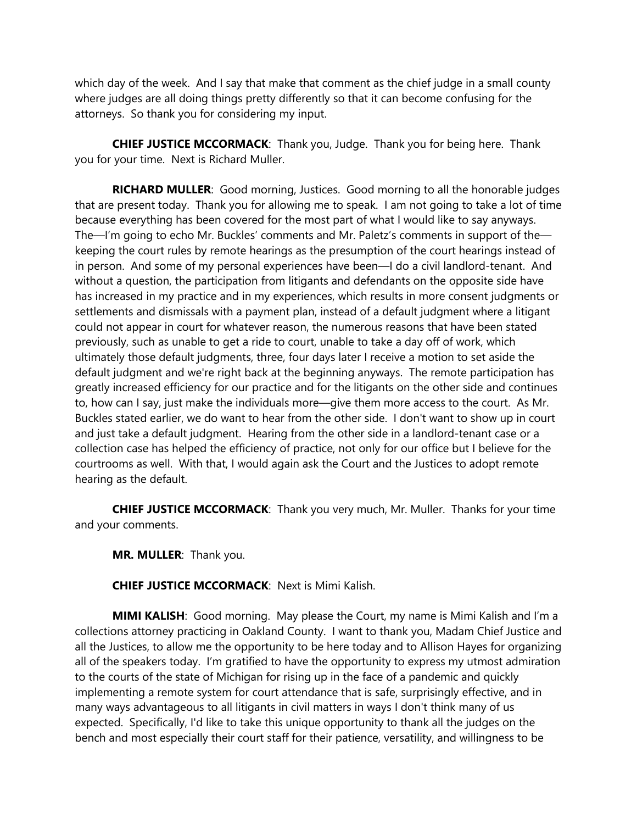which day of the week. And I say that make that comment as the chief judge in a small county where judges are all doing things pretty differently so that it can become confusing for the attorneys. So thank you for considering my input.

**CHIEF JUSTICE MCCORMACK**: Thank you, Judge. Thank you for being here. Thank you for your time. Next is Richard Muller.

**RICHARD MULLER**: Good morning, Justices. Good morning to all the honorable judges that are present today. Thank you for allowing me to speak. I am not going to take a lot of time because everything has been covered for the most part of what I would like to say anyways. The—I'm going to echo Mr. Buckles' comments and Mr. Paletz's comments in support of the keeping the court rules by remote hearings as the presumption of the court hearings instead of in person. And some of my personal experiences have been—I do a civil landlord-tenant. And without a question, the participation from litigants and defendants on the opposite side have has increased in my practice and in my experiences, which results in more consent judgments or settlements and dismissals with a payment plan, instead of a default judgment where a litigant could not appear in court for whatever reason, the numerous reasons that have been stated previously, such as unable to get a ride to court, unable to take a day off of work, which ultimately those default judgments, three, four days later I receive a motion to set aside the default judgment and we're right back at the beginning anyways. The remote participation has greatly increased efficiency for our practice and for the litigants on the other side and continues to, how can I say, just make the individuals more—give them more access to the court. As Mr. Buckles stated earlier, we do want to hear from the other side. I don't want to show up in court and just take a default judgment. Hearing from the other side in a landlord-tenant case or a collection case has helped the efficiency of practice, not only for our office but I believe for the courtrooms as well. With that, I would again ask the Court and the Justices to adopt remote hearing as the default.

**CHIEF JUSTICE MCCORMACK**: Thank you very much, Mr. Muller. Thanks for your time and your comments.

**MR. MULLER**: Thank you.

**CHIEF JUSTICE MCCORMACK**: Next is Mimi Kalish.

**MIMI KALISH**: Good morning. May please the Court, my name is Mimi Kalish and I'm a collections attorney practicing in Oakland County. I want to thank you, Madam Chief Justice and all the Justices, to allow me the opportunity to be here today and to Allison Hayes for organizing all of the speakers today. I'm gratified to have the opportunity to express my utmost admiration to the courts of the state of Michigan for rising up in the face of a pandemic and quickly implementing a remote system for court attendance that is safe, surprisingly effective, and in many ways advantageous to all litigants in civil matters in ways I don't think many of us expected. Specifically, I'd like to take this unique opportunity to thank all the judges on the bench and most especially their court staff for their patience, versatility, and willingness to be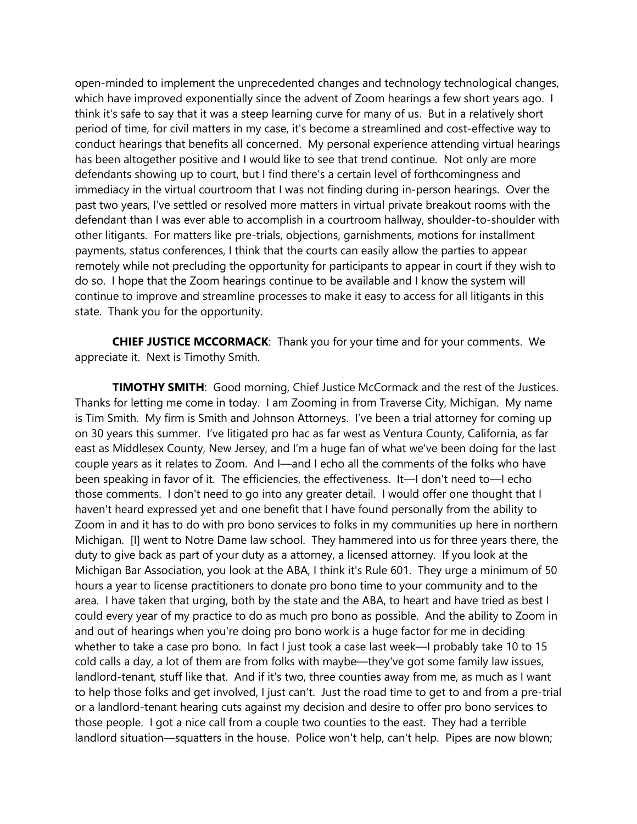open-minded to implement the unprecedented changes and technology technological changes, which have improved exponentially since the advent of Zoom hearings a few short years ago. I think it's safe to say that it was a steep learning curve for many of us. But in a relatively short period of time, for civil matters in my case, it's become a streamlined and cost-effective way to conduct hearings that benefits all concerned. My personal experience attending virtual hearings has been altogether positive and I would like to see that trend continue. Not only are more defendants showing up to court, but I find there's a certain level of forthcomingness and immediacy in the virtual courtroom that I was not finding during in-person hearings. Over the past two years, I've settled or resolved more matters in virtual private breakout rooms with the defendant than I was ever able to accomplish in a courtroom hallway, shoulder-to-shoulder with other litigants. For matters like pre-trials, objections, garnishments, motions for installment payments, status conferences, I think that the courts can easily allow the parties to appear remotely while not precluding the opportunity for participants to appear in court if they wish to do so. I hope that the Zoom hearings continue to be available and I know the system will continue to improve and streamline processes to make it easy to access for all litigants in this state. Thank you for the opportunity.

**CHIEF JUSTICE MCCORMACK**: Thank you for your time and for your comments. We appreciate it. Next is Timothy Smith.

**TIMOTHY SMITH**: Good morning, Chief Justice McCormack and the rest of the Justices. Thanks for letting me come in today. I am Zooming in from Traverse City, Michigan. My name is Tim Smith. My firm is Smith and Johnson Attorneys. I've been a trial attorney for coming up on 30 years this summer. I've litigated pro hac as far west as Ventura County, California, as far east as Middlesex County, New Jersey, and I'm a huge fan of what we've been doing for the last couple years as it relates to Zoom. And I—and I echo all the comments of the folks who have been speaking in favor of it. The efficiencies, the effectiveness. It—I don't need to—I echo those comments. I don't need to go into any greater detail. I would offer one thought that I haven't heard expressed yet and one benefit that I have found personally from the ability to Zoom in and it has to do with pro bono services to folks in my communities up here in northern Michigan. [I] went to Notre Dame law school. They hammered into us for three years there, the duty to give back as part of your duty as a attorney, a licensed attorney. If you look at the Michigan Bar Association, you look at the ABA, I think it's Rule 601. They urge a minimum of 50 hours a year to license practitioners to donate pro bono time to your community and to the area. I have taken that urging, both by the state and the ABA, to heart and have tried as best I could every year of my practice to do as much pro bono as possible. And the ability to Zoom in and out of hearings when you're doing pro bono work is a huge factor for me in deciding whether to take a case pro bono. In fact I just took a case last week—I probably take 10 to 15 cold calls a day, a lot of them are from folks with maybe—they've got some family law issues, landlord-tenant, stuff like that. And if it's two, three counties away from me, as much as I want to help those folks and get involved, I just can't. Just the road time to get to and from a pre-trial or a landlord-tenant hearing cuts against my decision and desire to offer pro bono services to those people. I got a nice call from a couple two counties to the east. They had a terrible landlord situation—squatters in the house. Police won't help, can't help. Pipes are now blown;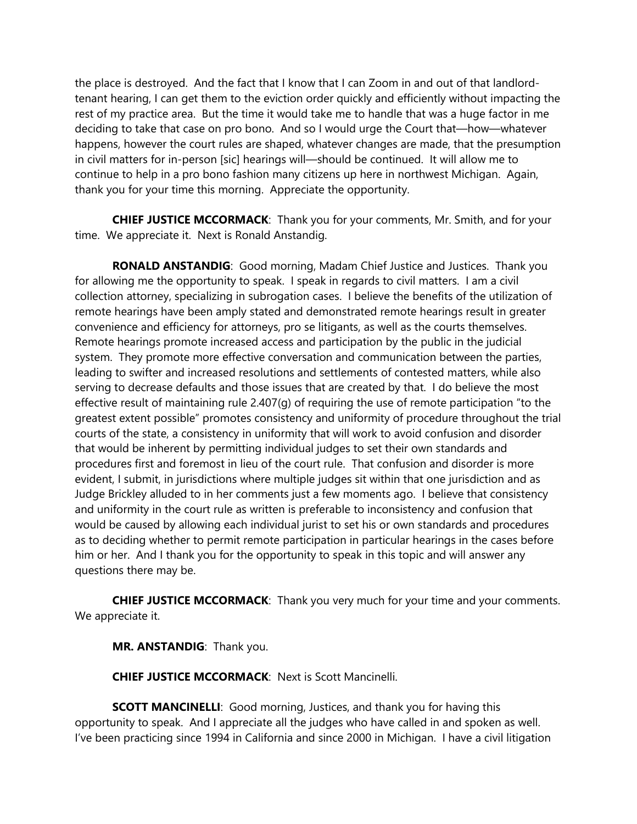the place is destroyed. And the fact that I know that I can Zoom in and out of that landlordtenant hearing, I can get them to the eviction order quickly and efficiently without impacting the rest of my practice area. But the time it would take me to handle that was a huge factor in me deciding to take that case on pro bono. And so I would urge the Court that—how—whatever happens, however the court rules are shaped, whatever changes are made, that the presumption in civil matters for in-person [sic] hearings will—should be continued. It will allow me to continue to help in a pro bono fashion many citizens up here in northwest Michigan. Again, thank you for your time this morning. Appreciate the opportunity.

**CHIEF JUSTICE MCCORMACK**: Thank you for your comments, Mr. Smith, and for your time. We appreciate it. Next is Ronald Anstandig.

**RONALD ANSTANDIG**: Good morning, Madam Chief Justice and Justices. Thank you for allowing me the opportunity to speak. I speak in regards to civil matters. I am a civil collection attorney, specializing in subrogation cases. I believe the benefits of the utilization of remote hearings have been amply stated and demonstrated remote hearings result in greater convenience and efficiency for attorneys, pro se litigants, as well as the courts themselves. Remote hearings promote increased access and participation by the public in the judicial system. They promote more effective conversation and communication between the parties, leading to swifter and increased resolutions and settlements of contested matters, while also serving to decrease defaults and those issues that are created by that. I do believe the most effective result of maintaining rule 2.407(g) of requiring the use of remote participation "to the greatest extent possible" promotes consistency and uniformity of procedure throughout the trial courts of the state, a consistency in uniformity that will work to avoid confusion and disorder that would be inherent by permitting individual judges to set their own standards and procedures first and foremost in lieu of the court rule. That confusion and disorder is more evident, I submit, in jurisdictions where multiple judges sit within that one jurisdiction and as Judge Brickley alluded to in her comments just a few moments ago. I believe that consistency and uniformity in the court rule as written is preferable to inconsistency and confusion that would be caused by allowing each individual jurist to set his or own standards and procedures as to deciding whether to permit remote participation in particular hearings in the cases before him or her. And I thank you for the opportunity to speak in this topic and will answer any questions there may be.

**CHIEF JUSTICE MCCORMACK**: Thank you very much for your time and your comments. We appreciate it.

**MR. ANSTANDIG**: Thank you.

**CHIEF JUSTICE MCCORMACK**: Next is Scott Mancinelli.

**SCOTT MANCINELLI:** Good morning, Justices, and thank you for having this opportunity to speak. And I appreciate all the judges who have called in and spoken as well. I've been practicing since 1994 in California and since 2000 in Michigan. I have a civil litigation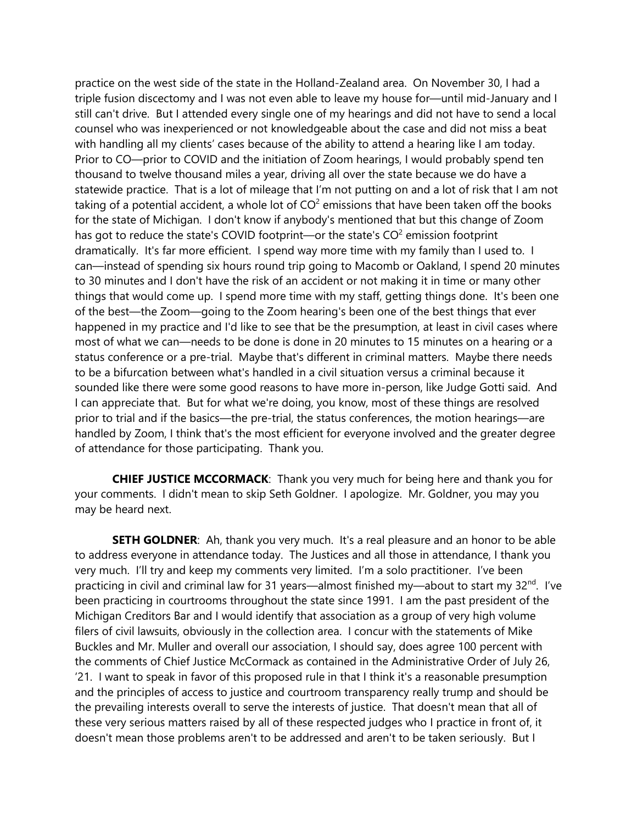practice on the west side of the state in the Holland-Zealand area. On November 30, I had a triple fusion discectomy and I was not even able to leave my house for—until mid-January and I still can't drive. But I attended every single one of my hearings and did not have to send a local counsel who was inexperienced or not knowledgeable about the case and did not miss a beat with handling all my clients' cases because of the ability to attend a hearing like I am today. Prior to CO—prior to COVID and the initiation of Zoom hearings, I would probably spend ten thousand to twelve thousand miles a year, driving all over the state because we do have a statewide practice. That is a lot of mileage that I'm not putting on and a lot of risk that I am not taking of a potential accident, a whole lot of  $CO<sup>2</sup>$  emissions that have been taken off the books for the state of Michigan. I don't know if anybody's mentioned that but this change of Zoom has got to reduce the state's COVID footprint—or the state's  $CO<sup>2</sup>$  emission footprint dramatically. It's far more efficient. I spend way more time with my family than I used to. I can—instead of spending six hours round trip going to Macomb or Oakland, I spend 20 minutes to 30 minutes and I don't have the risk of an accident or not making it in time or many other things that would come up. I spend more time with my staff, getting things done. It's been one of the best—the Zoom—going to the Zoom hearing's been one of the best things that ever happened in my practice and I'd like to see that be the presumption, at least in civil cases where most of what we can—needs to be done is done in 20 minutes to 15 minutes on a hearing or a status conference or a pre-trial. Maybe that's different in criminal matters. Maybe there needs to be a bifurcation between what's handled in a civil situation versus a criminal because it sounded like there were some good reasons to have more in-person, like Judge Gotti said. And I can appreciate that. But for what we're doing, you know, most of these things are resolved prior to trial and if the basics—the pre-trial, the status conferences, the motion hearings—are handled by Zoom, I think that's the most efficient for everyone involved and the greater degree of attendance for those participating. Thank you.

**CHIEF JUSTICE MCCORMACK**: Thank you very much for being here and thank you for your comments. I didn't mean to skip Seth Goldner. I apologize. Mr. Goldner, you may you may be heard next.

**SETH GOLDNER:** Ah, thank you very much. It's a real pleasure and an honor to be able to address everyone in attendance today. The Justices and all those in attendance, I thank you very much. I'll try and keep my comments very limited. I'm a solo practitioner. I've been practicing in civil and criminal law for 31 years—almost finished my—about to start my 32<sup>nd</sup>. I've been practicing in courtrooms throughout the state since 1991. I am the past president of the Michigan Creditors Bar and I would identify that association as a group of very high volume filers of civil lawsuits, obviously in the collection area. I concur with the statements of Mike Buckles and Mr. Muller and overall our association, I should say, does agree 100 percent with the comments of Chief Justice McCormack as contained in the Administrative Order of July 26, '21. I want to speak in favor of this proposed rule in that I think it's a reasonable presumption and the principles of access to justice and courtroom transparency really trump and should be the prevailing interests overall to serve the interests of justice. That doesn't mean that all of these very serious matters raised by all of these respected judges who I practice in front of, it doesn't mean those problems aren't to be addressed and aren't to be taken seriously. But I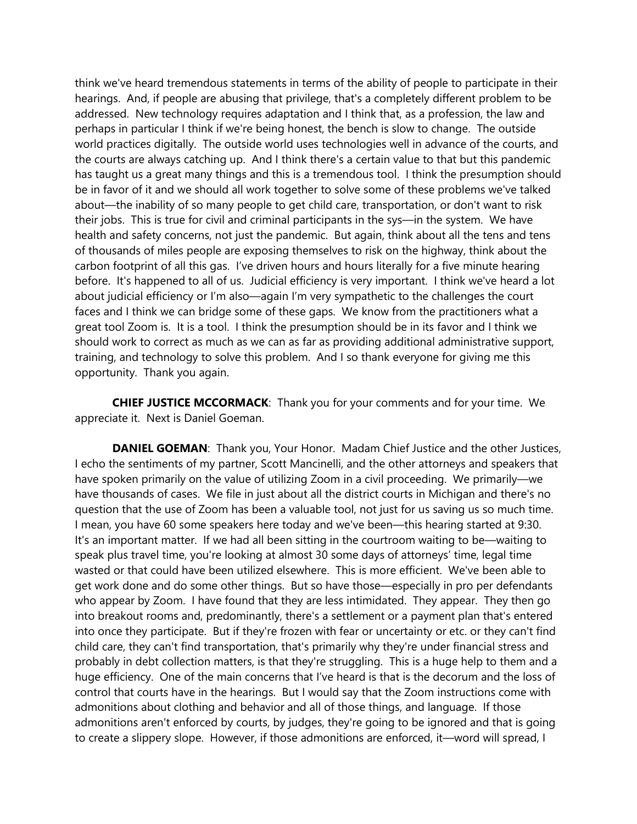think we've heard tremendous statements in terms of the ability of people to participate in their hearings. And, if people are abusing that privilege, that's a completely different problem to be addressed. New technology requires adaptation and I think that, as a profession, the law and perhaps in particular I think if we're being honest, the bench is slow to change. The outside world practices digitally. The outside world uses technologies well in advance of the courts, and the courts are always catching up. And I think there's a certain value to that but this pandemic has taught us a great many things and this is a tremendous tool. I think the presumption should be in favor of it and we should all work together to solve some of these problems we've talked about—the inability of so many people to get child care, transportation, or don't want to risk their jobs. This is true for civil and criminal participants in the sys—in the system. We have health and safety concerns, not just the pandemic. But again, think about all the tens and tens of thousands of miles people are exposing themselves to risk on the highway, think about the carbon footprint of all this gas. I've driven hours and hours literally for a five minute hearing before. It's happened to all of us. Judicial efficiency is very important. I think we've heard a lot about judicial efficiency or I'm also—again I'm very sympathetic to the challenges the court faces and I think we can bridge some of these gaps. We know from the practitioners what a great tool Zoom is. It is a tool. I think the presumption should be in its favor and I think we should work to correct as much as we can as far as providing additional administrative support, training, and technology to solve this problem. And I so thank everyone for giving me this opportunity. Thank you again.

**CHIEF JUSTICE MCCORMACK**: Thank you for your comments and for your time. We appreciate it. Next is Daniel Goeman.

**DANIEL GOEMAN:** Thank you, Your Honor. Madam Chief Justice and the other Justices, I echo the sentiments of my partner, Scott Mancinelli, and the other attorneys and speakers that have spoken primarily on the value of utilizing Zoom in a civil proceeding. We primarily—we have thousands of cases. We file in just about all the district courts in Michigan and there's no question that the use of Zoom has been a valuable tool, not just for us saving us so much time. I mean, you have 60 some speakers here today and we've been—this hearing started at 9:30. It's an important matter. If we had all been sitting in the courtroom waiting to be—waiting to speak plus travel time, you're looking at almost 30 some days of attorneys' time, legal time wasted or that could have been utilized elsewhere. This is more efficient. We've been able to get work done and do some other things. But so have those—especially in pro per defendants who appear by Zoom. I have found that they are less intimidated. They appear. They then go into breakout rooms and, predominantly, there's a settlement or a payment plan that's entered into once they participate. But if they're frozen with fear or uncertainty or etc. or they can't find child care, they can't find transportation, that's primarily why they're under financial stress and probably in debt collection matters, is that they're struggling. This is a huge help to them and a huge efficiency. One of the main concerns that I've heard is that is the decorum and the loss of control that courts have in the hearings. But I would say that the Zoom instructions come with admonitions about clothing and behavior and all of those things, and language. If those admonitions aren't enforced by courts, by judges, they're going to be ignored and that is going to create a slippery slope. However, if those admonitions are enforced, it—word will spread, I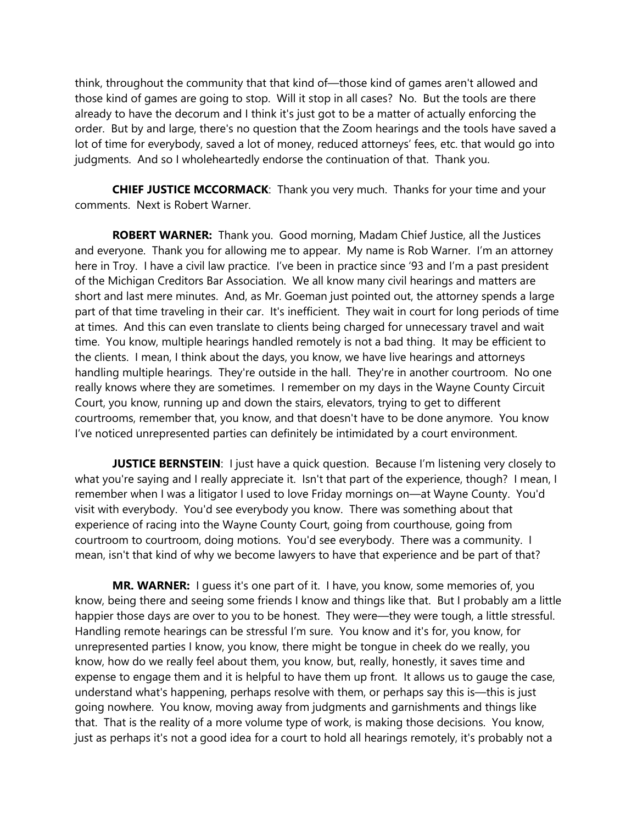think, throughout the community that that kind of—those kind of games aren't allowed and those kind of games are going to stop. Will it stop in all cases? No. But the tools are there already to have the decorum and I think it's just got to be a matter of actually enforcing the order. But by and large, there's no question that the Zoom hearings and the tools have saved a lot of time for everybody, saved a lot of money, reduced attorneys' fees, etc. that would go into judgments. And so I wholeheartedly endorse the continuation of that. Thank you.

**CHIEF JUSTICE MCCORMACK**: Thank you very much. Thanks for your time and your comments. Next is Robert Warner.

**ROBERT WARNER:** Thank you. Good morning, Madam Chief Justice, all the Justices and everyone. Thank you for allowing me to appear. My name is Rob Warner. I'm an attorney here in Troy. I have a civil law practice. I've been in practice since '93 and I'm a past president of the Michigan Creditors Bar Association. We all know many civil hearings and matters are short and last mere minutes. And, as Mr. Goeman just pointed out, the attorney spends a large part of that time traveling in their car. It's inefficient. They wait in court for long periods of time at times. And this can even translate to clients being charged for unnecessary travel and wait time. You know, multiple hearings handled remotely is not a bad thing. It may be efficient to the clients. I mean, I think about the days, you know, we have live hearings and attorneys handling multiple hearings. They're outside in the hall. They're in another courtroom. No one really knows where they are sometimes. I remember on my days in the Wayne County Circuit Court, you know, running up and down the stairs, elevators, trying to get to different courtrooms, remember that, you know, and that doesn't have to be done anymore. You know I've noticed unrepresented parties can definitely be intimidated by a court environment.

**JUSTICE BERNSTEIN:** I just have a quick question. Because I'm listening very closely to what you're saying and I really appreciate it. Isn't that part of the experience, though? I mean, I remember when I was a litigator I used to love Friday mornings on—at Wayne County. You'd visit with everybody. You'd see everybody you know. There was something about that experience of racing into the Wayne County Court, going from courthouse, going from courtroom to courtroom, doing motions. You'd see everybody. There was a community. I mean, isn't that kind of why we become lawyers to have that experience and be part of that?

**MR. WARNER:** I guess it's one part of it. I have, you know, some memories of, you know, being there and seeing some friends I know and things like that. But I probably am a little happier those days are over to you to be honest. They were—they were tough, a little stressful. Handling remote hearings can be stressful I'm sure. You know and it's for, you know, for unrepresented parties I know, you know, there might be tongue in cheek do we really, you know, how do we really feel about them, you know, but, really, honestly, it saves time and expense to engage them and it is helpful to have them up front. It allows us to gauge the case, understand what's happening, perhaps resolve with them, or perhaps say this is—this is just going nowhere. You know, moving away from judgments and garnishments and things like that. That is the reality of a more volume type of work, is making those decisions. You know, just as perhaps it's not a good idea for a court to hold all hearings remotely, it's probably not a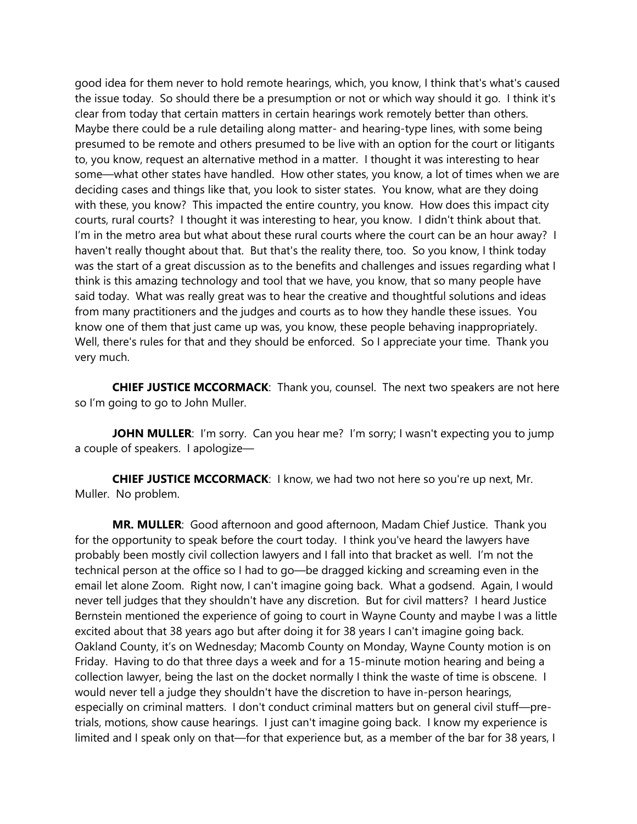good idea for them never to hold remote hearings, which, you know, I think that's what's caused the issue today. So should there be a presumption or not or which way should it go. I think it's clear from today that certain matters in certain hearings work remotely better than others. Maybe there could be a rule detailing along matter- and hearing-type lines, with some being presumed to be remote and others presumed to be live with an option for the court or litigants to, you know, request an alternative method in a matter. I thought it was interesting to hear some—what other states have handled. How other states, you know, a lot of times when we are deciding cases and things like that, you look to sister states. You know, what are they doing with these, you know? This impacted the entire country, you know. How does this impact city courts, rural courts? I thought it was interesting to hear, you know. I didn't think about that. I'm in the metro area but what about these rural courts where the court can be an hour away? I haven't really thought about that. But that's the reality there, too. So you know, I think today was the start of a great discussion as to the benefits and challenges and issues regarding what I think is this amazing technology and tool that we have, you know, that so many people have said today. What was really great was to hear the creative and thoughtful solutions and ideas from many practitioners and the judges and courts as to how they handle these issues. You know one of them that just came up was, you know, these people behaving inappropriately. Well, there's rules for that and they should be enforced. So I appreciate your time. Thank you very much.

**CHIEF JUSTICE MCCORMACK**: Thank you, counsel. The next two speakers are not here so I'm going to go to John Muller.

**JOHN MULLER**: I'm sorry. Can you hear me? I'm sorry; I wasn't expecting you to jump a couple of speakers. I apologize—

**CHIEF JUSTICE MCCORMACK:** I know, we had two not here so you're up next, Mr. Muller. No problem.

**MR. MULLER**: Good afternoon and good afternoon, Madam Chief Justice. Thank you for the opportunity to speak before the court today. I think you've heard the lawyers have probably been mostly civil collection lawyers and I fall into that bracket as well. I'm not the technical person at the office so I had to go—be dragged kicking and screaming even in the email let alone Zoom. Right now, I can't imagine going back. What a godsend. Again, I would never tell judges that they shouldn't have any discretion. But for civil matters? I heard Justice Bernstein mentioned the experience of going to court in Wayne County and maybe I was a little excited about that 38 years ago but after doing it for 38 years I can't imagine going back. Oakland County, it's on Wednesday; Macomb County on Monday, Wayne County motion is on Friday. Having to do that three days a week and for a 15-minute motion hearing and being a collection lawyer, being the last on the docket normally I think the waste of time is obscene. I would never tell a judge they shouldn't have the discretion to have in-person hearings, especially on criminal matters. I don't conduct criminal matters but on general civil stuff—pretrials, motions, show cause hearings. I just can't imagine going back. I know my experience is limited and I speak only on that—for that experience but, as a member of the bar for 38 years, I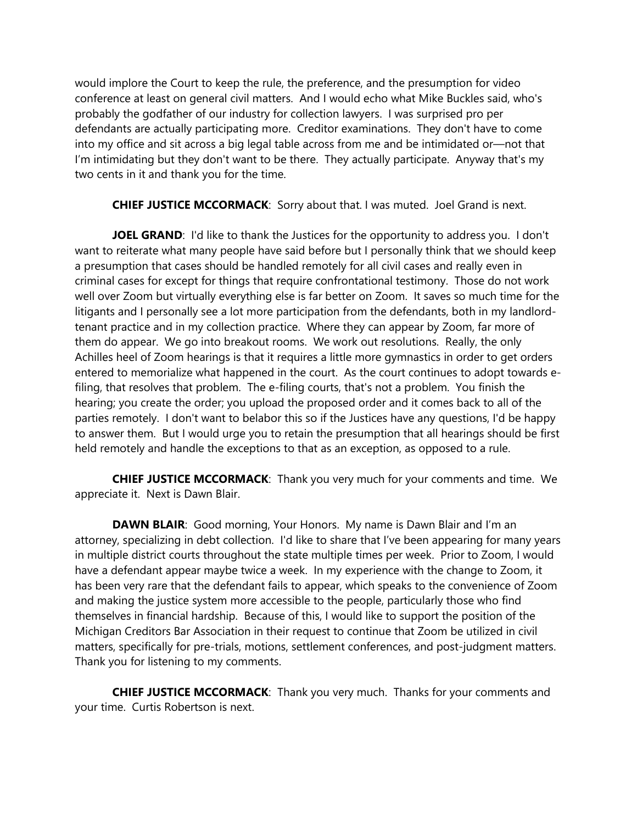would implore the Court to keep the rule, the preference, and the presumption for video conference at least on general civil matters. And I would echo what Mike Buckles said, who's probably the godfather of our industry for collection lawyers. I was surprised pro per defendants are actually participating more. Creditor examinations. They don't have to come into my office and sit across a big legal table across from me and be intimidated or—not that I'm intimidating but they don't want to be there. They actually participate. Anyway that's my two cents in it and thank you for the time.

**CHIEF JUSTICE MCCORMACK**: Sorry about that. I was muted. Joel Grand is next.

**JOEL GRAND**: I'd like to thank the Justices for the opportunity to address you. I don't want to reiterate what many people have said before but I personally think that we should keep a presumption that cases should be handled remotely for all civil cases and really even in criminal cases for except for things that require confrontational testimony. Those do not work well over Zoom but virtually everything else is far better on Zoom. It saves so much time for the litigants and I personally see a lot more participation from the defendants, both in my landlordtenant practice and in my collection practice. Where they can appear by Zoom, far more of them do appear. We go into breakout rooms. We work out resolutions. Really, the only Achilles heel of Zoom hearings is that it requires a little more gymnastics in order to get orders entered to memorialize what happened in the court. As the court continues to adopt towards efiling, that resolves that problem. The e-filing courts, that's not a problem. You finish the hearing; you create the order; you upload the proposed order and it comes back to all of the parties remotely. I don't want to belabor this so if the Justices have any questions, I'd be happy to answer them. But I would urge you to retain the presumption that all hearings should be first held remotely and handle the exceptions to that as an exception, as opposed to a rule.

**CHIEF JUSTICE MCCORMACK**: Thank you very much for your comments and time. We appreciate it. Next is Dawn Blair.

**DAWN BLAIR:** Good morning, Your Honors. My name is Dawn Blair and I'm an attorney, specializing in debt collection. I'd like to share that I've been appearing for many years in multiple district courts throughout the state multiple times per week. Prior to Zoom, I would have a defendant appear maybe twice a week. In my experience with the change to Zoom, it has been very rare that the defendant fails to appear, which speaks to the convenience of Zoom and making the justice system more accessible to the people, particularly those who find themselves in financial hardship. Because of this, I would like to support the position of the Michigan Creditors Bar Association in their request to continue that Zoom be utilized in civil matters, specifically for pre-trials, motions, settlement conferences, and post-judgment matters. Thank you for listening to my comments.

**CHIEF JUSTICE MCCORMACK**: Thank you very much. Thanks for your comments and your time. Curtis Robertson is next.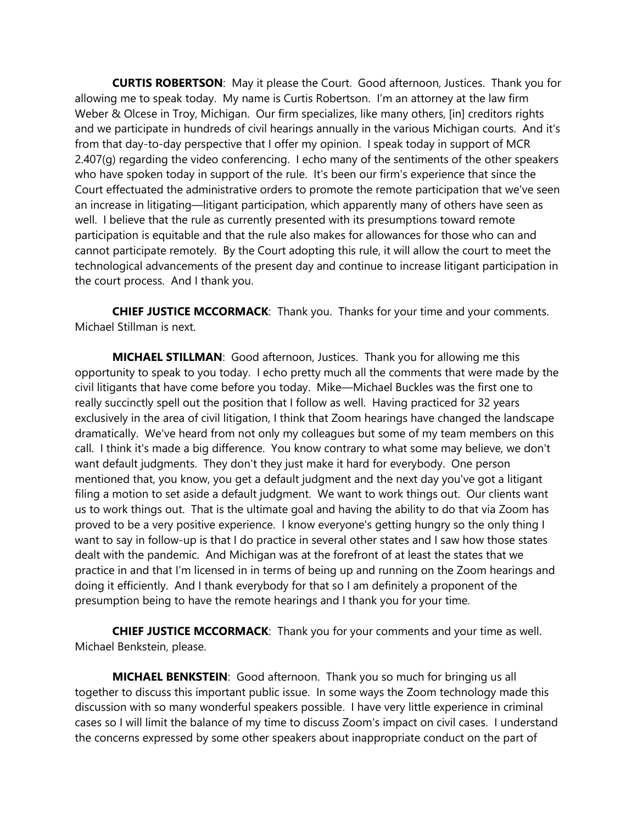**CURTIS ROBERTSON**: May it please the Court. Good afternoon, Justices. Thank you for allowing me to speak today. My name is Curtis Robertson. I'm an attorney at the law firm Weber & Olcese in Troy, Michigan. Our firm specializes, like many others, [in] creditors rights and we participate in hundreds of civil hearings annually in the various Michigan courts. And it's from that day-to-day perspective that I offer my opinion. I speak today in support of MCR 2.407(g) regarding the video conferencing. I echo many of the sentiments of the other speakers who have spoken today in support of the rule. It's been our firm's experience that since the Court effectuated the administrative orders to promote the remote participation that we've seen an increase in litigating—litigant participation, which apparently many of others have seen as well. I believe that the rule as currently presented with its presumptions toward remote participation is equitable and that the rule also makes for allowances for those who can and cannot participate remotely. By the Court adopting this rule, it will allow the court to meet the technological advancements of the present day and continue to increase litigant participation in the court process. And I thank you.

**CHIEF JUSTICE MCCORMACK**: Thank you. Thanks for your time and your comments. Michael Stillman is next.

**MICHAEL STILLMAN**: Good afternoon, Justices. Thank you for allowing me this opportunity to speak to you today. I echo pretty much all the comments that were made by the civil litigants that have come before you today. Mike—Michael Buckles was the first one to really succinctly spell out the position that I follow as well. Having practiced for 32 years exclusively in the area of civil litigation, I think that Zoom hearings have changed the landscape dramatically. We've heard from not only my colleagues but some of my team members on this call. I think it's made a big difference. You know contrary to what some may believe, we don't want default judgments. They don't they just make it hard for everybody. One person mentioned that, you know, you get a default judgment and the next day you've got a litigant filing a motion to set aside a default judgment. We want to work things out. Our clients want us to work things out. That is the ultimate goal and having the ability to do that via Zoom has proved to be a very positive experience. I know everyone's getting hungry so the only thing I want to say in follow-up is that I do practice in several other states and I saw how those states dealt with the pandemic. And Michigan was at the forefront of at least the states that we practice in and that I'm licensed in in terms of being up and running on the Zoom hearings and doing it efficiently. And I thank everybody for that so I am definitely a proponent of the presumption being to have the remote hearings and I thank you for your time.

**CHIEF JUSTICE MCCORMACK**: Thank you for your comments and your time as well. Michael Benkstein, please.

**MICHAEL BENKSTEIN**: Good afternoon. Thank you so much for bringing us all together to discuss this important public issue. In some ways the Zoom technology made this discussion with so many wonderful speakers possible. I have very little experience in criminal cases so I will limit the balance of my time to discuss Zoom's impact on civil cases. I understand the concerns expressed by some other speakers about inappropriate conduct on the part of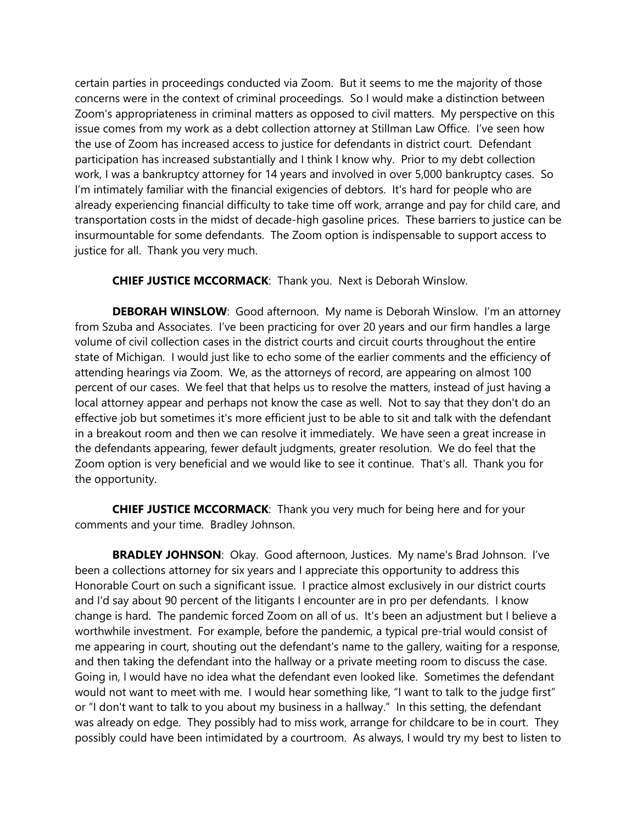certain parties in proceedings conducted via Zoom. But it seems to me the majority of those concerns were in the context of criminal proceedings. So I would make a distinction between Zoom's appropriateness in criminal matters as opposed to civil matters. My perspective on this issue comes from my work as a debt collection attorney at Stillman Law Office. I've seen how the use of Zoom has increased access to justice for defendants in district court. Defendant participation has increased substantially and I think I know why. Prior to my debt collection work, I was a bankruptcy attorney for 14 years and involved in over 5,000 bankruptcy cases. So I'm intimately familiar with the financial exigencies of debtors. It's hard for people who are already experiencing financial difficulty to take time off work, arrange and pay for child care, and transportation costs in the midst of decade-high gasoline prices. These barriers to justice can be insurmountable for some defendants. The Zoom option is indispensable to support access to justice for all. Thank you very much.

**CHIEF JUSTICE MCCORMACK**: Thank you. Next is Deborah Winslow.

**DEBORAH WINSLOW**: Good afternoon. My name is Deborah Winslow. I'm an attorney from Szuba and Associates. I've been practicing for over 20 years and our firm handles a large volume of civil collection cases in the district courts and circuit courts throughout the entire state of Michigan. I would just like to echo some of the earlier comments and the efficiency of attending hearings via Zoom. We, as the attorneys of record, are appearing on almost 100 percent of our cases. We feel that that helps us to resolve the matters, instead of just having a local attorney appear and perhaps not know the case as well. Not to say that they don't do an effective job but sometimes it's more efficient just to be able to sit and talk with the defendant in a breakout room and then we can resolve it immediately. We have seen a great increase in the defendants appearing, fewer default judgments, greater resolution. We do feel that the Zoom option is very beneficial and we would like to see it continue. That's all. Thank you for the opportunity.

**CHIEF JUSTICE MCCORMACK**: Thank you very much for being here and for your comments and your time. Bradley Johnson.

**BRADLEY JOHNSON**: Okay. Good afternoon, Justices. My name's Brad Johnson. I've been a collections attorney for six years and I appreciate this opportunity to address this Honorable Court on such a significant issue. I practice almost exclusively in our district courts and I'd say about 90 percent of the litigants I encounter are in pro per defendants. I know change is hard. The pandemic forced Zoom on all of us. It's been an adjustment but I believe a worthwhile investment. For example, before the pandemic, a typical pre-trial would consist of me appearing in court, shouting out the defendant's name to the gallery, waiting for a response, and then taking the defendant into the hallway or a private meeting room to discuss the case. Going in, I would have no idea what the defendant even looked like. Sometimes the defendant would not want to meet with me. I would hear something like, "I want to talk to the judge first" or "I don't want to talk to you about my business in a hallway." In this setting, the defendant was already on edge. They possibly had to miss work, arrange for childcare to be in court. They possibly could have been intimidated by a courtroom. As always, I would try my best to listen to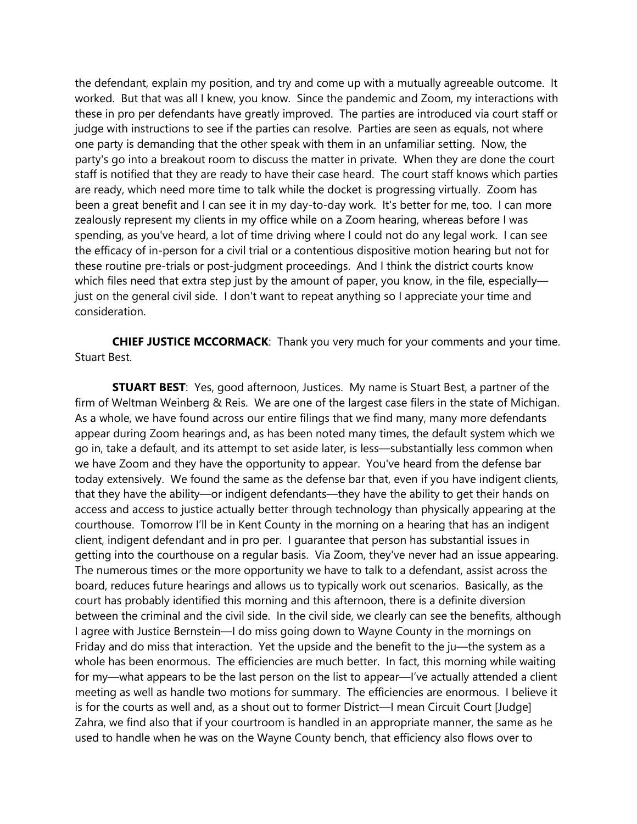the defendant, explain my position, and try and come up with a mutually agreeable outcome. It worked. But that was all I knew, you know. Since the pandemic and Zoom, my interactions with these in pro per defendants have greatly improved. The parties are introduced via court staff or judge with instructions to see if the parties can resolve. Parties are seen as equals, not where one party is demanding that the other speak with them in an unfamiliar setting. Now, the party's go into a breakout room to discuss the matter in private. When they are done the court staff is notified that they are ready to have their case heard. The court staff knows which parties are ready, which need more time to talk while the docket is progressing virtually. Zoom has been a great benefit and I can see it in my day-to-day work. It's better for me, too. I can more zealously represent my clients in my office while on a Zoom hearing, whereas before I was spending, as you've heard, a lot of time driving where I could not do any legal work. I can see the efficacy of in-person for a civil trial or a contentious dispositive motion hearing but not for these routine pre-trials or post-judgment proceedings. And I think the district courts know which files need that extra step just by the amount of paper, you know, in the file, especiallyjust on the general civil side. I don't want to repeat anything so I appreciate your time and consideration.

**CHIEF JUSTICE MCCORMACK**: Thank you very much for your comments and your time. Stuart Best.

**STUART BEST:** Yes, good afternoon, Justices. My name is Stuart Best, a partner of the firm of Weltman Weinberg & Reis. We are one of the largest case filers in the state of Michigan. As a whole, we have found across our entire filings that we find many, many more defendants appear during Zoom hearings and, as has been noted many times, the default system which we go in, take a default, and its attempt to set aside later, is less—substantially less common when we have Zoom and they have the opportunity to appear. You've heard from the defense bar today extensively. We found the same as the defense bar that, even if you have indigent clients, that they have the ability—or indigent defendants—they have the ability to get their hands on access and access to justice actually better through technology than physically appearing at the courthouse. Tomorrow I'll be in Kent County in the morning on a hearing that has an indigent client, indigent defendant and in pro per. I guarantee that person has substantial issues in getting into the courthouse on a regular basis. Via Zoom, they've never had an issue appearing. The numerous times or the more opportunity we have to talk to a defendant, assist across the board, reduces future hearings and allows us to typically work out scenarios. Basically, as the court has probably identified this morning and this afternoon, there is a definite diversion between the criminal and the civil side. In the civil side, we clearly can see the benefits, although I agree with Justice Bernstein—I do miss going down to Wayne County in the mornings on Friday and do miss that interaction. Yet the upside and the benefit to the ju—the system as a whole has been enormous. The efficiencies are much better. In fact, this morning while waiting for my—what appears to be the last person on the list to appear—I've actually attended a client meeting as well as handle two motions for summary. The efficiencies are enormous. I believe it is for the courts as well and, as a shout out to former District—I mean Circuit Court [Judge] Zahra, we find also that if your courtroom is handled in an appropriate manner, the same as he used to handle when he was on the Wayne County bench, that efficiency also flows over to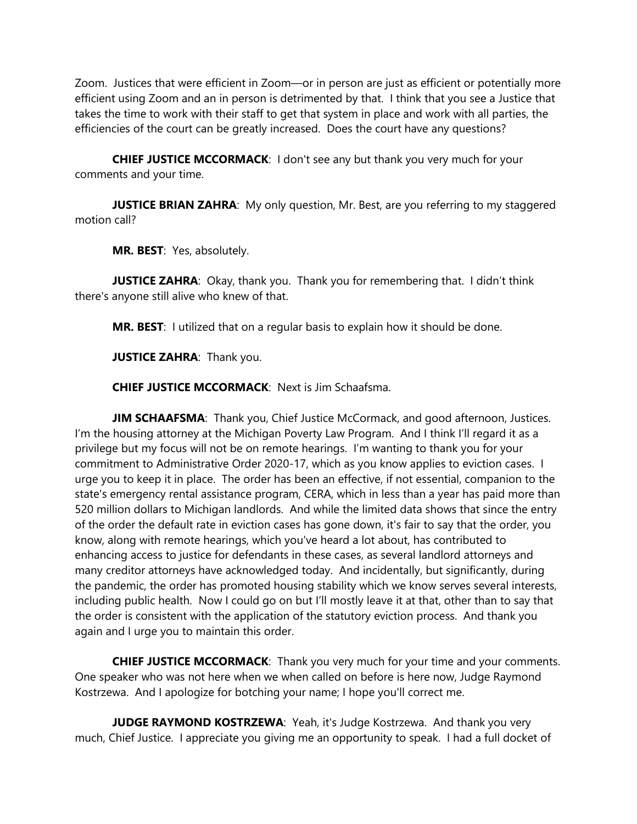Zoom. Justices that were efficient in Zoom—or in person are just as efficient or potentially more efficient using Zoom and an in person is detrimented by that. I think that you see a Justice that takes the time to work with their staff to get that system in place and work with all parties, the efficiencies of the court can be greatly increased. Does the court have any questions?

**CHIEF JUSTICE MCCORMACK**: I don't see any but thank you very much for your comments and your time.

**JUSTICE BRIAN ZAHRA:** My only question, Mr. Best, are you referring to my staggered motion call?

**MR. BEST**: Yes, absolutely.

**JUSTICE ZAHRA:** Okay, thank you. Thank you for remembering that. I didn't think there's anyone still alive who knew of that.

**MR. BEST**: I utilized that on a regular basis to explain how it should be done.

**JUSTICE ZAHRA: Thank you.** 

**CHIEF JUSTICE MCCORMACK**: Next is Jim Schaafsma.

**JIM SCHAAFSMA:** Thank you, Chief Justice McCormack, and good afternoon, Justices. I'm the housing attorney at the Michigan Poverty Law Program. And I think I'll regard it as a privilege but my focus will not be on remote hearings. I'm wanting to thank you for your commitment to Administrative Order 2020-17, which as you know applies to eviction cases. I urge you to keep it in place. The order has been an effective, if not essential, companion to the state's emergency rental assistance program, CERA, which in less than a year has paid more than 520 million dollars to Michigan landlords. And while the limited data shows that since the entry of the order the default rate in eviction cases has gone down, it's fair to say that the order, you know, along with remote hearings, which you've heard a lot about, has contributed to enhancing access to justice for defendants in these cases, as several landlord attorneys and many creditor attorneys have acknowledged today. And incidentally, but significantly, during the pandemic, the order has promoted housing stability which we know serves several interests, including public health. Now I could go on but I'll mostly leave it at that, other than to say that the order is consistent with the application of the statutory eviction process. And thank you again and I urge you to maintain this order.

**CHIEF JUSTICE MCCORMACK**: Thank you very much for your time and your comments. One speaker who was not here when we when called on before is here now, Judge Raymond Kostrzewa. And I apologize for botching your name; I hope you'll correct me.

**JUDGE RAYMOND KOSTRZEWA:** Yeah, it's Judge Kostrzewa. And thank you very much, Chief Justice. I appreciate you giving me an opportunity to speak. I had a full docket of